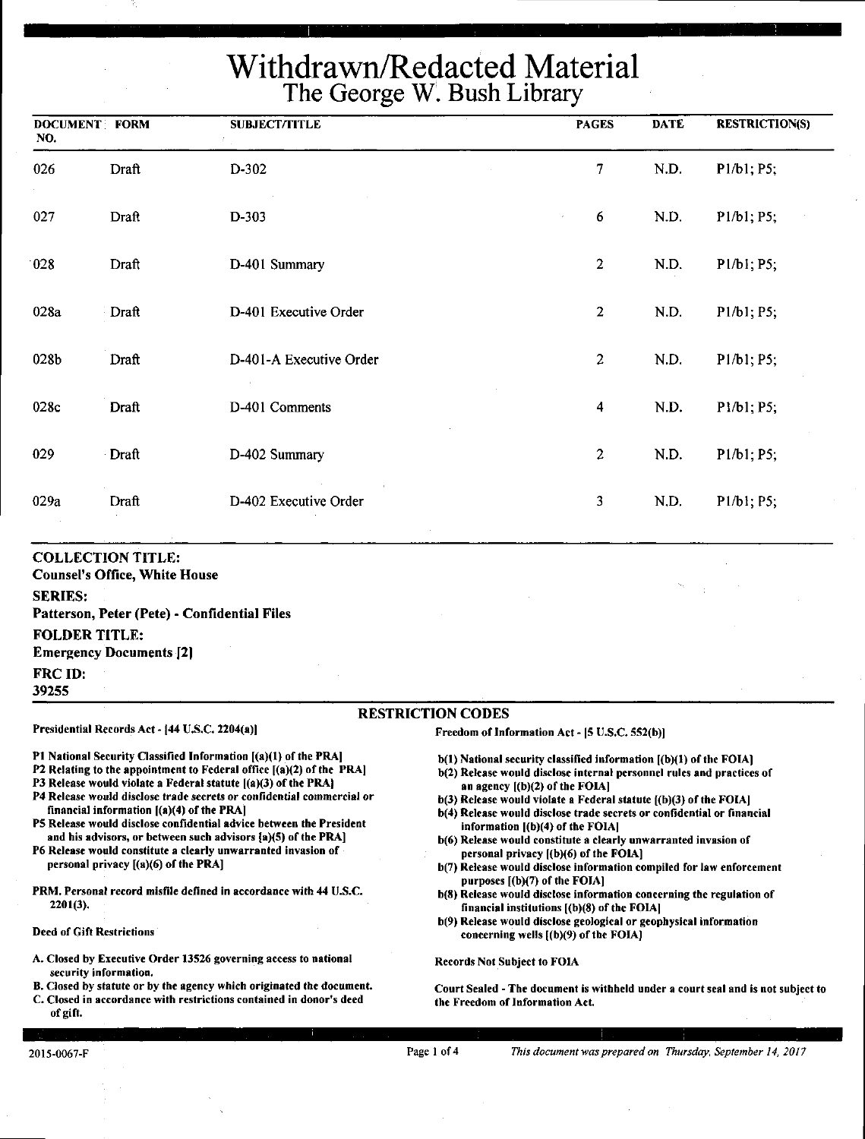| <b>DOCUMENT: FORM</b><br>NO. |              | <b>SUBJECT/TITLE</b>    | <b>PAGES</b>            | <b>DATE</b> | <b>RESTRICTION(S)</b> |
|------------------------------|--------------|-------------------------|-------------------------|-------------|-----------------------|
| 026                          | Draft        | D-302                   | $\overline{7}$          | N.D.        | P1/b1; P5;            |
| 027                          | Draft        | D-303                   | $\boldsymbol{6}$        | N.D.        | P1/b1; P5;            |
| 028                          | Draft        | D-401 Summary           | $\boldsymbol{2}$        | N.D.        | P1/b1; P5;            |
| 028a                         | Draft        | D-401 Executive Order   | $\overline{2}$          | N.D.        | P1/b1; P5;            |
| 028b                         | Draft        | D-401-A Executive Order | $\overline{2}$          | N.D.        | P1/b1; P5;            |
| 028c                         | <b>Draft</b> | D-401 Comments          | $\overline{\mathbf{4}}$ | N.D.        | P1/b1; P5;            |
| 029                          | Draft        | D-402 Summary           | $\boldsymbol{2}$        | N.D.        | P1/b1; P5;            |
| 029a                         | Draft        | D-402 Executive Order   | 3                       | N.D.        | P1/b1; P5;            |
|                              |              |                         |                         |             |                       |

#### **COLLECTION TITLE:**

**Counsel's Office, White House SERIES: Patterson, Peter (Pete)** - **Confidential Files FOLDER TITLE: Emergency Documents [2] FRCID:** 

**39255** 

#### RESTRICTION CODES

Presidential Records Act - (44 U.S.C. 2204(a))

financial information ((a)(4) of the PRA)

personal privacy [(a)(6) of the PRA]

#### Freedom of Information Act - 15 U.S.C. SS2(b)]

Pl National Security Classified Information ((a)(l) of the PRA) P2 Relating to the appointment to Federal office  $[(a)(2)$  of the PRA] P3 Release would violate a Federal statute  $[(a)(3)$  of the PRA) P4 Release would disclose trade secrets or confidential commercial or

PS Release would disclose confidential advice between the President and his advisors, or between such advisors (a)(S) of the PRA] P6 Release would constitute a clearly unwarranted invasion of

PRM. Personal record misfile defined in accordance with 44 U.S.C.

- b(l) National security classified information [(b)(l) of the FOIA]
	- b(2) Release would disclose internal personnel rules and practices of an agency  $[(b)(2)$  of the FOIA]
	- $b(3)$  Release would violate a Federal statute  $(6)(3)$  of the FOIA]
	- b(4) Release would disclose trade secrets or confidential or financial information  $[(b)(4)$  of the FOIA]
	- b(6) Release would constitute a clearly unwarranted invasion of personal privacy ((b)(6) of the FOIA)
	- b(7) Release would disclose information compiled for law enforcement **purposes** ((b)(7) **of the FOIAl**
	- b(8) Release would disclose information concerning the regulation of financial institutions ((b)(8) of the FOIAJ
	- b(9) Release would disclose geological or geophysical information concerning wells  $[(b)(9)$  of the FOIA]

Records Not Subject to FOIA

Court Sealed -The document is withheld under a court seal and is not subject to the Freedom of Information Act.

#### Deed of Gift Restrictions A. Closed by Executive Order 13526 governing access to national

2201(3),

- security information.
- B. Closed by statute or by the agency which originated the document.
- C. Closed in accordance with restrictions contained in donor's deed of gift.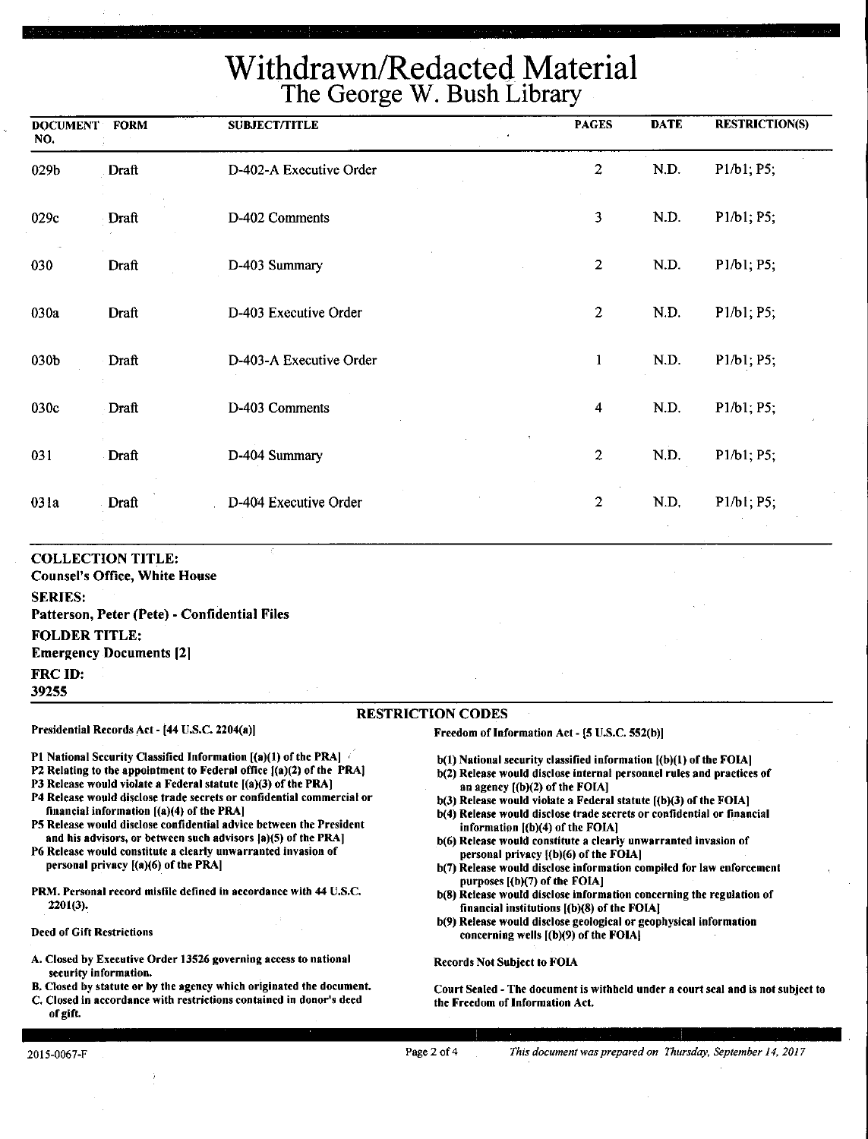| <b>DOCUMENT</b><br>NO. | <b>FORM</b> | <b>SUBJECT/TITLE</b>    | <b>PAGES</b>            | <b>DATE</b> | <b>RESTRICTION(S)</b> |
|------------------------|-------------|-------------------------|-------------------------|-------------|-----------------------|
| 029b                   | Draft       | D-402-A Executive Order | $\overline{c}$          | N.D.        | P1/b1; P5;            |
| 029c                   | Draft       | D-402 Comments          | 3                       | N.D.        | P1/b1; P5;            |
| 030                    | Draft       | D-403 Summary           | $\overline{2}$          | N.D.        | P1/b1; P5;            |
| 030a                   | Draft       | D-403 Executive Order   | $\overline{2}$          | N.D.        | P1/b1; P5;            |
| 030b                   | Draft       | D-403-A Executive Order | $\mathbf{1}$            | N.D.        | P1/b1; P5;            |
| 030c                   | Draft       | D-403 Comments          | $\overline{\mathbf{4}}$ | N.D.        | P1/b1, P5,            |
| 031                    | Draft       | D-404 Summary           | $\overline{c}$          | N.D.        | P1/b1; P5;            |
| 031a                   | Draft       | D-404 Executive Order   | $\mathbf{2}$            | N.D,        | P1/b1, P5;            |
|                        |             |                         |                         |             |                       |

#### **COLLECTION TITLE:**

**Counsel's Office, White House** 

#### **SERIES:**

**Patterson, Peter (Pete)** - **Confidential Files FOLDER TITLE: Emergency Documents** [21 **FRCID: 39255** 

P1 National Security Classified Information [(a)(1) of the PRA] P2 Relating to the appointment to Federal office  $[(a)(2)$  of the PRA] PJ Release would violate a Federal statute [(a)(3) of the PRA] P4 Release would disclose trade secrets or confidential commercial or

PS Release would disclose confidential advice between the President and his advisors, or between such advisors [a)(5) of the PRA] P6 Release would constitute a clearly unwarranted invasion of

PRM. Personal record misfile defined in accordance with 44 U.S.C.

A. Closed by Executive Order 13526 governing access to national

B. Closed by statute or by the agency which originated the document. C. Closed in accordance with restrictions contained in donor's deed

#### RESTRICTION CODES

Presidential Records Act - (44 U.S.C. 2204(a))

financial information [(a)(4) of the PRAJ

personal privacy ((a)(6) of the PRA)

Freedom of Information Act - (5 U.S.C. 552(b))

- b(l) National security classified information [(b)(l) of the FOIA)
- b(2) Release would disclose internal personnel rules and practices of an agency ((b)(2) of the FOIAJ
- $b(3)$  Release would violate a Federal statute  $[(b)(3)$  of the FOIA]
- b(4) Release would disclose trade secrets or confidential or financial information ((b)(4) of the FOIA)
- b(6) Release would constitute a clearly unwarranted invasion of personal privacy ((b)(6) of the FOIA)
- b(7) Release would disclose information compiled for law enforcement purposes ((b)(7) of the FOIA]
- b(8) Release would disclose information concerning the regulation of financial institutions [(b)(8) of the FOIAJ
- b(9) Release would disclose geological or geophysical information concerning wells [(b)(9) of the FOIAJ

Records Not Subject to FOIA

Court Sealed -The document is withheld under a court seal and is not subject to the Freedom of Information Act.

#### 2015-0067-F

of gift.

2201(3).

Deed of Gift Restrictions

security information.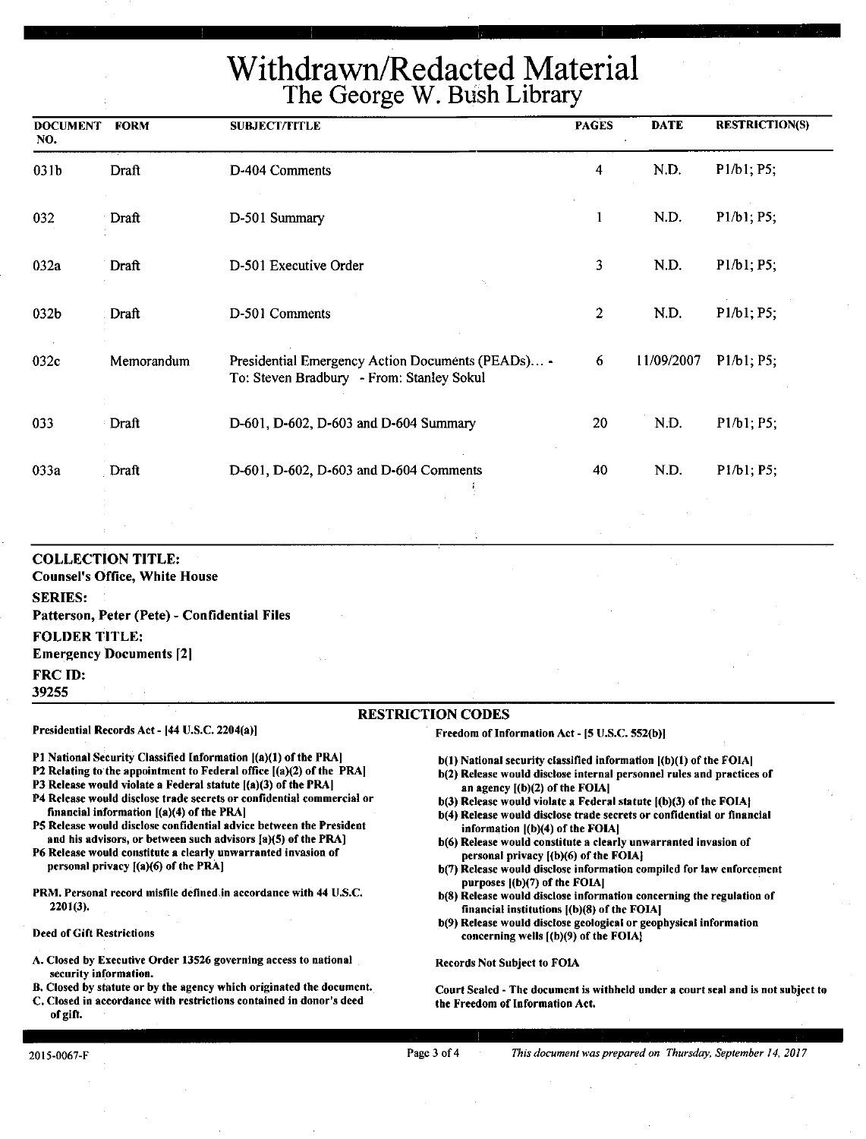|                                        |                                                                                                                                                    |                                                                                                                                                                                                                                                                                                                                                                                                                                              | THE OCULES W. DUSH LIDIGLY                                                                                                                                                                                                                                                                                                                                                                                                                 |                |             |                       |
|----------------------------------------|----------------------------------------------------------------------------------------------------------------------------------------------------|----------------------------------------------------------------------------------------------------------------------------------------------------------------------------------------------------------------------------------------------------------------------------------------------------------------------------------------------------------------------------------------------------------------------------------------------|--------------------------------------------------------------------------------------------------------------------------------------------------------------------------------------------------------------------------------------------------------------------------------------------------------------------------------------------------------------------------------------------------------------------------------------------|----------------|-------------|-----------------------|
| <b>DOCUMENT</b><br>NO.                 | <b>FORM</b>                                                                                                                                        | <b>SUBJECT/TITLE</b>                                                                                                                                                                                                                                                                                                                                                                                                                         |                                                                                                                                                                                                                                                                                                                                                                                                                                            | <b>PAGES</b>   | <b>DATE</b> | <b>RESTRICTION(S)</b> |
| 031b                                   | Draft                                                                                                                                              | D-404 Comments                                                                                                                                                                                                                                                                                                                                                                                                                               |                                                                                                                                                                                                                                                                                                                                                                                                                                            | 4              | N.D.        | P1/b1; P5;            |
| 032                                    | Draft                                                                                                                                              | D-501 Summary                                                                                                                                                                                                                                                                                                                                                                                                                                |                                                                                                                                                                                                                                                                                                                                                                                                                                            | 1              | N.D.        | P1/b1; P5;            |
| 032a                                   | Draft                                                                                                                                              | D-501 Executive Order                                                                                                                                                                                                                                                                                                                                                                                                                        |                                                                                                                                                                                                                                                                                                                                                                                                                                            | 3              | N.D.        | P1/b1; P5;            |
| 032b                                   | Draft                                                                                                                                              | D-501 Comments                                                                                                                                                                                                                                                                                                                                                                                                                               |                                                                                                                                                                                                                                                                                                                                                                                                                                            | $\overline{2}$ | N.D.        | P1/b1; P5;            |
| 032c                                   | Memorandum                                                                                                                                         | Presidential Emergency Action Documents (PEADs) -<br>To: Steven Bradbury - From: Stanley Sokul                                                                                                                                                                                                                                                                                                                                               |                                                                                                                                                                                                                                                                                                                                                                                                                                            | 6              | 11/09/2007  | P1/b1; P5;            |
| 033                                    | Draft                                                                                                                                              | D-601, D-602, D-603 and D-604 Summary                                                                                                                                                                                                                                                                                                                                                                                                        |                                                                                                                                                                                                                                                                                                                                                                                                                                            | 20             | N.D.        | P1/b1; P5;            |
| 033a                                   | Draft                                                                                                                                              | D-601, D-602, D-603 and D-604 Comments                                                                                                                                                                                                                                                                                                                                                                                                       |                                                                                                                                                                                                                                                                                                                                                                                                                                            | 40             | N.D.        | P1/b1; P5;            |
|                                        |                                                                                                                                                    |                                                                                                                                                                                                                                                                                                                                                                                                                                              |                                                                                                                                                                                                                                                                                                                                                                                                                                            |                |             |                       |
| <b>SERIES:</b><br><b>FOLDER TITLE:</b> | <b>COLLECTION TITLE:</b><br><b>Counsel's Office, White House</b><br>Patterson, Peter (Pete) - Confidential Files<br><b>Emergency Documents [2]</b> |                                                                                                                                                                                                                                                                                                                                                                                                                                              |                                                                                                                                                                                                                                                                                                                                                                                                                                            |                |             |                       |
| <b>FRC ID:</b><br>39255                |                                                                                                                                                    |                                                                                                                                                                                                                                                                                                                                                                                                                                              |                                                                                                                                                                                                                                                                                                                                                                                                                                            |                |             |                       |
|                                        |                                                                                                                                                    |                                                                                                                                                                                                                                                                                                                                                                                                                                              | <b>RESTRICTION CODES</b>                                                                                                                                                                                                                                                                                                                                                                                                                   |                |             |                       |
|                                        | Presidential Records Act - [44 U.S.C. 2204(a)]                                                                                                     |                                                                                                                                                                                                                                                                                                                                                                                                                                              | Freedom of Information Act - [5 U.S.C. 552(b)]                                                                                                                                                                                                                                                                                                                                                                                             |                |             |                       |
|                                        | financial information [(a)(4) of the PRA]                                                                                                          | <b>P1 National Security Classified Information [(a)(1) of the PRA]</b><br><b>P2</b> Relating to the appointment to Federal office $[(a)(2)$ of the PRA<br>P3 Release would violate a Federal statute $[(a)(3)$ of the PRA<br>P4 Release would disclose trade secrets or confidential commercial or<br>P5 Release would disclose confidential advice between the President<br>and his advisors, or between such advisors $[a](5)$ of the PRA] | b(1) National security classified information [(b)(1) of the FOIA]<br>b(2) Release would disclose internal personnel rules and practices of<br>an agency $[(b)(2)$ of the FOIA]<br>$b(3)$ Release would violate a Federal statute $(6)(3)$ of the FOIA.<br>b(4) Release would disclose trade secrets or confidential or financial<br>information $[(b)(4)$ of the FOIA]<br>h(6) Release would constitute a clearly unwarranted invasion of |                |             |                       |

P6 Release would constitute a clearly unwarranted invasion of personal privacy I(a)(6) of the PRAJ

PRM, Personal record misfile defined in accordance with 44 U.S.C. 2201(3).

Deed of Gift Restrictions

A. Closed by Executive Order 13526 governing access to national security information.

B. Closed by statute or by the agency which originated the document. C. Closed in accordance with restrictions contained in donor's deed of gift.

- b(6) Release would constitute a clearly unwarranted invasion of personal privacy [(b)(6) of the FOIAJ
- b(7) Release would disclose information compiled for law enforcement purposes ((b)(7) of the FOIAJ
- b(8) Release would disclose information concerning the regulation of financial institutions ((b)(8) of the FOIAJ
- b(9) Release would disclose geological or geophysical information concerning wells [(b)(9) of the FOIAJ

Records Not Subject to FOIA

Court Sealed - The document is withheld under a court seal and is not subject to the Freedom of Information Act.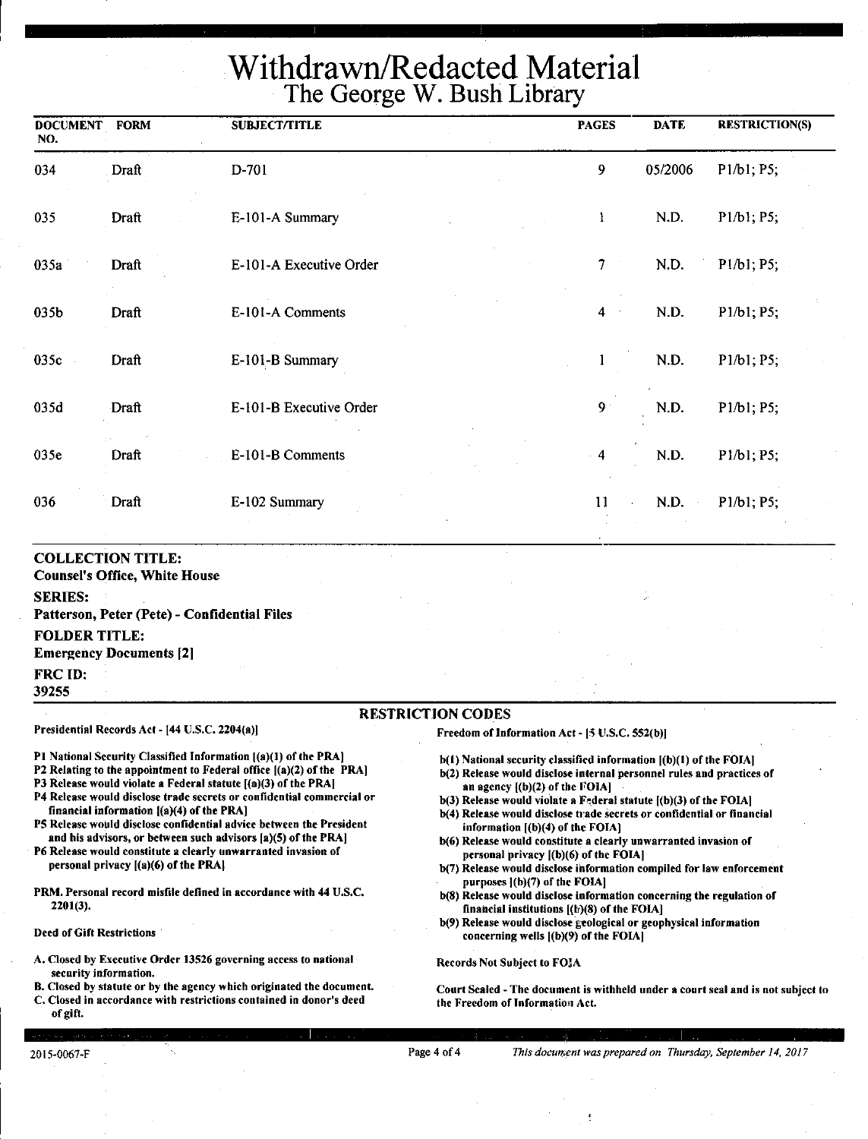| <b>DOCUMENT</b><br>NO. | <b>FORM</b>                                                      | SUBJECT/TITLE                                                   |                                                                    | <b>PAGES</b>             | <b>DATE</b> | <b>RESTRICTION(S)</b>                             |
|------------------------|------------------------------------------------------------------|-----------------------------------------------------------------|--------------------------------------------------------------------|--------------------------|-------------|---------------------------------------------------|
| 034                    | Draft                                                            | D-701                                                           |                                                                    | 9                        | 05/2006     | P1/b1; P5;                                        |
| 035                    | Draft                                                            | E-101-A Summary                                                 |                                                                    | -1                       | N.D.        | P1/b1; P5;                                        |
| 035a                   | Draft                                                            | E-101-A Executive Order                                         |                                                                    | $\tau$<br>$\bar{\gamma}$ | N.D.        | P <sub>1</sub> /b <sub>1</sub> ; P <sub>5</sub> ; |
| 035b                   | Draft                                                            | E-101-A Comments                                                |                                                                    | 4                        | N.D.        | P1/b1; P5;                                        |
| 035c                   | Draft                                                            | E-101-B Summary                                                 |                                                                    |                          | N.D.        | P1/b1; P5;                                        |
| 035d                   | Draft                                                            | E-101-B Executive Order                                         |                                                                    | $9^{\circ}$              | N.D.        | P1/b1; P5;                                        |
| 035e                   | Draft                                                            | E-101-B Comments                                                |                                                                    | 4                        | N.D.        | P1/b1; P5;                                        |
| 036                    | Draft                                                            | E-102 Summary                                                   |                                                                    | 11                       | N.D.        | P1/b1; P5;                                        |
| <b>SERIES:</b>         | <b>COLLECTION TITLE:</b><br><b>Counsel's Office, White House</b> | Patterson, Peter (Pete) - Confidential Files                    |                                                                    |                          |             |                                                   |
| <b>FOLDER TITLE:</b>   | <b>Emergency Documents [2]</b>                                   |                                                                 |                                                                    |                          |             |                                                   |
| FRC ID:<br>39255       |                                                                  |                                                                 |                                                                    |                          |             |                                                   |
|                        |                                                                  |                                                                 | <b>RESTRICTION CODES</b>                                           |                          |             |                                                   |
|                        | Presidential Records Act - [44 U.S.C. 2204(a)]                   |                                                                 | Freedom of Information Act - [5 U.S.C. 552(b)]                     |                          |             |                                                   |
|                        |                                                                  | P1 National Security Classified Information [(a)(1) of the PRA] | b(1) National security classified information [(b)(1) of the FOIA] |                          |             |                                                   |

- 
- P2 Relating to the appointment to Federal office ((a)(2) of the PRA) P3 Release would violate a Federal statute [(a)(3) of the PRAJ
- P4 Release would disclose trade secrets or confidential commercial or
- financial information ((a)(4) of the PRA] PS Release would disclose confidential advice between the President
- and his advisors, or between such advisors (a)(S) of the PRA) P6 Release would constitute a clearly unwarranted invasion of personal privacy ((a)(6) of the **PRAI**
- PRM. Personal record misfile defined in accordance with 44 U.S.C. 2201(3).
- Deed of Gift Restrictions
- A. Closed by Executive Order 13526 governing access to national security information.
- B. Closed by statute or by the agency which originated the document. C. Closed in accordance with restrictions contained in donor's deed
- b(l) National security classified information ((b)(I) of the FOIA)
- b(2) Release would disclose internal personnel rules and practices of an agency  $[(b)(2)$  of the FOIA
- $b(3)$  Release would violate a Federal statute  $[(b)(3)$  of the FOIA]
- b(4) Release would disclose trade secrets or confidential or financial information [(b)(4) of the FOIA]
- b(6) Release would constitute a clearly unwarranted invasion of personal privacy l(b)(6) of the FOIAI
- b(7) Release would disclose information compiled for law enforcement purposes l(h)(7) of the FOIAI
- b(S) Release would disclose information concerning the regulation of financial institutions  $[(k)(8)$  of the FOIA]
- b(9) Release would disclose geological or geophysical information concerning wells ((b)(9) of the FOIA)

Records Not Subject to FOJA

Court Sealed -The document is withheld under a court seal and is not subject to the Freedom of Information Act.

of gift.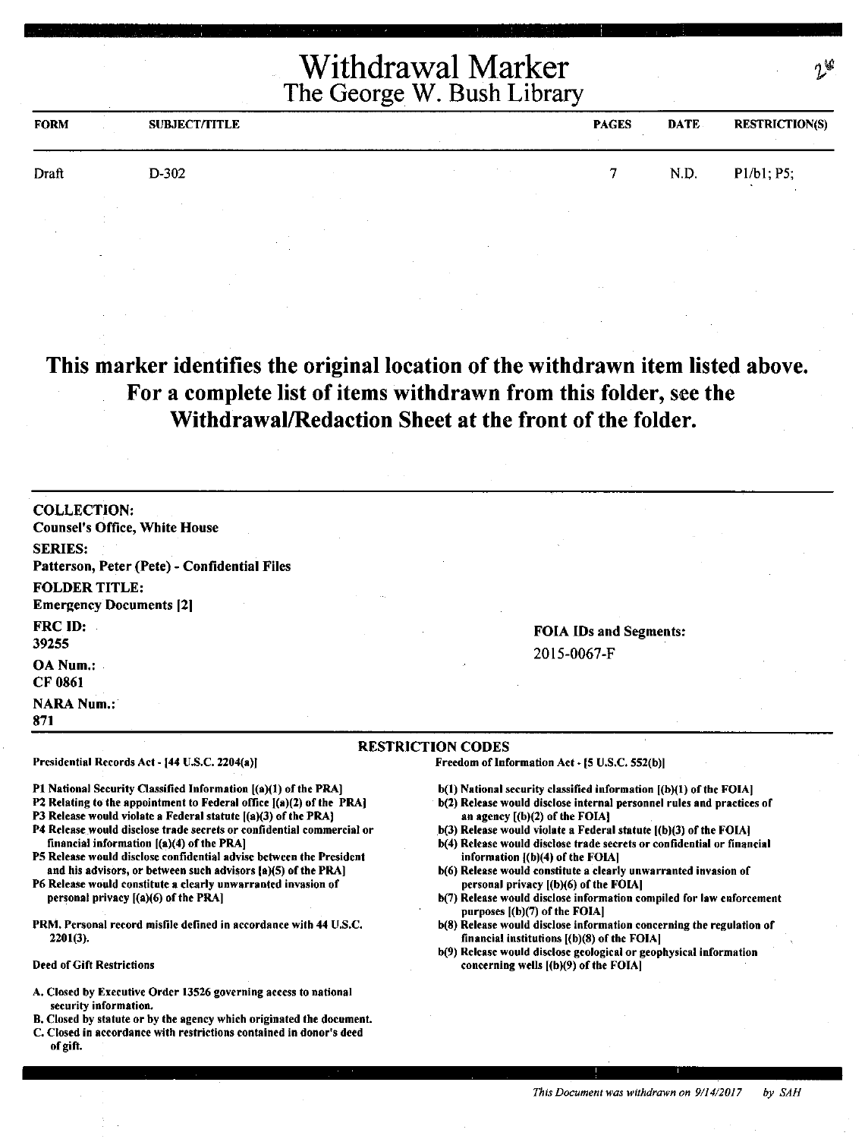| <b>FORM</b> | <b>SUBJECT/TITLE</b> |  | <b>PAGES</b> | <b>DATE</b> | <b>RESTRICTION(S)</b> |
|-------------|----------------------|--|--------------|-------------|-----------------------|
| Draft       | D-302                |  |              | N.D.        | P1/b1; P5;<br>$\cdot$ |
|             |                      |  |              |             |                       |

**This marker identifies the original location of the withdrawn item listed above. For a complete list of items withdrawn from this folder,** see **the Withdrawal/Redaction Sheet at the front of the folder.** 

COLLECTION: Counsel's Office, White House SERIES: Patterson, Peter (Pete)- Confidential Files FOLDER TITLE: Emergency Documents 121 FRC ID: 39255 OA Num.: CF 0861 **NARA Num.:** 871

Presidential Records Act - [44 U.S.C. 2204(a)]

financial information ((a)(4) of the PRA)

personal privacy [(a)(6) of the PRA]

2201(3).

Deed of Gift Restrictions

#### **FOIA IDs and Segments:**  2015-0067-F

#### **RESTRICTION CODES**

Freedom of Information Act - (5 U.S.C. S52(b))

- $b(1)$  National security classified information  $[(b)(1)$  of the FOIA]
- b(2) Release would disclose internal personnel rules and practices of an agency [(b)(2) of the FOIA]
- b(3) Release would violate a Federal statute  $($ b $)(3)$  of the FOIA]
- b(4) Release would disclose trade secrets or confidential or financial information [(b)(4) of the FOIA]
- b(6) Release would constitute a clearly unwarranted invasion of personal privacy [(b)(6) of the FOIA]
- b(7) Release would disclose information compiled for law enforcement purposes [(b)(7) of the FOIA]
- b(8) Release would disclose information concerning the regulation of financial institutions ((b)(8) of the FOIA)
- b(9) Release would disclose geological or geophysical information concerning wells ((b)(9) of the FOIA)

#### A. Closed by Executive Order 13S26 governing access to national security information.

Pl National Security Classified Information [(a)(l) of the PRA) P2 Relating to the appointment to Federal office  $[(a)(2)$  of the PRA] P3 Release would violate a Federal statute [(a)(3) of the PRA] P4 Release would disclose trade secrets or confidential commercial or

PS Release would disclose confidential advise between the President and his advisors, or between such advisors (a)(S) of the PRA] P6 Release would constitute a clearly unwarranted invasion of

PRM. Personal record misfile defined in accordance with 44 U.S.C.

- B. Closed by statute or by the agency which originated the document.
- C. Closed in accordance with restrictions contained in donor's deed of gift.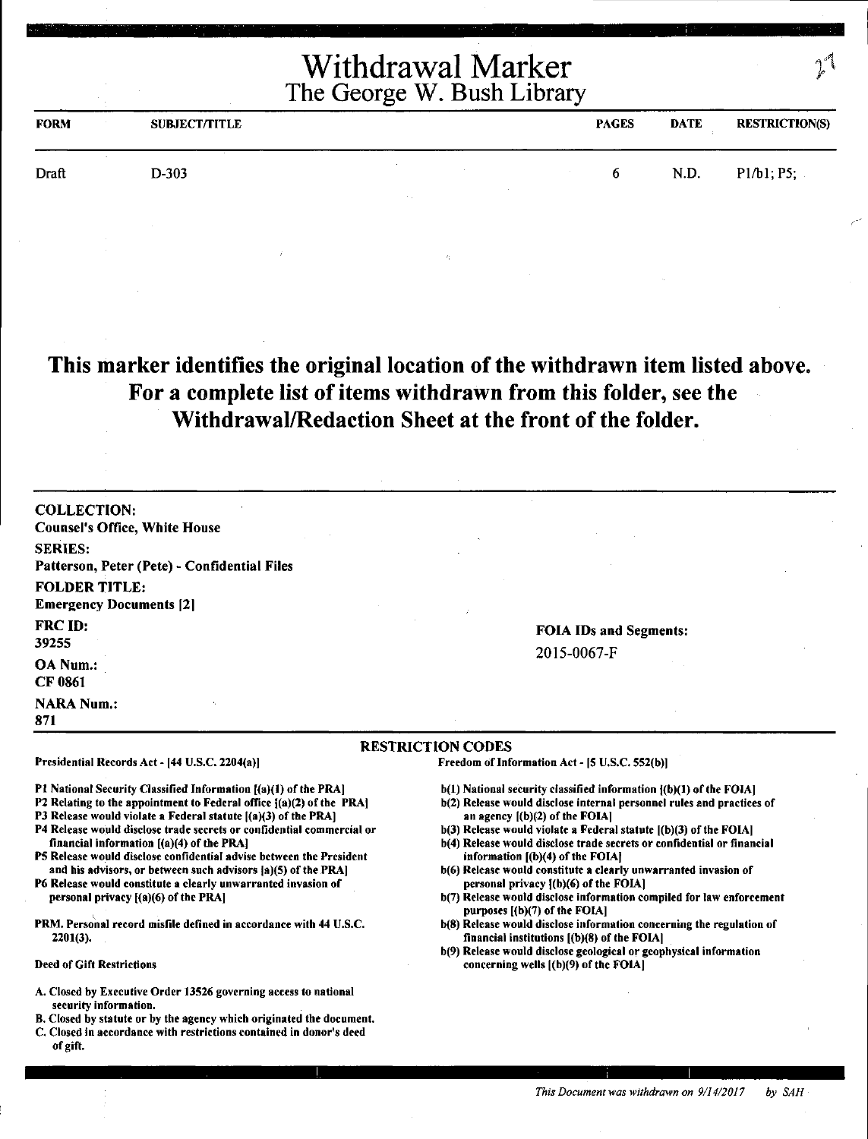| <b>FORM</b> | <b>SUBJECT/TITLE</b> |  | <b>PAGES</b> | <b>DATE</b> | <b>RESTRICTION(S)</b> |
|-------------|----------------------|--|--------------|-------------|-----------------------|
| Draft       | $D-303$              |  | 6.           | N.D.        | P1/b1; P5;            |
|             |                      |  |              |             |                       |

This marker identifies the original location of the withdrawn item listed above. For a complete list of items withdrawn from this folder, see the Withdrawal/Redaction Sheet at the front of the folder.

COLLECTION: Counsel's Office, White House SERIES: Patterson, Peter (Pete) - Confidential Files FOLDER TITLE: Emergency Documents [2[ FRC ID: 39255 OANum.: CF 0861 **NARA Num.:** 

FOIA IDs and Segments: 2015-0067-F

#### RESTRICTION CODES

Presidential Records Act - [44 U.S.C. 2204(a)]

Pl National Security Classified Information [(a)(l) of the PRA]

- P2 Relating to the appointment to Federal office  ${(a)(2)}$  of the PRA]
- P3 Release would violate a Federal statute [(a)(3) of the PRA]
- P4 Release would disclose trade secrets or confidential commercial or financial information [(a)(4) of the PRA)
- PS Release would disclose confidential advise between the President and his advisors, or between such advisors fa)(S) of the PRA]
- P6 Release would constitute a clearly unwarranted invasion of personal privacy ((a)(6) of the PRA]
- PRM. Personal record misfile defined in accordance with 44 U.S.C. 2201(3).
- Deed of Gift Restrictions

871

- A. Closed by Executive Order 13526 governing access to national security information.
- 8. Closed by statute or by the agency which originated the document.
- C. Closed in accordance with restrictions contained in donor's deed of gift.

Freedom of Information Act - (S U.S.C. SS2(b)]

- $b(1)$  National security classified information  $\{(b)(1)$  of the FOIA]
- b(2) Release would disclose internal personnel rules and practices of an agency ((b)(2) of the FOIAI
- $b(3)$  Release would violate a Federal statute  $[(b)(3)$  of the FOIA]
- b(4) Release would disclose trade secrets or confidential or financial information ((b)(4) of the FOIAJ
- b(6) Release would constitute a clearly unwarranted invasion of personal privacy f(b)(6) of the FOIAJ
- b(7) Release would disclose information compiled for law enforcement purposes [(b)(7) of the FOIA]
- b(8) Release would disclose information concerning the regulation of financial institutions [(b)(8) of the FOIAJ
- b(9) Release would disclose geological or geophysical information concerning wells ((b)(9) of the FOIA)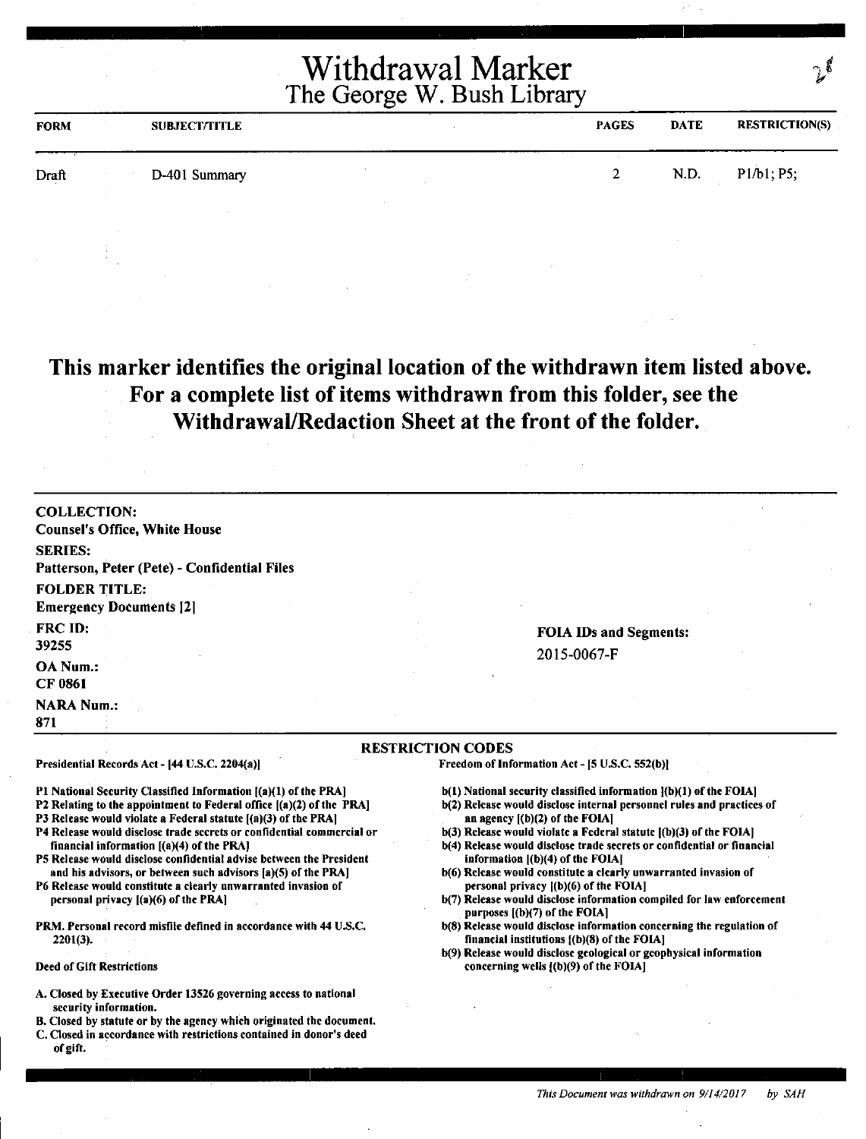| <b>FORM</b> | <b>SUBJECT/TITLE</b> | <b>PAGES</b> | <b>DATE</b> | <b>RESTRICTION(S)</b> |
|-------------|----------------------|--------------|-------------|-----------------------|
| Draft       | D-401 Summary        | $2^{\circ}$  | N.D.        | P1/b1; P5;            |
|             |                      |              |             |                       |

**This marker identifies the original location of the withdrawn item listed above. For a complete list of items withdrawn from this folder, see the Withdrawal/Redaction Sheet at the front of the folder.** 

| <b>COLLECTION:</b>                                                                                                                                                                                                                                                                                                                                                                                                                                                      |                                                                                                                                                                                                                                                                                                                                                                                                                                            |
|-------------------------------------------------------------------------------------------------------------------------------------------------------------------------------------------------------------------------------------------------------------------------------------------------------------------------------------------------------------------------------------------------------------------------------------------------------------------------|--------------------------------------------------------------------------------------------------------------------------------------------------------------------------------------------------------------------------------------------------------------------------------------------------------------------------------------------------------------------------------------------------------------------------------------------|
| <b>Counsel's Office, White House</b>                                                                                                                                                                                                                                                                                                                                                                                                                                    |                                                                                                                                                                                                                                                                                                                                                                                                                                            |
| <b>SERIES:</b>                                                                                                                                                                                                                                                                                                                                                                                                                                                          |                                                                                                                                                                                                                                                                                                                                                                                                                                            |
| Patterson, Peter (Pete) - Confidential Files                                                                                                                                                                                                                                                                                                                                                                                                                            |                                                                                                                                                                                                                                                                                                                                                                                                                                            |
| <b>FOLDER TITLE:</b>                                                                                                                                                                                                                                                                                                                                                                                                                                                    |                                                                                                                                                                                                                                                                                                                                                                                                                                            |
| <b>Emergency Documents [2]</b>                                                                                                                                                                                                                                                                                                                                                                                                                                          |                                                                                                                                                                                                                                                                                                                                                                                                                                            |
| FRC ID:                                                                                                                                                                                                                                                                                                                                                                                                                                                                 | <b>FOIA IDs and Segments:</b>                                                                                                                                                                                                                                                                                                                                                                                                              |
| 39255                                                                                                                                                                                                                                                                                                                                                                                                                                                                   | 2015-0067-F                                                                                                                                                                                                                                                                                                                                                                                                                                |
| OA Num.:<br><b>CF 0861</b>                                                                                                                                                                                                                                                                                                                                                                                                                                              |                                                                                                                                                                                                                                                                                                                                                                                                                                            |
| <b>NARA Num.:</b><br>871                                                                                                                                                                                                                                                                                                                                                                                                                                                |                                                                                                                                                                                                                                                                                                                                                                                                                                            |
|                                                                                                                                                                                                                                                                                                                                                                                                                                                                         | <b>RESTRICTION CODES</b>                                                                                                                                                                                                                                                                                                                                                                                                                   |
| Presidential Records Act - [44 U.S.C. 2204(a)]                                                                                                                                                                                                                                                                                                                                                                                                                          | Freedom of Information Act - [5 U.S.C. 552(b)]                                                                                                                                                                                                                                                                                                                                                                                             |
| P1 National Security Classified Information [(a)(1) of the PRA]<br>P2 Relating to the appointment to Federal office [(a)(2) of the PRA]<br>P3 Release would violate a Federal statute [(a)(3) of the PRA]<br>P4 Release would disclose trade secrets or confidential commercial or<br>financial information [(a)(4) of the PRA]<br>P5 Release would disclose confidential advise between the President<br>and his advisors, or between such advisors [a](5) of the PRA] | b(1) National security classified information {(b)(1) of the FOIA]<br>b(2) Release would disclose internal personnel rules and practices of<br>an agency $[(b)(2)$ of the FOIA]<br>$b(3)$ Release would violate a Federal statute $(6)(3)$ of the FOIA]<br>b(4) Release would disclose trade secrets or confidential or financial<br>information $[(b)(4)$ of the FOIA]<br>b(6) Release would constitute a clearly unwarranted invasion of |
| P6 Release would constitute a clearly unwarranted invasion of<br>personal privacy $[(a)(6)$ of the PRA                                                                                                                                                                                                                                                                                                                                                                  | personal privacy [(b)(6) of the FOIA]<br>b(7) Release would disclose information compiled for law enforcement<br>purposes [(b)(7) of the FOIA]                                                                                                                                                                                                                                                                                             |

PRM. Personal record misfile defined in accordance with 44 U.S.C. 2201(3).

Deed of Gift Restrictions

- A. Closed by Executive Order 13526 governing access to national security information.
- B. Closed by statute or by the agency which originated the document.
- C. Closed in accordance with restrictions contained in donor's deed of gift.

*This Document was withdrawn on 9/14/2017 by SAH* 

b(S) Release would disclose information concerning the regulation of

b(9) Release would disclose geological or geophysical information

financial institutions ((b)(S) of the FOIA)

concerning wells ((b)(9) of the FOIAJ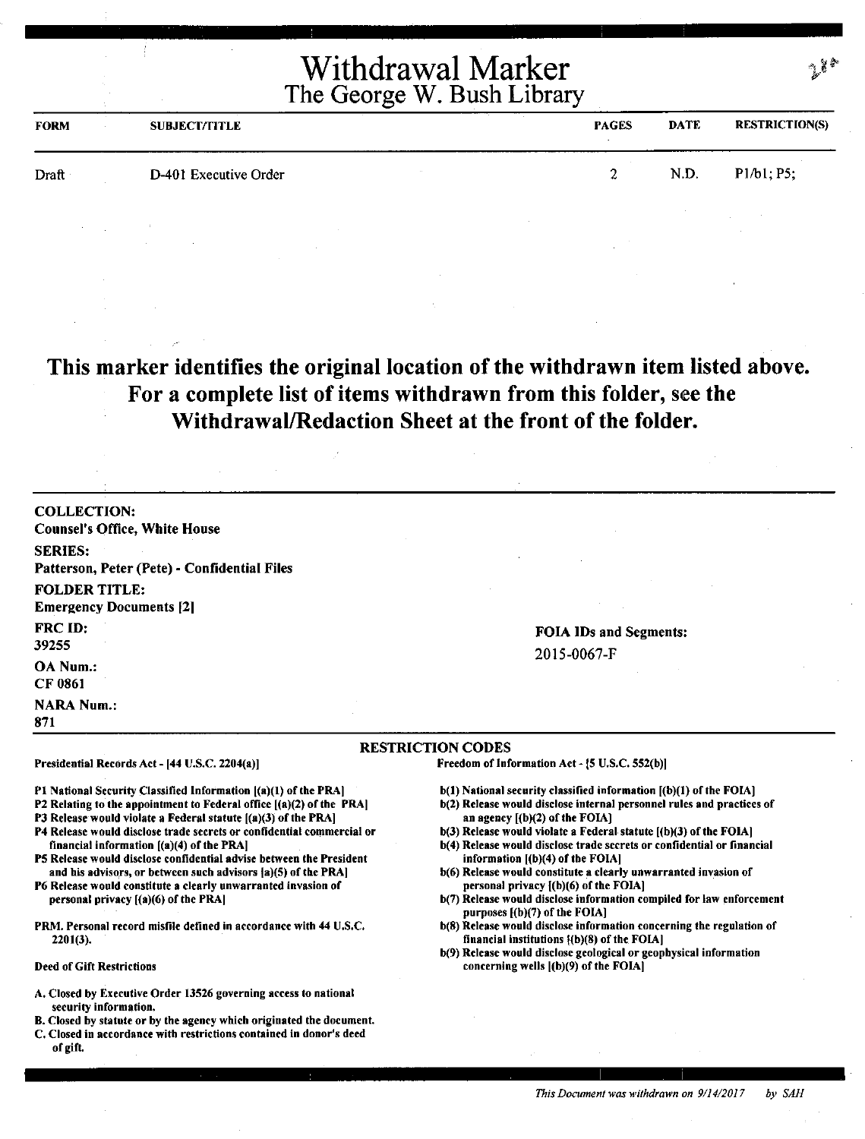| <b>FORM</b> | <b>SUBJECT/TITLE</b>  | <b>PAGES</b> | <b>DATE</b> | <b>RESTRICTION(S)</b> |
|-------------|-----------------------|--------------|-------------|-----------------------|
| Draft       | D-401 Executive Order | $\Delta$     | N.D.        | P1/b1; P5;            |

### **This marker identifies the original location of the withdrawn item listed above. For a complete list of items withdrawn from this folder,** see **the Withdrawal/Redaction Sheet at the front of the folder.**

COLLECTION: Counsel's Office, White House SERIES: Patterson, Peter (Pete) - Confidential Files FOLDER TITLE: Emergency Documents [2] FRC ID: 39255 OA Num.: CF 0861 **NARA Num.:** 871

Presidential Records Act - (44 U.S.C. 2204(a)]

financial information ((a)(4) of the PRA)

personal privacy [(a)(6) of the PRAJ

2201(3).

Deed of Gift Restrictions

#### FOIA IDs and Segments: 2015-0067-F

#### RESTRICTION CODES

Freedom of Information Act -  $[5$  U.S.C. 552(b)]

- b(l) National security classified information [(b)(l) of the FOIA]
- b(2) Release would disclose internal personnel rules and practices of an agency  $[(b)(2)$  of the FOIA]
- $b(3)$  Release would violate a Federal statute  $[(b)(3)$  of the FOIA]
- b(4) Release would disclose trade secrets or confidential or financial information  $[(b)(4)$  of the FOIA]
- b(6) Release would constitute a clearly unwarranted invasion of personal privacy l(b)(6) of the FOIA]
- b(7) Release would disclose information compiled for law enforcement purposes [(b)(7) of the FOIA]
- b(S) Release would disclose information concerning the regulation of financial institutions  ${(b)(8)}$  of the FOIA)
- b(9) Release would disclose geological or geophysical information concerning wells ((b)(9) of the FOIA)
- A. Closed by Executive Order 13526 governing access to national security information.

Pl National Security Classified Information ((a)(l) of the PRA) P2 Relating to the appointment to Federal office [(a)(2) of the PRA) P3 Release would violate a Federal statute  $[(a)(3)$  of the PRA] P4 Release would disclose trade secrets or confidential commercial or

PS Release would disclose confidential advise between the President and his advisors, or between such advisors  $a(5)$  of the PRA] P6 Release would constitute a clearly unwarranted invasion of

PRM. Personal record misfile defined in accordance with 44 U.S.C.

- B. Closed by statute or by the agency which originated the document.
- C. Closed in accordance with restrictions contained in donor's deed of gift.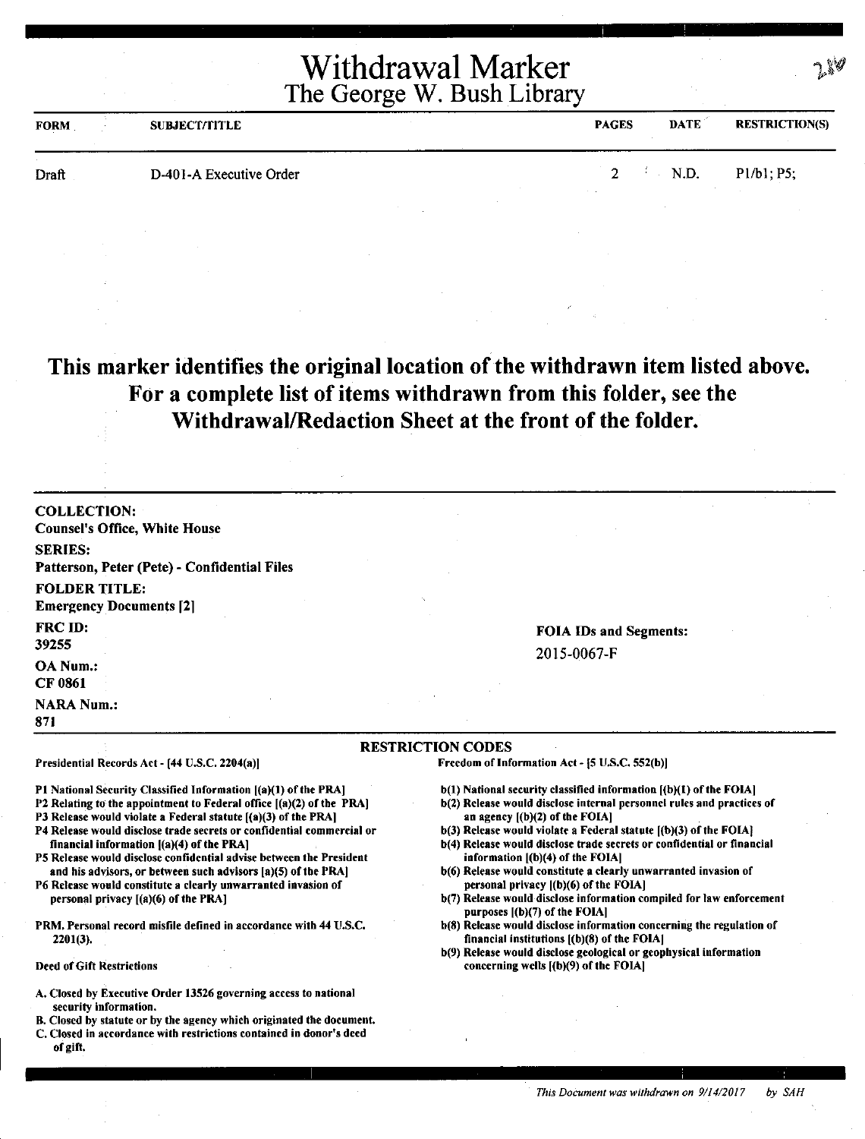| <b>FORM</b> | <b>SUBJECT/TITLE</b>    | <b>PAGES</b>  | <b>DATE</b> | <b>RESTRICTION(S)</b> |
|-------------|-------------------------|---------------|-------------|-----------------------|
| Draft       | D-401-A Executive Order | $\mathcal{D}$ | N.D.        | P1/b1; P5;            |

## **This marker identifies the original location of the withdrawn item listed above. For a complete list of items withdrawn from this folder, see the Withdrawal/Redaction Sheet at the front of the folder.**

| <b>COLLECTION:</b><br><b>Counsel's Office, White House</b>                                                                                                                                                                                                                                                                                                                                                                                                                                                                                                                                                                                                                                                   |                                                                                                                                                                                                                                                                                                                                                                                                                                                                                                                                                                                                                                                                                                                                                                                                                                                   |
|--------------------------------------------------------------------------------------------------------------------------------------------------------------------------------------------------------------------------------------------------------------------------------------------------------------------------------------------------------------------------------------------------------------------------------------------------------------------------------------------------------------------------------------------------------------------------------------------------------------------------------------------------------------------------------------------------------------|---------------------------------------------------------------------------------------------------------------------------------------------------------------------------------------------------------------------------------------------------------------------------------------------------------------------------------------------------------------------------------------------------------------------------------------------------------------------------------------------------------------------------------------------------------------------------------------------------------------------------------------------------------------------------------------------------------------------------------------------------------------------------------------------------------------------------------------------------|
| <b>SERIES:</b><br>Patterson, Peter (Pete) - Confidential Files                                                                                                                                                                                                                                                                                                                                                                                                                                                                                                                                                                                                                                               |                                                                                                                                                                                                                                                                                                                                                                                                                                                                                                                                                                                                                                                                                                                                                                                                                                                   |
| <b>FOLDER TITLE:</b><br><b>Emergency Documents [2]</b>                                                                                                                                                                                                                                                                                                                                                                                                                                                                                                                                                                                                                                                       |                                                                                                                                                                                                                                                                                                                                                                                                                                                                                                                                                                                                                                                                                                                                                                                                                                                   |
| <b>FRC ID:</b><br>39255                                                                                                                                                                                                                                                                                                                                                                                                                                                                                                                                                                                                                                                                                      | <b>FOIA IDs and Segments:</b><br>2015-0067-F                                                                                                                                                                                                                                                                                                                                                                                                                                                                                                                                                                                                                                                                                                                                                                                                      |
| <b>OA Num:</b><br><b>CF 0861</b>                                                                                                                                                                                                                                                                                                                                                                                                                                                                                                                                                                                                                                                                             |                                                                                                                                                                                                                                                                                                                                                                                                                                                                                                                                                                                                                                                                                                                                                                                                                                                   |
| <b>NARA Num.:</b><br>871                                                                                                                                                                                                                                                                                                                                                                                                                                                                                                                                                                                                                                                                                     |                                                                                                                                                                                                                                                                                                                                                                                                                                                                                                                                                                                                                                                                                                                                                                                                                                                   |
|                                                                                                                                                                                                                                                                                                                                                                                                                                                                                                                                                                                                                                                                                                              | <b>RESTRICTION CODES</b>                                                                                                                                                                                                                                                                                                                                                                                                                                                                                                                                                                                                                                                                                                                                                                                                                          |
| Presidential Records Act - [44 U.S.C. 2204(a)]                                                                                                                                                                                                                                                                                                                                                                                                                                                                                                                                                                                                                                                               | Freedom of Information Act - [5 U.S.C. 552(b)]                                                                                                                                                                                                                                                                                                                                                                                                                                                                                                                                                                                                                                                                                                                                                                                                    |
| P1 National Security Classified Information [(a)(1) of the PRA]<br>P2 Relating to the appointment to Federal office [(a)(2) of the PRA]<br>P3 Release would violate a Federal statute [(a)(3) of the PRA]<br>P4 Release would disclose trade secrets or confidential commercial or<br>financial information $[(a)(4)$ of the PRA]<br>P5 Release would disclose confidential advise between the President<br>and his advisors, or between such advisors [a](5) of the PRA]<br>P6 Release would constitute a clearly unwarranted invasion of<br>personal privacy $[(a)(6)$ of the PRA]<br>PRM, Personal record misfile defined in accordance with 44 U.S.C.<br>$2201(3)$ .<br><b>Deed of Gift Restrictions</b> | $b(1)$ National security classified information $(a)(1)$ of the FOIA]<br>b(2) Release would disclose internal personnel rules and practices of<br>an agency $($ (b) $(2)$ of the FOIA $]$<br>b(3) Release would violate a Federal statute [(b)(3) of the FOIA]<br>b(4) Release would disclose trade secrets or confidential or financial<br>information [(b)(4) of the FOIA]<br>b(6) Release would constitute a clearly unwarranted invasion of<br>personal privacy [(b)(6) of the FOIA]<br>b(7) Release would disclose information compiled for law enforcement<br>purposes $[(b)(7)$ of the FOIA]<br>b(8) Release would disclose information concerning the regulation of<br>financial institutions $(6)(8)$ of the FOIA<br>b(9) Release would disclose geological or geophysical information<br>concerning wells $($ (b) $(9)$ of the FOIA $]$ |
| A. Closed by Executive Order 13526 governing access to national<br>security information.                                                                                                                                                                                                                                                                                                                                                                                                                                                                                                                                                                                                                     |                                                                                                                                                                                                                                                                                                                                                                                                                                                                                                                                                                                                                                                                                                                                                                                                                                                   |

B. Closed by statute or by the agency which originated the document. C. Closed in accordance with restrictions contained in donor's deed

of gift.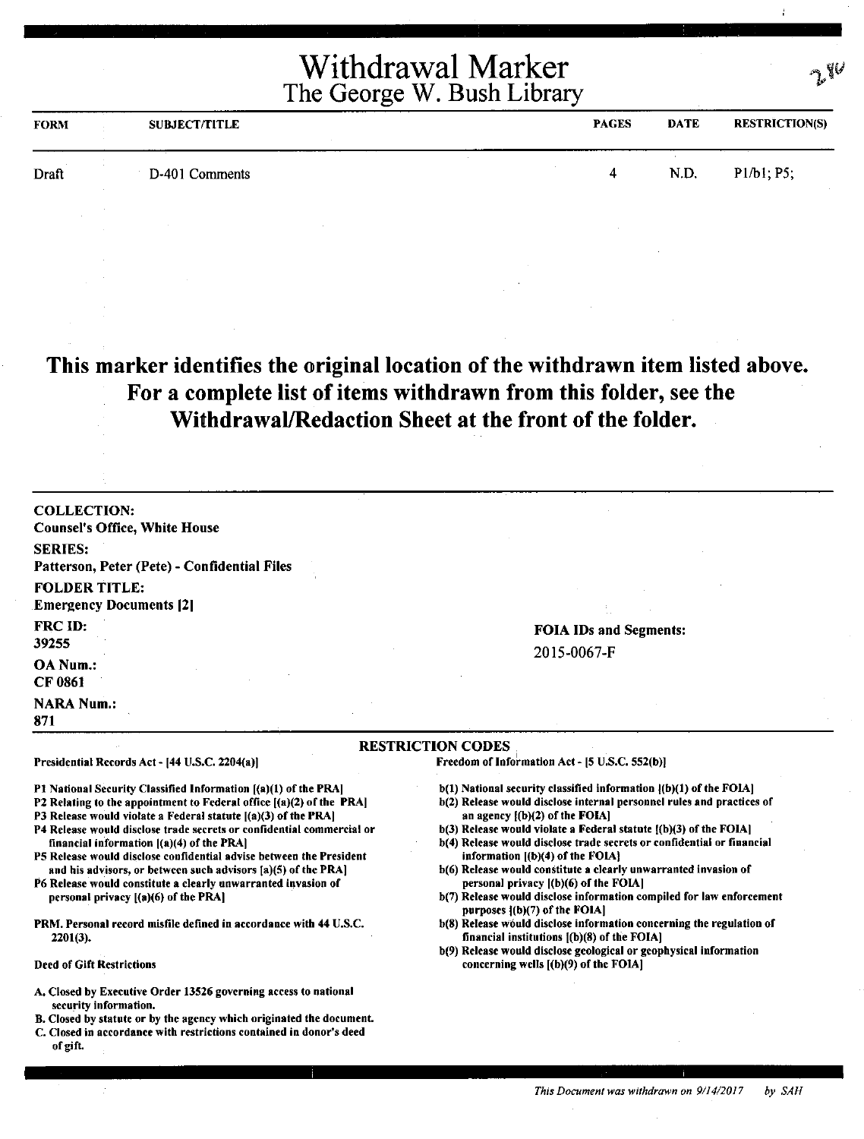| <b>FORM</b> | <b>SUBJECT/TITLE</b> | <b>PAGES</b> | <b>DATE</b> | <b>RESTRICTION(S)</b> |
|-------------|----------------------|--------------|-------------|-----------------------|
| Draft       | D-401 Comments       |              | N.D.        | P1/b1; P5;            |

### **This marker identifies the original location of the withdrawn item listed above. For a complete list of items withdrawn from this folder, see the Withdrawal/Redaction Sheet at the front of the folder.**

| <b>COLLECTION:</b>                                                                                                                      |                                                                                                                          |
|-----------------------------------------------------------------------------------------------------------------------------------------|--------------------------------------------------------------------------------------------------------------------------|
| <b>Counsel's Office, White House</b>                                                                                                    |                                                                                                                          |
| <b>SERIES:</b>                                                                                                                          |                                                                                                                          |
| Patterson, Peter (Pete) - Confidential Files                                                                                            |                                                                                                                          |
| <b>FOLDER TITLE:</b>                                                                                                                    |                                                                                                                          |
| <b>Emergency Documents [2]</b>                                                                                                          |                                                                                                                          |
| <b>FRC ID:</b>                                                                                                                          | <b>FOIA IDs and Segments:</b>                                                                                            |
| 39255                                                                                                                                   | 2015-0067-F                                                                                                              |
| <b>OA Num.:</b>                                                                                                                         |                                                                                                                          |
| CF 0861                                                                                                                                 |                                                                                                                          |
| <b>NARA Num.:</b>                                                                                                                       |                                                                                                                          |
| 871                                                                                                                                     |                                                                                                                          |
|                                                                                                                                         | <b>RESTRICTION CODES</b>                                                                                                 |
| Presidential Records Act - [44 U.S.C. 2204(a)]                                                                                          | Freedom of Information Act - [5 U.S.C. 552(b)]                                                                           |
| P1 National Security Classified Information [(a)(1) of the PRA]                                                                         | $b(1)$ National security classified information $(1b)(1)$ of the FOIA]                                                   |
| P2 Relating to the appointment to Federal office $(a)(2)$ of the PRA                                                                    | b(2) Release would disclose internal personnel rules and practices of                                                    |
| P3 Release would violate a Federal statute [(a)(3) of the PRA]<br>P4 Release would disclose trade secrets or confidential commercial or | an agency ${(b)(2)}$ of the FOIA]<br>b(3) Release would violate a Federal statute [(b)(3) of the FOIA]                   |
| financial information $ (a)(4)$ of the PRA                                                                                              | b(4) Release would disclose trade secrets or confidential or financial                                                   |
| P5 Release would disclose confidential advise between the President                                                                     | information $[(b)(4)$ of the FOIA}                                                                                       |
| and his advisors, or between such advisors [a](5) of the PRA]<br>P6 Release would constitute a clearly unwarranted invasion of          | b(6) Release would constitute a clearly unwarranted invasion of<br>personal privacy [(b)(6) of the FOIA]                 |
| personal privacy $[(a)(6)$ of the PRA]                                                                                                  | b(7) Release would disclose information compiled for law enforcement<br>purposes ((b)(7) of the FOIA]                    |
| PRM. Personal record misfile defined in accordance with 44 U.S.C.                                                                       | b(8) Release would disclose information concerning the regulation of                                                     |
| $2201(3)$ .                                                                                                                             | financial institutions $($ b $)(8)$ of the FOIA $]$<br>b(9) Release would disclose geological or geophysical information |
| <b>Deed of Gift Restrictions</b>                                                                                                        | concerning wells $($ (b $)(9)$ ) of the FOIA $\vert$                                                                     |
| A. Closed by Executive Order 13526 governing access to national                                                                         |                                                                                                                          |
| security information.<br>B. Closed by statute or by the agency which originated the document.                                           |                                                                                                                          |
| C. Closed in accordance with restrictions contained in donor's deed                                                                     |                                                                                                                          |

of gift.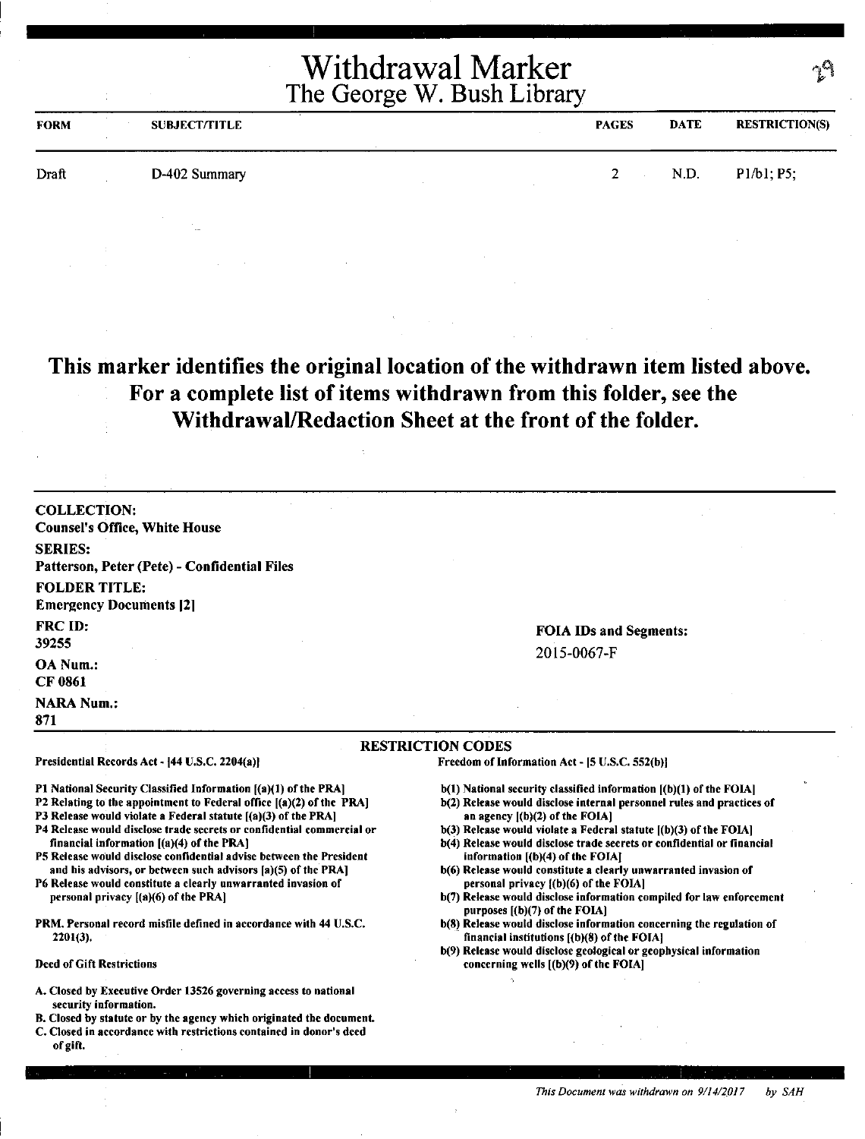| <b>FORM</b> | <b>SUBJECT/TITLE</b> | <b>PAGES</b>    | <b>DATE</b> | <b>RESTRICTION(S)</b> |
|-------------|----------------------|-----------------|-------------|-----------------------|
| Draft       | D-402 Summary        | $2 \rightarrow$ | N.D.        | P1/b1; P5;            |
|             |                      |                 |             |                       |

### **This marker identifies the original location of the withdrawn item listed above. For a complete list of items withdrawn from this folder, see the Withdrawal/Redaction Sheet at the front of the folder.**

COLLECTION: Counsel's Office, White House SERIES: Patterson, Peter (Pete) - Confidential Files FOLDER TITLE: **Emergency Documents [2]** FRC ID: 39255 OA Num.: CF 0861 **NARA Num.:** 871

Presidential Records Act - [44 U.S.C. 2204(a)]

financial information ((a)(4) of the PRA]

personal privacy ((a)(6) of the PRA)

2201(3),

Deed of Gift Restrictions

FOIA IDs and Segments: 2015-0067-F

#### RESTRICTION CODES

Freedom of Information Act - (S U.S.C. 552(b)I

- b(l) National security classified information ((b)(l) of the FOIA)
- b(2) Release would disclose internal personnel rules and practices of an agency  $[(b)(2)$  of the FOIA]
- b(3) Release would violate a Federal statute [(b)(3) of the FOIA]
- b(4) Release would disclose trade secrets or confidential or financial information [(b)(4) of the FOIA]
- b(6) Release would constitute a clearly unwarranted invasion of personal privacy [(b)(6) of the FOIA]
- b(7) Release would disclose information compiled for law enforcement purposes [(b)(7) of the FOIA]
- b(8) Release would disclose information concerning the regulation of financial institutions  $[(b)(8)$  of the FOIA]
- b(9) Release would disclose geological or geophysical information concerning wells ((b)(9) of the FOIA)
- A. Closed by Executive Order 13526 governing access to national security information.

Pl National Security Classified Information ((a)(l) of the PRA] P2 Relating to the appointment to Federal office ((a)(2) of the PRA] P3 Release would violate a Federal statute  $[(a)(3)$  of the PRA] P4 Release would disclose trade secrets or confidential commercial or

PS Release would disclose confidential advise between the President and his advisors, or between such advisors (a)(S) of the PRA] P6 Release would constitute a clearly unwarranted invasion of

PRM. Personal record misfile defined in accordance with 44 U.S.C.

- 8. Closed by statute or by the agency which originated the document.
- C. Closed in accordance with restrictions contained in donor's deed of gift.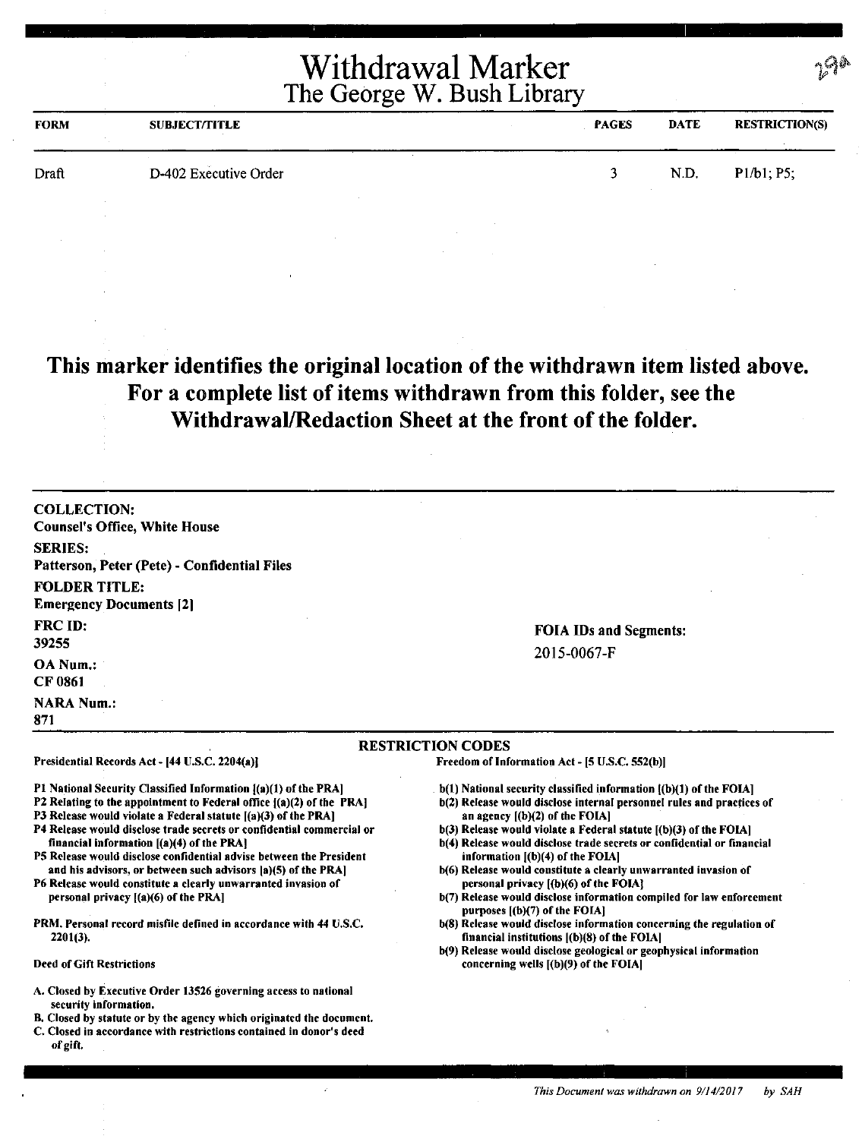| <b>FORM</b> | <b>SUBJECT/TITLE</b>  | <b>PAGES</b> | <b>DATE</b> | <b>RESTRICTION(S)</b> |
|-------------|-----------------------|--------------|-------------|-----------------------|
| Draft       | D-402 Executive Order |              | N.D.        | $P1/b1, P5$ ;         |

# **This marker identifies the original location of the withdrawn item listed above. For a complete list of items withdrawn from this folder, see the Withdrawal/Redaction Sheet at the front of the folder.**

| <b>COLLECTION:</b><br><b>Counsel's Office, White House</b>                                                                                                                                                                                                                                                                                                                                                                                                                                                                                                                                                                                                             |                                                                                                                                                                                                                                                                                                                                                                                                                                                                                                                                                                                                                                                                                                                                                                                       |
|------------------------------------------------------------------------------------------------------------------------------------------------------------------------------------------------------------------------------------------------------------------------------------------------------------------------------------------------------------------------------------------------------------------------------------------------------------------------------------------------------------------------------------------------------------------------------------------------------------------------------------------------------------------------|---------------------------------------------------------------------------------------------------------------------------------------------------------------------------------------------------------------------------------------------------------------------------------------------------------------------------------------------------------------------------------------------------------------------------------------------------------------------------------------------------------------------------------------------------------------------------------------------------------------------------------------------------------------------------------------------------------------------------------------------------------------------------------------|
| <b>SERIES:</b><br>Patterson, Peter (Pete) - Confidential Files                                                                                                                                                                                                                                                                                                                                                                                                                                                                                                                                                                                                         |                                                                                                                                                                                                                                                                                                                                                                                                                                                                                                                                                                                                                                                                                                                                                                                       |
| <b>FOLDER TITLE:</b><br><b>Emergency Documents [2]</b>                                                                                                                                                                                                                                                                                                                                                                                                                                                                                                                                                                                                                 |                                                                                                                                                                                                                                                                                                                                                                                                                                                                                                                                                                                                                                                                                                                                                                                       |
| <b>FRC ID:</b><br>39255                                                                                                                                                                                                                                                                                                                                                                                                                                                                                                                                                                                                                                                | <b>FOIA IDs and Segments:</b><br>2015-0067-F                                                                                                                                                                                                                                                                                                                                                                                                                                                                                                                                                                                                                                                                                                                                          |
| <b>OA Num.:</b><br><b>CF 0861</b>                                                                                                                                                                                                                                                                                                                                                                                                                                                                                                                                                                                                                                      |                                                                                                                                                                                                                                                                                                                                                                                                                                                                                                                                                                                                                                                                                                                                                                                       |
| <b>NARA Num.:</b><br>871                                                                                                                                                                                                                                                                                                                                                                                                                                                                                                                                                                                                                                               |                                                                                                                                                                                                                                                                                                                                                                                                                                                                                                                                                                                                                                                                                                                                                                                       |
|                                                                                                                                                                                                                                                                                                                                                                                                                                                                                                                                                                                                                                                                        | <b>RESTRICTION CODES</b>                                                                                                                                                                                                                                                                                                                                                                                                                                                                                                                                                                                                                                                                                                                                                              |
| Presidential Records Act - [44 U.S.C. 2204(a)]                                                                                                                                                                                                                                                                                                                                                                                                                                                                                                                                                                                                                         | Freedom of Information Act - [5 U.S.C. 552(b)]                                                                                                                                                                                                                                                                                                                                                                                                                                                                                                                                                                                                                                                                                                                                        |
| P1 National Security Classified Information [(a)(1) of the PRA]<br>P2 Relating to the appointment to Federal office $[(a)(2)$ of the PRA]<br>P3 Release would violate a Federal statute [(a)(3) of the PRA]<br>P4 Release would disclose trade secrets or confidential commercial or<br>financial information [(a)(4) of the PRA]<br>P5 Release would disclose confidential advise between the President<br>and his advisors, or between such advisors (a)(5) of the PRA)<br>P6 Release would constitute a clearly unwarranted invasion of<br>personal privacy [(a)(6) of the PRA]<br>PRM, Personal record misfile defined in accordance with 44 U.S.C.<br>$2201(3)$ . | b(1) National security classified information ((b)(1) of the FOIA]<br>b(2) Release would disclose internal personnel rules and practices of<br>an agency $[(b)(2)$ of the FOIA]<br>b(3) Release would violate a Federal statute [(b)(3) of the FOIA]<br>b(4) Release would disclose trade secrets or confidential or financial<br>information $[(b)(4)$ of the FOIA]<br>b(6) Release would constitute a clearly unwarranted invasion of<br>personal privacy ((b)(6) of the FOIA?<br>b(7) Release would disclose information compiled for law enforcement<br>purposes [(b)(7) of the FOIA]<br>b(8) Release would disclose information concerning the regulation of<br>financial institutions [(b)(8) of the FOIA]<br>b(9) Release would disclose geological or geophysical information |
| Deed of Gift Restrictions                                                                                                                                                                                                                                                                                                                                                                                                                                                                                                                                                                                                                                              | concerning wells $[(b)(9)$ of the FOIA]                                                                                                                                                                                                                                                                                                                                                                                                                                                                                                                                                                                                                                                                                                                                               |
| A. Closed by Executive Order 13526 governing access to national<br>security information.                                                                                                                                                                                                                                                                                                                                                                                                                                                                                                                                                                               |                                                                                                                                                                                                                                                                                                                                                                                                                                                                                                                                                                                                                                                                                                                                                                                       |

- B. Closed by statute or by the agency which originated the document.
- C. Closed in accordance with restrictions contained in donor's deed of gift.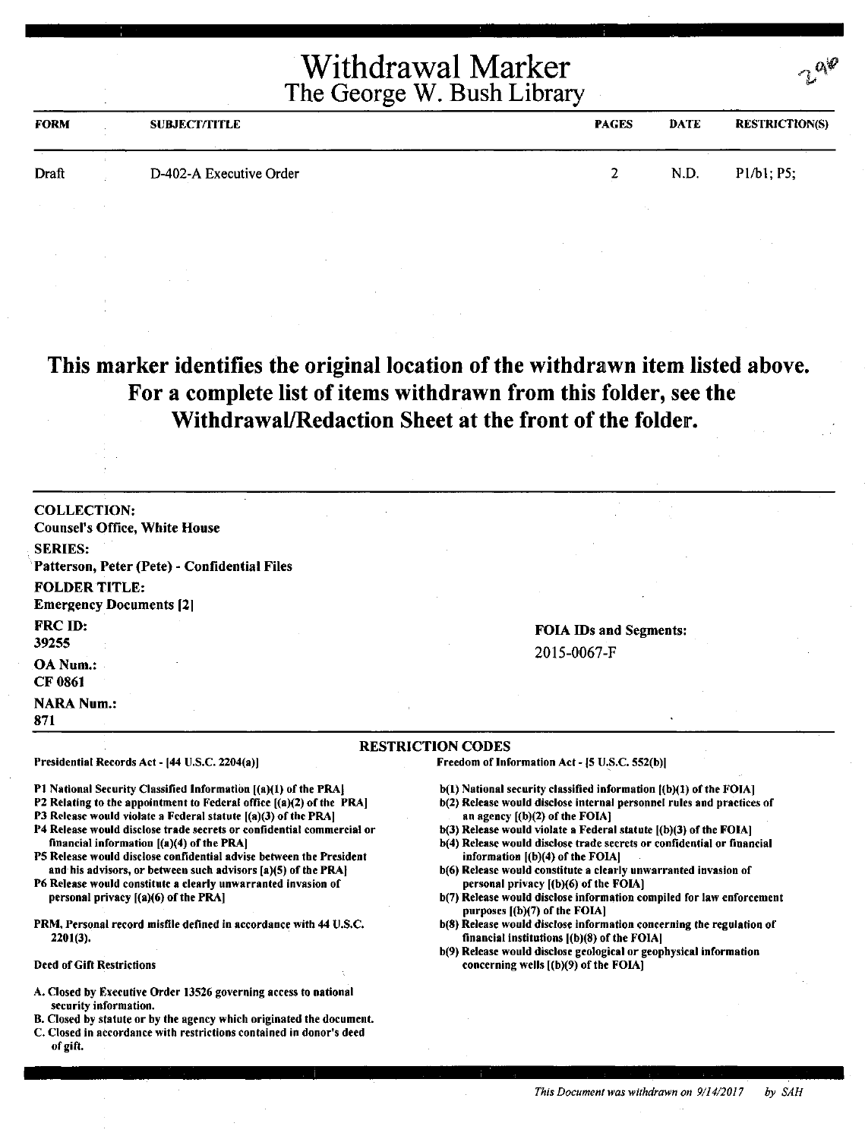| <b>FORM</b> | <b>SUBJECT/TITLE</b>    | <b>PAGES</b> | <b>DATE</b> | <b>RESTRICTION(S)</b> |
|-------------|-------------------------|--------------|-------------|-----------------------|
| Draft       | D-402-A Executive Order |              | N.D.        | P1/b1; P5;            |
|             |                         |              |             |                       |

### **This marker identifies the original location of the withdrawn item listed above. For a complete list of items withdrawn from this folder, see the Withdrawal/Redaction Sheet at the front of the folder.**

COLLECTION: Counsel's Office, White House SERIES: Patterson, Peter {Pete) - Confidential Files FOLDER TITLE: **Emergency Documents [2]** FRCID: 39255 OANum.: CF 0861 **NARA Num.:** 871

Presidential Records Act - (44 U.S.C. 2204(a))

financial information [(a)(4) of the PRA)

personal privacy [(a)(6) of the PRAJ

2201(3).

Deed of Gift Restrictions

#### FOIA IDs and Segments: 2015-0067-F

#### **RESTRICTION CODES**

Freedom of Information Act - [5 U.S.C. 552(b)]

- b(l) National security classified information ((b)(l) of the FOIA]
- b(2) Release would disclose internal personnel rules and practices of an agency [(b)(2) of the FOIA]
- $b(3)$  Release would violate a Federal statute  $[(b)(3)$  of the FOIA]
- b(4) Release would disclose trade secrets or confidential or financial information ((b)(4) of the FOIA]
- b(6) Release would constitute a clearly unwarranted invasion of personal privacy [(b)(6) of the FOIA]
- b(7) Release would disclose information compiled for law enforcement purposes [(b)(7) of the FOIA]
- b(8) Release would disclose information concerning the regulation of financial institutions ((b)(8) of the FOIA)
- b(9) Release would disclose geological or geophysical information concerning wells [(b)(9) of the FOIA]
- A. Closed by Executive Order 13526 governing access to national security information.

P1 National Security Classified Information [(a)(1) of the PRA] P2 Relating to the appointment to Federal office [(a)(2) of the PRA) P3 Release would violate a Federal statute  $[(a)(3)$  of the PRA] P4 Release would disclose trade secrets or confidential commercial or

PS Release would disclose confidential advise between the President and his advisors, or between such advisors [a)(5) of the PRA] P6 Release would constitute a clearly unwarranted invasion of

PRM. Personal record misfile defined in accordance with 44 U.S.C.

- B. Closed by statute or by the agency which originated the document.
- C. Closed in accordance with restrictions contained in donor's deed of gift.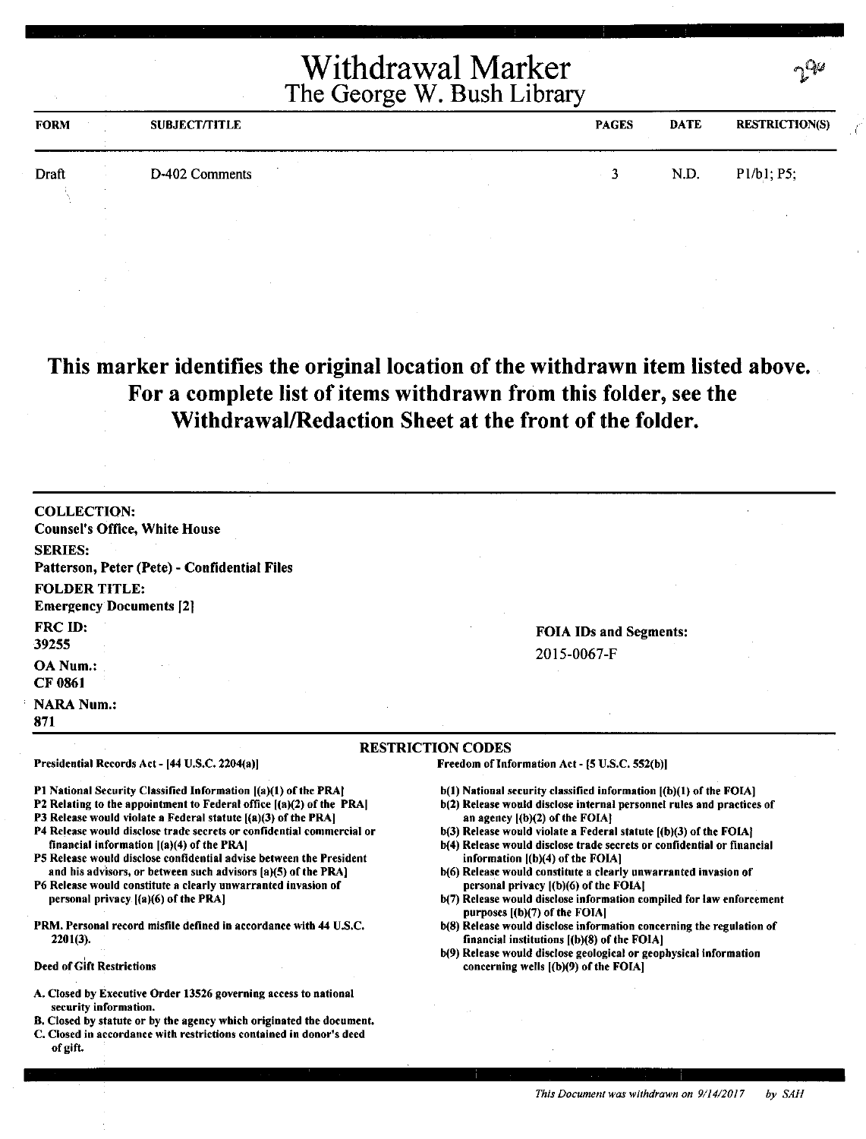|             |                      | <b>Withdrawal Marker</b><br>The George W. Bush Library |             | $\gamma$              |
|-------------|----------------------|--------------------------------------------------------|-------------|-----------------------|
| <b>FORM</b> | <b>SUBJECT/TITLE</b> | <b>PAGES</b>                                           | <b>DATE</b> | <b>RESTRICTION(S)</b> |
| Draft       | D-402 Comments       |                                                        | N.D.        | P1/b1; P5;            |

**This marker identifies the original location** of **the withdrawn item listed above. For a complete list of items withdrawn from this folder, see the Withdrawal/Redaction Sheet at the front of** the **folder.** 

| OA Num.:<br>CF 0861<br><b>NARA Num.:</b>                       |                                              |
|----------------------------------------------------------------|----------------------------------------------|
| FRC ID:<br>39255                                               | <b>FOIA IDs and Segments:</b><br>2015-0067-F |
| <b>FOLDER TITLE:</b><br><b>Emergency Documents</b> [2]         |                                              |
| <b>SERIES:</b><br>Patterson, Peter (Pete) - Confidential Files |                                              |
| <b>COLLECTION:</b><br><b>Counsel's Office, White House</b>     |                                              |

- P2 Relating to the appointment to Federal office [(a)(2) of the PRAJ
- P3 Release would violate a Federal statute ((a)(3) of the PRA)
- P4 Release would disclose trade secrets or confidential commercial or financial information ((a)(4) of the PRAJ
- P5 Release would disclose confidential advise between the President and his advisors, or between such advisors [a)(5) of the PRA)
- P6 Release would constitute a clearly unwarranted invasion of personal privacy ((a)(6) of the PRAJ
- PRM. Personal record misfile defined in accordance with 44 U.S.C. 2201(3).
- Deed of Gift Restrictions
- A. Closed by Executive Order 13526 governing access to national security information.
- B. Closed by statute or by the agency which originated the document. C. Closed in accordance with restrictions contained in donor's deed
- of gift.
- 
- b(2) Release would disclose internal personnel rules and practices of an agency ((b)(2) of the FOIAJ
- b(3) Release would violate a Federal statute ((b)(3) of the FOIAJ
- b(4) Release would disclose trade secrets or confidential or financial information ((b)(4) of the FOIAJ
- b(6) Release would constitute a clearly unwarranted invasion of personal privacy ((b)(6) of the FOIAJ
- b(7) Release would disclose information compiled for law enforcement purposes ((b)(7) of the FOIAJ
- b(8) Release would disclose information concerning the regulation of financial institutions ((b)(8) of the FOIA)
- b(9) Release would disclose geological or geophysical information concerning wells ((b)(9) of the FOIAJ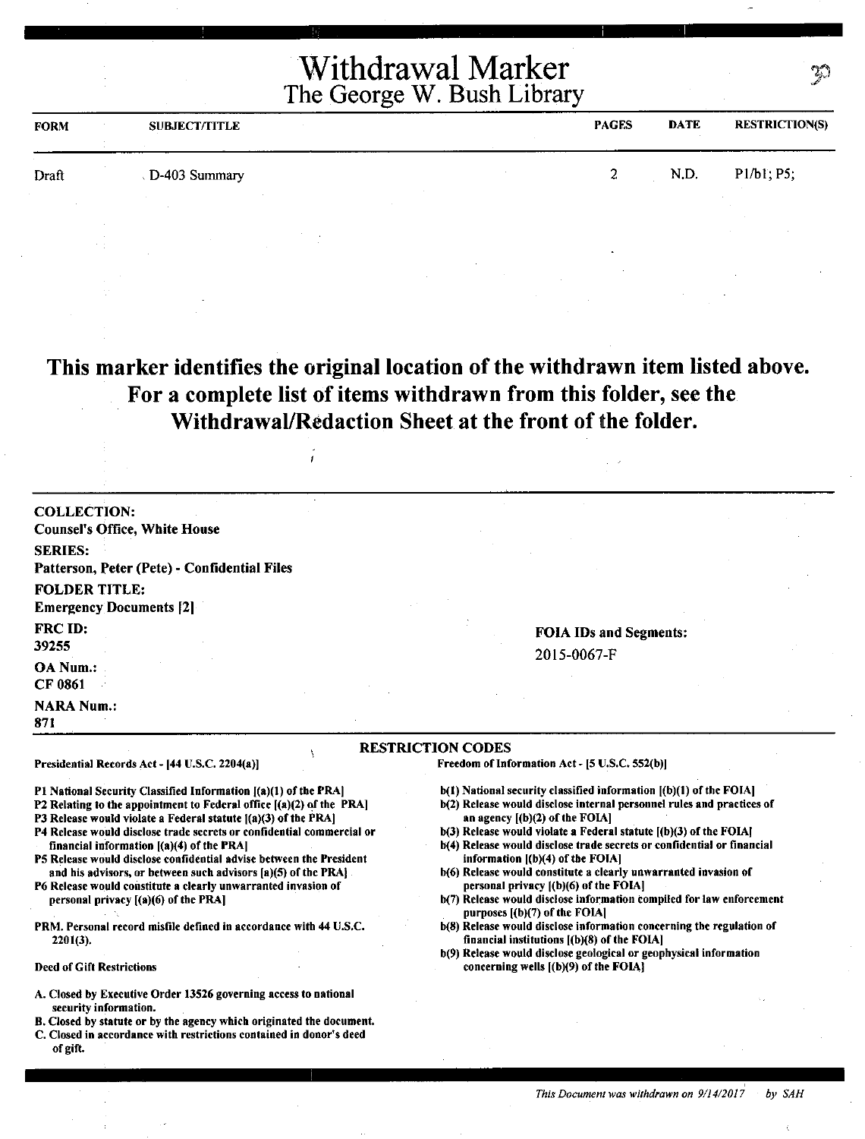| <b>FORM</b> | <b>SUBJECT/TITLE</b> | <b>PAGES</b>  | <b>DATE</b> | <b>RESTRICTION(S)</b> |
|-------------|----------------------|---------------|-------------|-----------------------|
| Draft       | D-403 Summary        | $\gamma$<br>⊷ | N.D.        | P1/b1; P5;            |
|             |                      |               |             |                       |

**This marker identifies the original location of the withdrawn item listed above. For a complete list of items withdrawn from this folder, see the Withdrawal/Redaction Sheet at the front of the folder.** 

 $\frac{1}{2}$ 

| <b>COLLECTION:</b>                                                                                                                        |                                                                                                                     |
|-------------------------------------------------------------------------------------------------------------------------------------------|---------------------------------------------------------------------------------------------------------------------|
| <b>Counsel's Office, White House</b>                                                                                                      |                                                                                                                     |
| <b>SERIES:</b>                                                                                                                            |                                                                                                                     |
| Patterson, Peter (Pete) - Confidential Files                                                                                              |                                                                                                                     |
| <b>FOLDER TITLE:</b>                                                                                                                      |                                                                                                                     |
| <b>Emergency Documents [2]</b>                                                                                                            |                                                                                                                     |
| <b>FRC ID:</b>                                                                                                                            | <b>FOIA IDs and Segments:</b>                                                                                       |
| 39255                                                                                                                                     | 2015-0067-F                                                                                                         |
| OA Num.:<br>CF 0861                                                                                                                       |                                                                                                                     |
| <b>NARA Num.:</b><br>871                                                                                                                  |                                                                                                                     |
| Presidential Records Act - [44 U.S.C. 2204(a)]                                                                                            | <b>RESTRICTION CODES</b><br>Freedom of Information Act - [5 U.S.C. 552(b)]                                          |
| P1 National Security Classified Information [(a)(1) of the PRA]                                                                           | b(1) National security classified information [(b)(1) of the FOIA]                                                  |
| P2 Relating to the appointment to Federal office $[(a)(2)$ of the PRA]                                                                    | b(2) Release would disclose internal personnel rules and practices of                                               |
| P3 Release would violate a Federal statute $[(a)(3)$ of the PRA]<br>P4 Release would disclose trade secrets or confidential commercial or | an agency $[(b)(2)$ of the FOIA]<br>$b(3)$ Release would violate a Federal statute $[(b)(3)$ of the FOIA]           |
| financial information $[(a)(4)$ of the PRA]                                                                                               | b(4) Release would disclose trade secrets or confidential or financial                                              |
| P5 Release would disclose confidential advise between the President<br>and his advisors, or between such advisors [a)(5) of the PRA].     | information $[(b)(4)$ of the FOIA]<br>b(6) Release would constitute a clearly unwarranted invasion of               |
| P6 Release would constitute a clearly unwarranted invasion of                                                                             | personal privacy ((b)(6) of the FOIA]                                                                               |
| personal privacy $[(a)(6)$ of the PRA]                                                                                                    | b(7) Release would disclose information compiled for law enforcement<br>purposes $[(b)(7)$ of the FOIA]             |
| PRM. Personal record misfile defined in accordance with 44 U.S.C.<br>$2201(3)$ ,                                                          | b(8) Release would disclose information concerning the regulation of<br>financial institutions ((b)(8) of the FOIA] |
|                                                                                                                                           | b(9) Release would disclose geological or geophysical information                                                   |
| <b>Deed of Gift Restrictions</b>                                                                                                          | concerning wells $($ (b) $(9)$ of the FOIA $\}$                                                                     |
| A. Closed by Executive Order 13526 governing access to national<br>security information.                                                  |                                                                                                                     |
| B. Closed by statute or by the agency which originated the document.                                                                      |                                                                                                                     |

C. Closed in accordance with restrictions contained in donor's deed

of gift.

Ŕ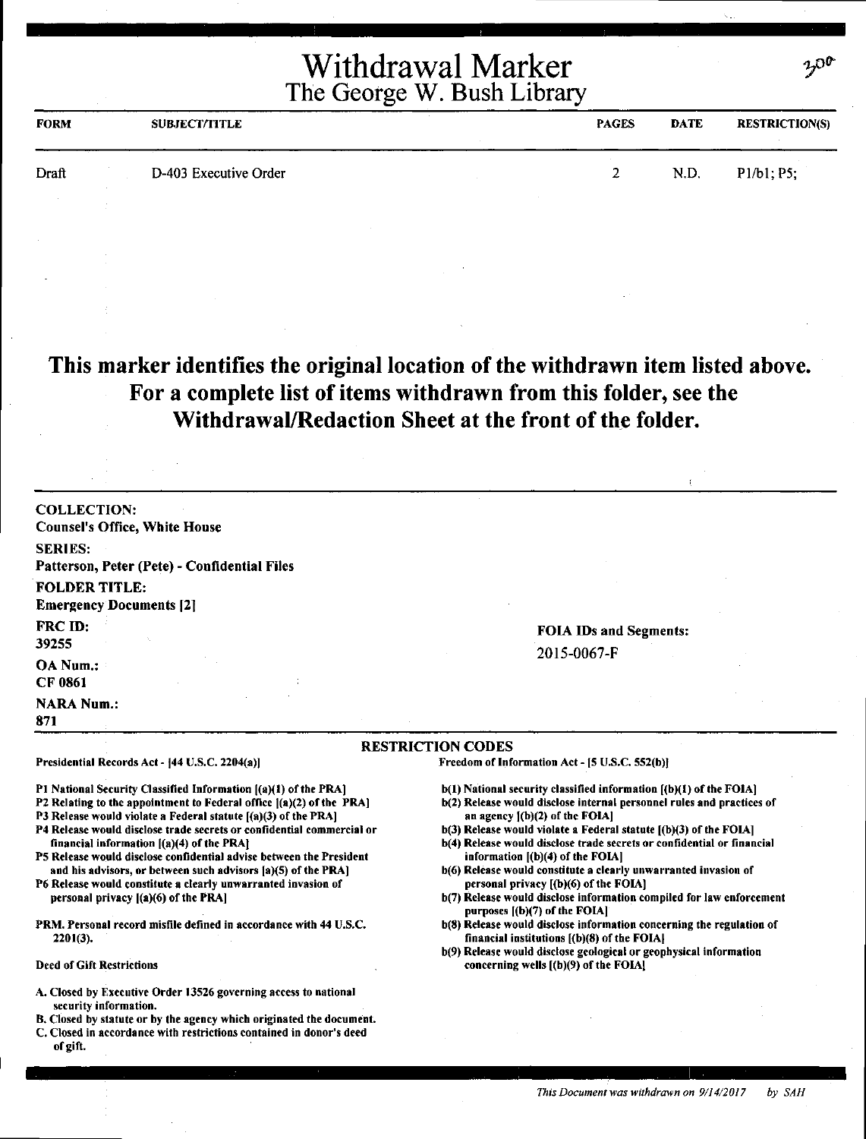| <b>FORM</b> | <b>SUBJECT/TITLE</b>  | <b>PAGES</b> | <b>DATE</b> | <b>RESTRICTION(S)</b> |
|-------------|-----------------------|--------------|-------------|-----------------------|
| Draft       | D-403 Executive Order | ~            | N.D.        | P1/b1; P5;            |

### **This marker identifies the original location of the withdrawn item listed above. For a complete list of items withdrawn from this folder, see the Withdrawal/Redaction Sheet at the front of the folder.**

COLLECTION: Counsel's Office, White House SERIES: Patterson, Peter (Pete) - Confidential Files FOLDER TITLE: Emergency Documents [21 FRCID: 39255 OANum.: CF 0861 **NARA Num.:** 871

Presidential Records Act - [44 U.S.C. 2204(a)]

financial information  $[(a)(4)$  of the PRA $]$ 

personal privacy ((a)(6) of the **PRA]** 

2201(3),

Deed of Gift Restrictions

#### FOIA IDs and Segments: 2015-0067-F

#### RESTRICTION CODES

Freedom of Information Act - [5 U.S.C. 552(b)]

- b(l) National security classified information [(b)(l) of the FOIA)
- b(2) Release would disclose internal personnel rules and practices of an agency ((b)(2) of the FOIA]
- $b(3)$  Release would violate a Federal statute  $[(b)(3)$  of the FOIA]
- b(4) Release would disclose trade secrets or confidential or financial information ((b)(4) of the FOIA]
- b(6) Release would constitute a clearly unwarranted invasion of personal privacy ((b)(6) of the FOIAl
- b(7) Release would disclose information compiled for law enforcement purposes ((b)(7) of the FOIA]
- b(8) Release would disclose information concerning the regulation of financial institutions [(b)(8) of the FOIAI
- b(9) Release would disclose geological or geophysical information concerning wells [ (b)(9) of the FOIAJ

#### A. Closed by Executive Order 13526 governing access to national security information.

Pl National Security Classified Information ((a)(l) of the PRA] P2 Relating to the appointment to Federal office  $[(a)(2)$  of the PRA] P3 Release would violate a Federal statute [(a)(3) of the PRA] P4 Release would disclose trade secrets or confidential commercial or

PS Release would disclose confidential advise between the President and his advisors, or between such advisors fa)(S) of the PRA] P6 Release would constitute a clearly unwarranted invasion of

PRM. Personal record misfile defined in accordance with 44 U.S.C.

- B. Closed by statute or by the agency which originated the document.
- C. Closed in accordance with restrictions contained in donor's deed of gift.

*This Document was withdrawn on 9/14/2017 by SAH*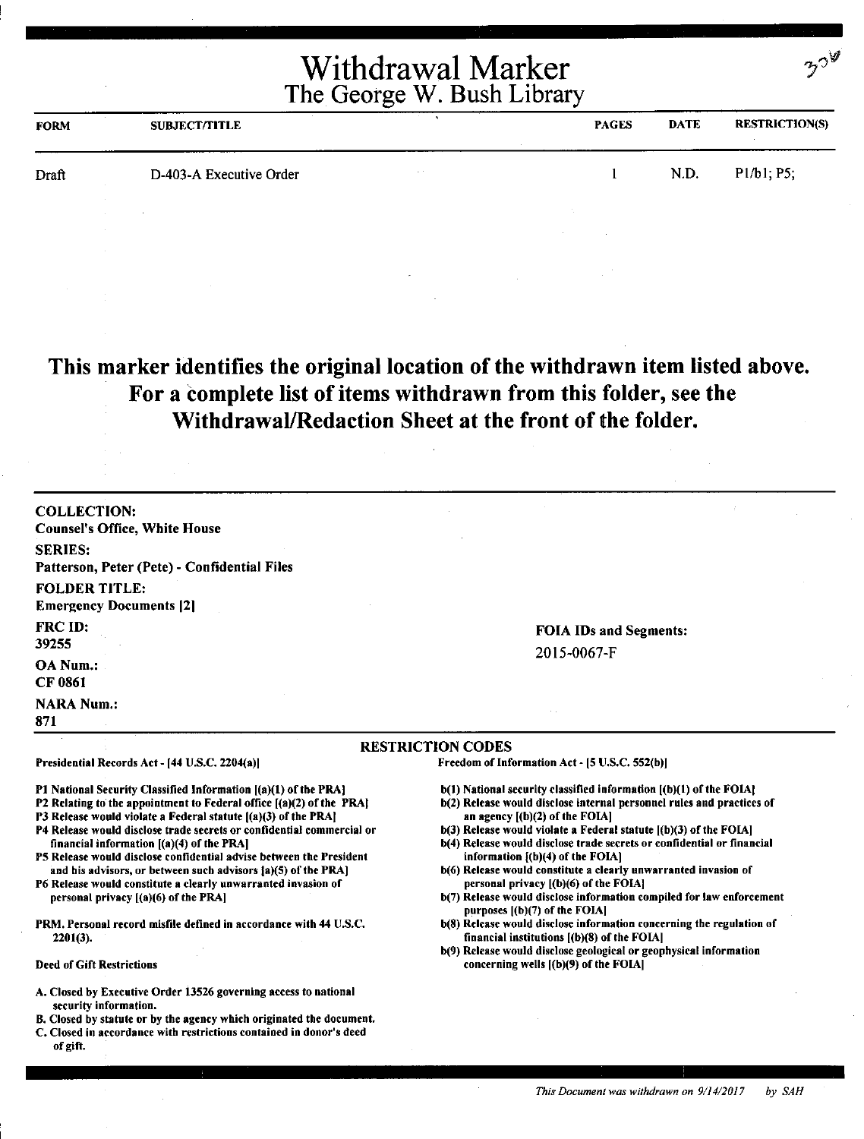|       | The George W. Bush Library | Withdrawal Marker |      | $32^{\circ}$          |
|-------|----------------------------|-------------------|------|-----------------------|
| FORM  | <b>SUBJECT/TITLE</b>       | <b>PAGES</b>      | DATE | <b>RESTRICTION(S)</b> |
| Draft | D-403-A Executive Order    |                   | N.D. | P1/b1, P5;            |

### **This marker identifies the original location of the withdrawn item listed above. For a complete list of items withdrawn from this folder, see the Withdrawal/Redaction Sheet at the front of the folder.**

| <b>COLLECTION:</b>                                                                                                                                                                                                                                                                                                                                                                                                                                                           |                                                                                                                    |
|------------------------------------------------------------------------------------------------------------------------------------------------------------------------------------------------------------------------------------------------------------------------------------------------------------------------------------------------------------------------------------------------------------------------------------------------------------------------------|--------------------------------------------------------------------------------------------------------------------|
| <b>Counsel's Office, White House</b>                                                                                                                                                                                                                                                                                                                                                                                                                                         |                                                                                                                    |
| <b>SERIES:</b>                                                                                                                                                                                                                                                                                                                                                                                                                                                               |                                                                                                                    |
| Patterson, Peter (Pete) - Confidential Files                                                                                                                                                                                                                                                                                                                                                                                                                                 |                                                                                                                    |
| <b>FOLDER TITLE:</b>                                                                                                                                                                                                                                                                                                                                                                                                                                                         |                                                                                                                    |
| <b>Emergency Documents [2]</b>                                                                                                                                                                                                                                                                                                                                                                                                                                               |                                                                                                                    |
| <b>FRC ID:</b>                                                                                                                                                                                                                                                                                                                                                                                                                                                               | <b>FOIA IDs and Segments:</b>                                                                                      |
| 39255                                                                                                                                                                                                                                                                                                                                                                                                                                                                        |                                                                                                                    |
| OA Num.:                                                                                                                                                                                                                                                                                                                                                                                                                                                                     | 2015-0067-F                                                                                                        |
| <b>CF 0861</b>                                                                                                                                                                                                                                                                                                                                                                                                                                                               |                                                                                                                    |
| <b>NARA Num.:</b>                                                                                                                                                                                                                                                                                                                                                                                                                                                            |                                                                                                                    |
| 871                                                                                                                                                                                                                                                                                                                                                                                                                                                                          |                                                                                                                    |
|                                                                                                                                                                                                                                                                                                                                                                                                                                                                              | <b>RESTRICTION CODES</b>                                                                                           |
|                                                                                                                                                                                                                                                                                                                                                                                                                                                                              |                                                                                                                    |
|                                                                                                                                                                                                                                                                                                                                                                                                                                                                              | Freedom of Information Act - [5 U.S.C. 552(b)]                                                                     |
|                                                                                                                                                                                                                                                                                                                                                                                                                                                                              | b(1) National security classified information [(b)(1) of the FOIA]                                                 |
|                                                                                                                                                                                                                                                                                                                                                                                                                                                                              | b(2) Release would disclose internal personnel rules and practices of<br>an agency $[(b)(2)$ of the FOIA]          |
|                                                                                                                                                                                                                                                                                                                                                                                                                                                                              | b(3) Release would violate a Federal statute [(b)(3) of the FOIA]                                                  |
| financial information $[(a)(4)$ of the PRA]                                                                                                                                                                                                                                                                                                                                                                                                                                  | b(4) Release would disclose trade secrets or confidential or financial                                             |
| Presidential Records Act - [44 U.S.C. 2204(a)]<br>P1 National Security Classified Information [(a)(1) of the PRA]<br>P2 Relating to the appointment to Federal office [(a)(2) of the PRA]<br>P3 Release would violate a Federal statute $(a)(3)$ of the PRA<br>P4 Release would disclose trade secrets or confidential commercial or<br>P5 Release would disclose confidential advise between the President<br>and his advisors, or between such advisors (a)(5) of the PRA] | information $(1)(4)$ of the FOIA]<br>b(6) Release would constitute a clearly unwarranted invasion of               |
|                                                                                                                                                                                                                                                                                                                                                                                                                                                                              | personal privacy [(b)(6) of the FOIA]                                                                              |
| personal privacy [(a)(6) of the PRA]                                                                                                                                                                                                                                                                                                                                                                                                                                         | b(7) Release would disclose information compiled for law enforcement                                               |
|                                                                                                                                                                                                                                                                                                                                                                                                                                                                              | purposes $[(b)(7)$ of the FOIA]<br>b(8) Release would disclose information concerning the regulation of            |
| P6 Release would constitute a clearly unwarranted invasion of<br>PRM. Personal record misfile defined in accordance with 44 U.S.C.<br>$2201(3)$ .                                                                                                                                                                                                                                                                                                                            | financial institutions $[(b)(8)$ of the FOIA]<br>b(9) Release would disclose geological or geophysical information |

- A. Closed by Executive Order 13526 governing access to national security information.
- B. Closed by statute or by the agency which originated the document.
- C. Closed in accordance with restrictions contained in donor's deed of gift.

*This Document was withdrawn on 9/14/2017* by SAH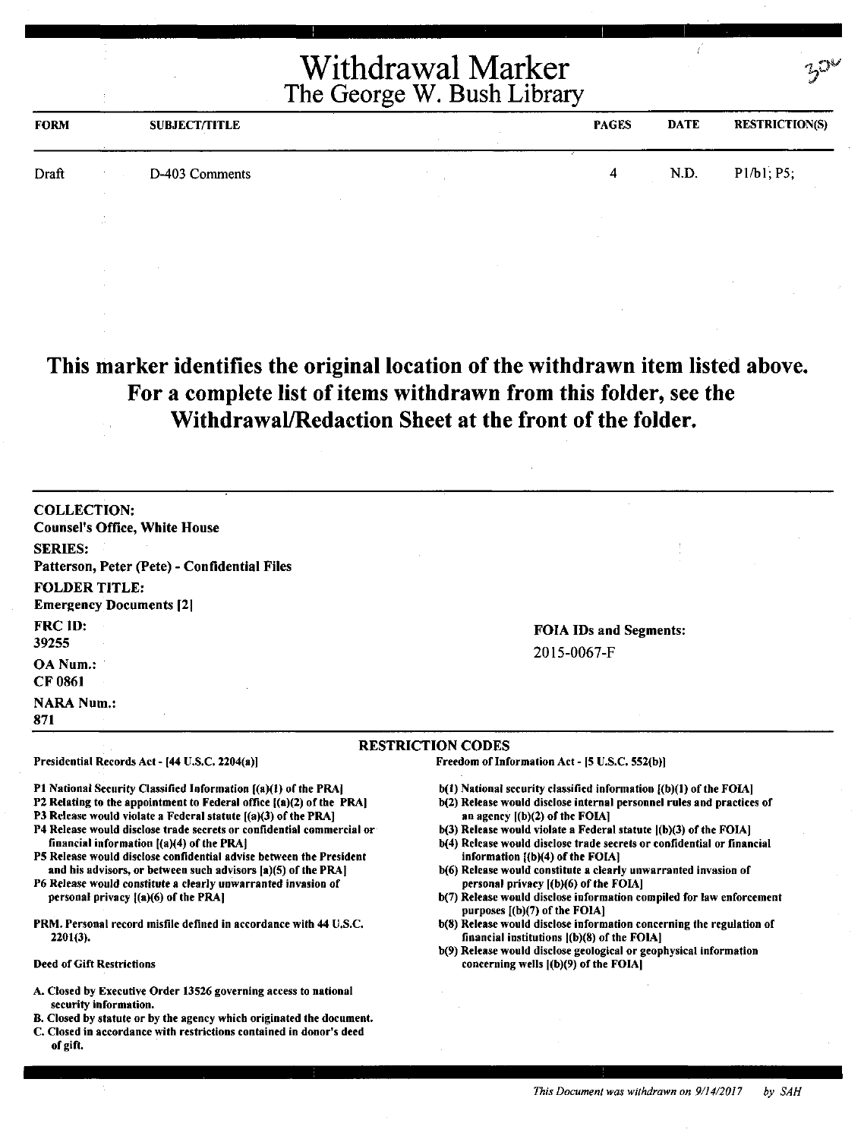| <b>FORM</b> |                 | <b>SUBJECT/TITLE</b> | <b>PAGES</b> | <b>DATE</b> | <b>RESTRICTION(S)</b> |
|-------------|-----------------|----------------------|--------------|-------------|-----------------------|
| Draft       |                 | D-403 Comments       | 4            | N.D.        | P1/b1; P5;            |
|             | <b>Contract</b> |                      |              |             |                       |

**This marker identifies the original location of the withdrawn item listed above. For a complete list of items withdrawn from this folder, see the Withdrawal/Redaction Sheet at the front of the folder.** 

COLLECTION: Counsel's Office, White House SERIES: Patterson, Peter (Pete) - Confidential Files FOLDER TITLE: **Emergency Documents [2]** FRCID: 39255 OA Num.: CF 0861 **NARA Num.:** 

#### FOIA IDs and Segments: 2015-0067-F

#### RESTRICTION CODES

Presidential Records Act - (44 U.S.C. 2204(a))

Pl National Security Classified Information [(a)(l) of the PRAJ

- P2 Relating to the appointment to Federal office  $[(a)(2)$  of the PRA]
- P3 Release would violate a Federal statute [(a)(3) of the PRA]
- P4 Release would disclose trade secrets or confidential commercial or financial information [(a)(4) of the PRA]
- PS Release would disclose confidential advise between the President and his advisors, or between such advisors (a)(S) of the PRA)
- P6 Release would constitute a clearly unwarranted invasion of personal privacy [(a)(6) of the PRA)
- PRM. Personal record misfile defined in accordance with 44 U.S.C. 2201(3).

#### Deed of Gift Restrictions

871

- A. Closed by Executive Order 13526 governing access to national security information.
- B. Closed by statute or by the agency which originated the document.
- C. Closed in accordance with restrictions contained in donor's deed of gift.

Freedom of Information Act- (5 U.S.C. S52(b))

- b(1) National security classified information ((b)(l) of the FOIA]
- b(2) Release would disclose internal personnel rules and practices of an agency ((b)(2) of the FOIA]
- b(3) Release would violate a Federal statute [(b)(3) of the FOIA]
- b(4) Release would disclose trade secrets or confidential or financial information  $[(b)(4)$  of the FOIA]
- b(6) Release would constitute a clearly unwarranted invasion of personal privacy ((b)(6) of the FOIA]
- b(7) Release would disclose information compiled for law enforcement purposes ((b)(7) of the FOIA]
- b(8) Release would disclose information concerning the regulation of financial institutions ((b)(8) of the FOIA]
- b(9) Release would disclose geological or geophysical information concerning wells ((b)(9) of the FOIA)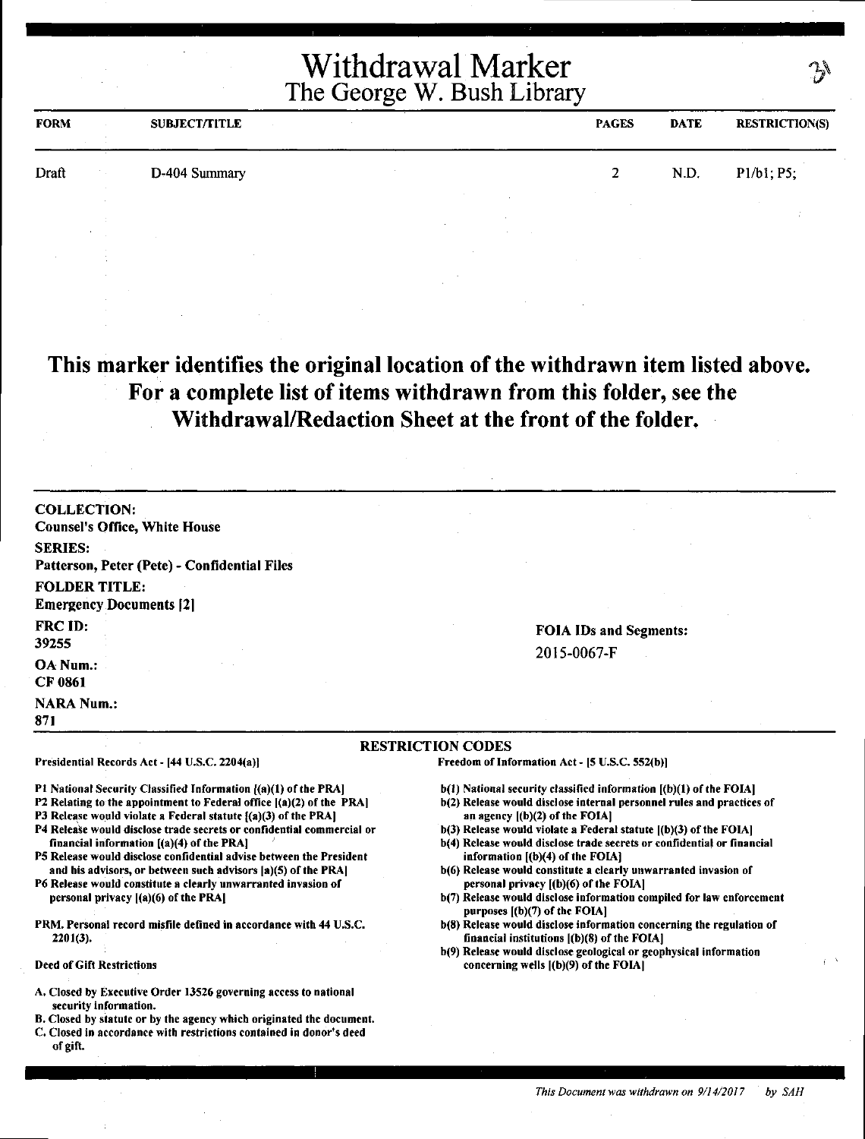| <b>Withdrawal Marker</b><br>The George W. Bush Library |  |               |              | $\mathcal{F}$ |                       |
|--------------------------------------------------------|--|---------------|--------------|---------------|-----------------------|
| FORM                                                   |  | SUBJECT/TITLE | <b>PAGES</b> | <b>DATE</b>   | <b>RESTRICTION(S)</b> |
| Draft                                                  |  | D-404 Summary |              | N.D.          | $P1/b1$ ; $P5$ ;      |

**This marker identifies the original location of the withdrawn item listed above. For a complete list of items withdrawn from this folder, see the**  Q. **Withdrawal/Redaction Sheet at the front of the folder.** 

| <b>COLLECTION:</b>                                                                                                                                                                                                                                                                                                                                                                                                                                                                                                                                                                                                                                                                                           |                                                                                                                                                                                                                                                                                                                                                                                                                                                                                                                                                                                                                                                                                                                                                                                                                                                   |
|--------------------------------------------------------------------------------------------------------------------------------------------------------------------------------------------------------------------------------------------------------------------------------------------------------------------------------------------------------------------------------------------------------------------------------------------------------------------------------------------------------------------------------------------------------------------------------------------------------------------------------------------------------------------------------------------------------------|---------------------------------------------------------------------------------------------------------------------------------------------------------------------------------------------------------------------------------------------------------------------------------------------------------------------------------------------------------------------------------------------------------------------------------------------------------------------------------------------------------------------------------------------------------------------------------------------------------------------------------------------------------------------------------------------------------------------------------------------------------------------------------------------------------------------------------------------------|
| <b>Counsel's Office, White House</b>                                                                                                                                                                                                                                                                                                                                                                                                                                                                                                                                                                                                                                                                         |                                                                                                                                                                                                                                                                                                                                                                                                                                                                                                                                                                                                                                                                                                                                                                                                                                                   |
| <b>SERIES:</b>                                                                                                                                                                                                                                                                                                                                                                                                                                                                                                                                                                                                                                                                                               |                                                                                                                                                                                                                                                                                                                                                                                                                                                                                                                                                                                                                                                                                                                                                                                                                                                   |
| Patterson, Peter (Pete) - Confidential Files                                                                                                                                                                                                                                                                                                                                                                                                                                                                                                                                                                                                                                                                 |                                                                                                                                                                                                                                                                                                                                                                                                                                                                                                                                                                                                                                                                                                                                                                                                                                                   |
| <b>FOLDER TITLE:</b>                                                                                                                                                                                                                                                                                                                                                                                                                                                                                                                                                                                                                                                                                         |                                                                                                                                                                                                                                                                                                                                                                                                                                                                                                                                                                                                                                                                                                                                                                                                                                                   |
| <b>Emergency Documents [2]</b>                                                                                                                                                                                                                                                                                                                                                                                                                                                                                                                                                                                                                                                                               |                                                                                                                                                                                                                                                                                                                                                                                                                                                                                                                                                                                                                                                                                                                                                                                                                                                   |
| FRC ID:<br>39255                                                                                                                                                                                                                                                                                                                                                                                                                                                                                                                                                                                                                                                                                             | <b>FOIA IDs and Segments:</b>                                                                                                                                                                                                                                                                                                                                                                                                                                                                                                                                                                                                                                                                                                                                                                                                                     |
|                                                                                                                                                                                                                                                                                                                                                                                                                                                                                                                                                                                                                                                                                                              | 2015-0067-F                                                                                                                                                                                                                                                                                                                                                                                                                                                                                                                                                                                                                                                                                                                                                                                                                                       |
| OA Num.:<br><b>CF 0861</b>                                                                                                                                                                                                                                                                                                                                                                                                                                                                                                                                                                                                                                                                                   |                                                                                                                                                                                                                                                                                                                                                                                                                                                                                                                                                                                                                                                                                                                                                                                                                                                   |
| <b>NARA Num.:</b><br>871                                                                                                                                                                                                                                                                                                                                                                                                                                                                                                                                                                                                                                                                                     |                                                                                                                                                                                                                                                                                                                                                                                                                                                                                                                                                                                                                                                                                                                                                                                                                                                   |
|                                                                                                                                                                                                                                                                                                                                                                                                                                                                                                                                                                                                                                                                                                              | <b>RESTRICTION CODES</b>                                                                                                                                                                                                                                                                                                                                                                                                                                                                                                                                                                                                                                                                                                                                                                                                                          |
| Presidential Records Act - [44 U.S.C. 2204(a)]                                                                                                                                                                                                                                                                                                                                                                                                                                                                                                                                                                                                                                                               | Freedom of Information Act - [5 U.S.C. 552(b)]                                                                                                                                                                                                                                                                                                                                                                                                                                                                                                                                                                                                                                                                                                                                                                                                    |
| PI National Security Classified Information ((a)(1) of the PRA]<br>P2 Relating to the appointment to Federal office [(a)(2) of the PRA]<br>P3 Release would violate a Federal statute {(a)(3) of the PRA]<br>P4 Release would disclose trade secrets or confidential commercial or<br>financial information $[(a)(4)$ of the PRA]<br>P5 Release would disclose confidential advise between the President<br>and his advisors, or between such advisors [a](5) of the PRA]<br>P6 Release would constitute a clearly unwarranted invasion of<br>personal privacy $[(a)(6)$ of the PRA]<br>PRM. Personal record misfile defined in accordance with 44 U.S.C.<br>$2201(3)$ .<br><b>Deed of Gift Restrictions</b> | b(1) National security classified information [(b)(1) of the FOIA]<br>b(2) Release would disclose internal personnel rules and practices of<br>an agency $[(b)(2)$ of the FOIA]<br>$b(3)$ Release would violate a Federal statute $(6)(3)$ of the FOIA]<br>b(4) Release would disclose trade secrets or confidential or financial<br>information $[(b)(4)$ of the FOIA]<br>b(6) Release would constitute a clearly unwarranted invasion of<br>personal privacy [(b)(6) of the FOIA]<br>b(7) Release would disclose information compiled for law enforcement<br>purposes $(6)(7)$ of the FOIA]<br>b(8) Release would disclose information concerning the regulation of<br>financial institutions $[(b)(8)$ of the FOIA]<br>b(9) Release would disclose geological or geophysical information<br>concerning wells $($ (b) $(9)$ of the FOIA $\vert$ |
| A. Closed by Executive Order 13526 governing access to national<br>security information.                                                                                                                                                                                                                                                                                                                                                                                                                                                                                                                                                                                                                     |                                                                                                                                                                                                                                                                                                                                                                                                                                                                                                                                                                                                                                                                                                                                                                                                                                                   |

- security information.
- B. Closed by statute or by the agency which originated the document.
- C. Closed in accordance with restrictions contained in donor's deed of gift.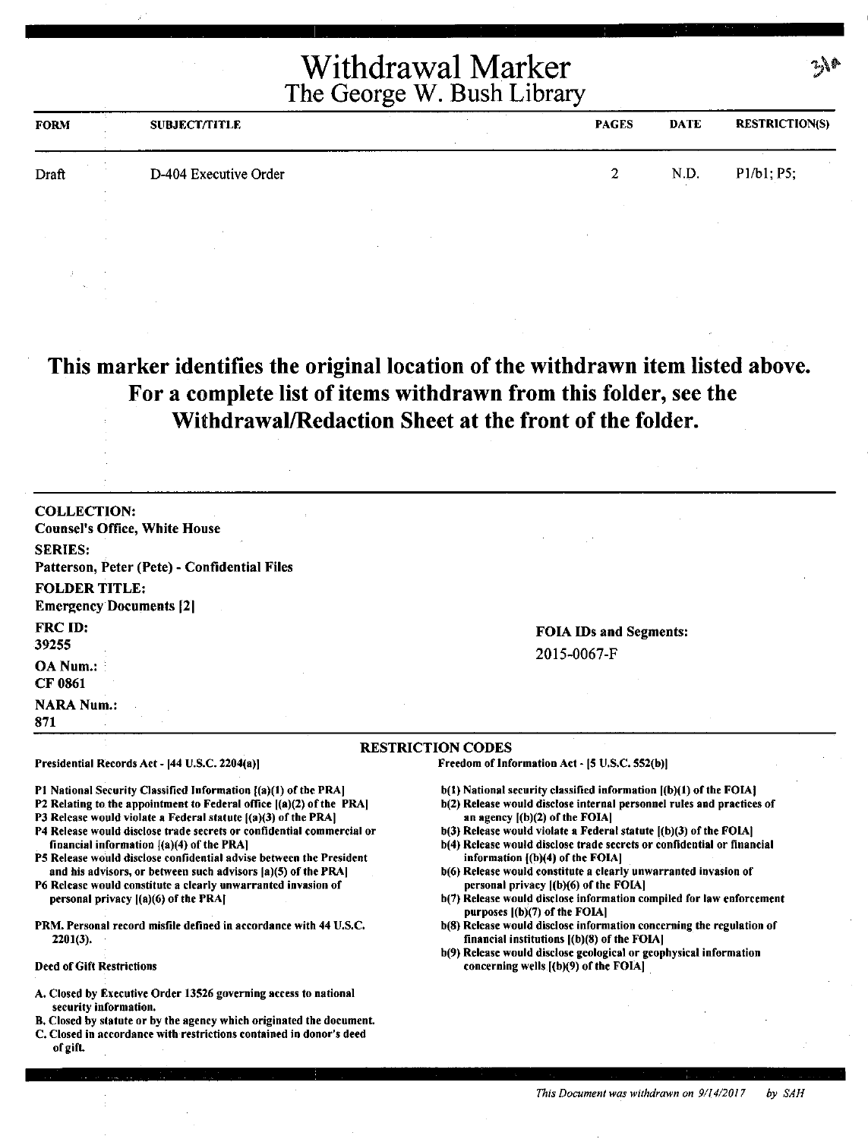| <b>FORM</b> | SUBJECT/TITLE         | <b>PAGES</b> | <b>DATE</b> | <b>RESTRICTION(S)</b> |
|-------------|-----------------------|--------------|-------------|-----------------------|
| Draft       | D-404 Executive Order |              | N.D.        | P1/b1; P5;            |
|             |                       |              |             |                       |

**This marker identifies the original location of the withdrawn item listed above. For a complete list of items withdrawn from this folder, see the Withdrawal/Redaction Sheet at the front of the folder.** 

| Presidential Records Act - [44 U.S.C. 2204(a)]                 | <b>RESTRICTION CODES</b><br>Freedom of Information Act - [5 U.S.C. 552(b)] |
|----------------------------------------------------------------|----------------------------------------------------------------------------|
| <b>NARA Num.:</b><br>871                                       |                                                                            |
| <b>OA Num.:</b><br><b>CF 0861</b>                              |                                                                            |
| <b>FRC ID:</b><br>39255                                        | <b>FOIA IDs and Segments:</b><br>2015-0067-F                               |
| <b>FOLDER TITLE:</b><br><b>Emergency Documents [2]</b>         |                                                                            |
| <b>SERIES:</b><br>Patterson, Peter (Pete) - Confidential Files |                                                                            |
| <b>COLLECTION:</b><br><b>Counsel's Office, White House</b>     |                                                                            |

P1 National Security Classified Information  $($ a)(1) of the PRA]

P2 Relating to the appointment to Federal office ((a)(2) of the PRA)

PJ Release would violate a Federal statute ((a)(3) of the PRA)

- P4 Release would disclose trade secrets or confidential commercial or financial information [(a)(4) of the PRA]
- PS Release would disclose confidential advise between the President and his advisors, or between such advisors (a)(S) of the PRA)
- P6 Release would constitute a clearly unwarranted invasion of personal privacy ((a)(6) of the PRAJ
- PRM. Personal record misfile defined in accordance with 44 U.S.C. 2201(3),

#### Deed of Gift Restrictions

- A. Closed by Executive Order 13S26 governing access to national security information.
- B. Closed by statute or by the agency which originated the document.
- C. Closed in accordance with restrictions contained in donor's deed of gift.

- b(l) National security classified information ((b)(l) of the FOIAI
- b(2) Release would disclose internal personnel rules and practices of **an** agency ((b)(2) of the FOIAI
- b(3) Release would violate a Federal statute ((b)(3) of the FOIA)
- b(4) Release would disclose trade secrets or confidential or financial information ((b)(4) of the FOIAJ
- b(6) Release would constitute a clearly unwarranted invasion of personal privacy ((b)(6) of the FOIA)
- b(7) Release would disclose information compiled for law enforcement purposes ((b)(7) of the FOIAI
- b(S) Release would disclose information concerning the regulation of financial institutions ((b)(S) of the FOIA)
- b(9) Release would disclose geological or geophysical information concerning wells ((b)(9) of the FOIAJ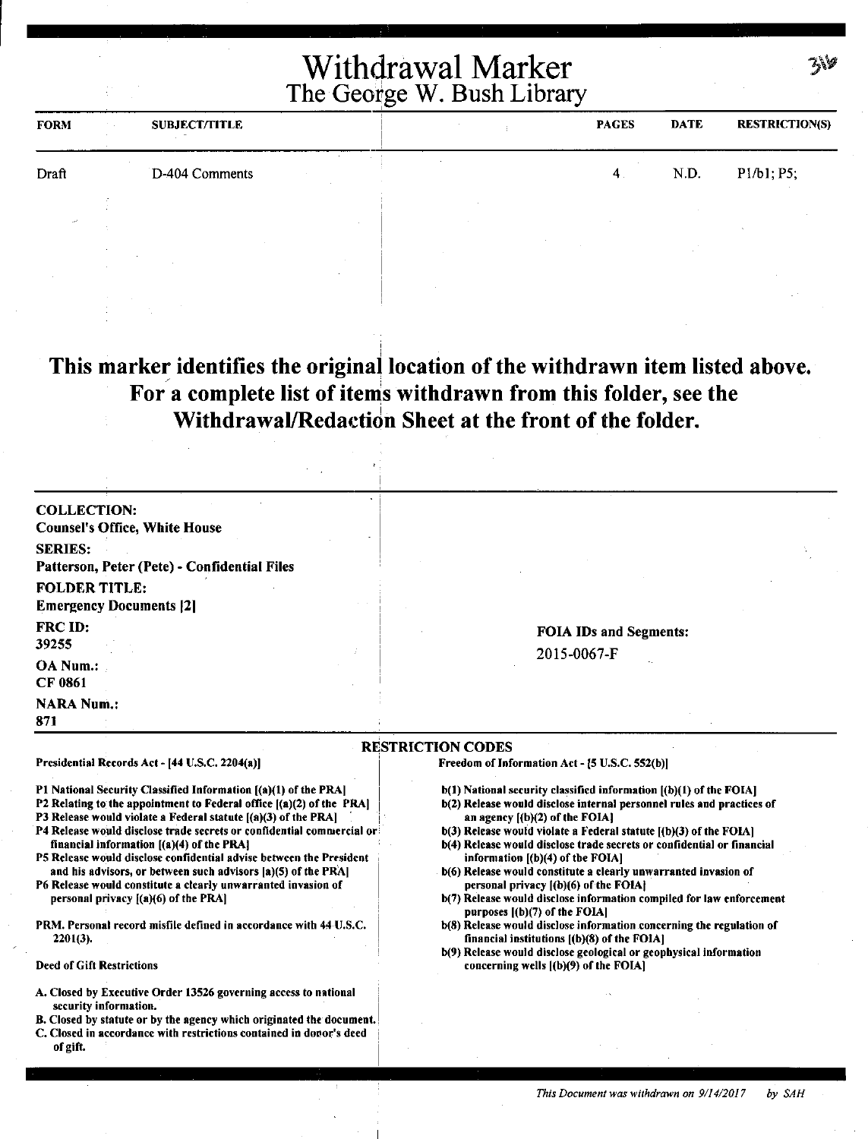| <b>FORM</b> | The Contract | <b>SUBJECT/TITLE</b> |  | <b>PAGES</b> | <b>DATE</b> | <b>RESTRICTION(S)</b> |
|-------------|--------------|----------------------|--|--------------|-------------|-----------------------|
| Draft       |              | D-404 Comments       |  | $-4$ .       | N.D.        | P1/b1; P5;            |
| المعدد      |              |                      |  |              |             |                       |
|             |              |                      |  |              |             |                       |
|             |              |                      |  |              |             |                       |

**This marker identifies the original location of the withdrawn item listed above.**  For a complete list of items withdrawn from this folder, see the **Withdrawal/Redaction Sheet at the front of the folder.** 

| <b>COLLECTION:</b>                                                                                                                                                                                                                                                                                                                                                                                                                                                                                                                                                                    |                                                                                                                                                                                                                                                                                                                                                                                                                                                                                                                                                                                            |
|---------------------------------------------------------------------------------------------------------------------------------------------------------------------------------------------------------------------------------------------------------------------------------------------------------------------------------------------------------------------------------------------------------------------------------------------------------------------------------------------------------------------------------------------------------------------------------------|--------------------------------------------------------------------------------------------------------------------------------------------------------------------------------------------------------------------------------------------------------------------------------------------------------------------------------------------------------------------------------------------------------------------------------------------------------------------------------------------------------------------------------------------------------------------------------------------|
| <b>Counsel's Office, White House</b>                                                                                                                                                                                                                                                                                                                                                                                                                                                                                                                                                  |                                                                                                                                                                                                                                                                                                                                                                                                                                                                                                                                                                                            |
| <b>SERIES:</b>                                                                                                                                                                                                                                                                                                                                                                                                                                                                                                                                                                        |                                                                                                                                                                                                                                                                                                                                                                                                                                                                                                                                                                                            |
| Patterson, Peter (Pete) - Confidential Files                                                                                                                                                                                                                                                                                                                                                                                                                                                                                                                                          |                                                                                                                                                                                                                                                                                                                                                                                                                                                                                                                                                                                            |
| <b>FOLDER TITLE:</b>                                                                                                                                                                                                                                                                                                                                                                                                                                                                                                                                                                  |                                                                                                                                                                                                                                                                                                                                                                                                                                                                                                                                                                                            |
| <b>Emergency Documents [2]</b>                                                                                                                                                                                                                                                                                                                                                                                                                                                                                                                                                        |                                                                                                                                                                                                                                                                                                                                                                                                                                                                                                                                                                                            |
| FRC ID:                                                                                                                                                                                                                                                                                                                                                                                                                                                                                                                                                                               | <b>FOIA IDs and Segments:</b>                                                                                                                                                                                                                                                                                                                                                                                                                                                                                                                                                              |
| 39255                                                                                                                                                                                                                                                                                                                                                                                                                                                                                                                                                                                 | 2015-0067-F                                                                                                                                                                                                                                                                                                                                                                                                                                                                                                                                                                                |
| OA Num.:                                                                                                                                                                                                                                                                                                                                                                                                                                                                                                                                                                              |                                                                                                                                                                                                                                                                                                                                                                                                                                                                                                                                                                                            |
| <b>CF 0861</b>                                                                                                                                                                                                                                                                                                                                                                                                                                                                                                                                                                        |                                                                                                                                                                                                                                                                                                                                                                                                                                                                                                                                                                                            |
| <b>NARA Num.:</b>                                                                                                                                                                                                                                                                                                                                                                                                                                                                                                                                                                     |                                                                                                                                                                                                                                                                                                                                                                                                                                                                                                                                                                                            |
| 871                                                                                                                                                                                                                                                                                                                                                                                                                                                                                                                                                                                   |                                                                                                                                                                                                                                                                                                                                                                                                                                                                                                                                                                                            |
|                                                                                                                                                                                                                                                                                                                                                                                                                                                                                                                                                                                       | <b>RESTRICTION CODES</b>                                                                                                                                                                                                                                                                                                                                                                                                                                                                                                                                                                   |
| Presidential Records Act - [44 U.S.C. 2204(a)]                                                                                                                                                                                                                                                                                                                                                                                                                                                                                                                                        | Freedom of Information Act - [5 U.S.C. 552(b)]                                                                                                                                                                                                                                                                                                                                                                                                                                                                                                                                             |
| P1 National Security Classified Information [(a)(1) of the PRA]<br>P2 Relating to the appointment to Federal office [(a)(2) of the PRA]<br>P3 Release would violate a Federal statute [(a)(3) of the PRA]<br>P4 Release would disclose trade secrets or confidential commercial or<br>financial information [(a)(4) of the PRA]<br>P5 Release would disclose confidential advise between the President<br>and his advisors, or between such advisors [a](5) of the PRA]<br>P6 Release would constitute a clearly unwarranted invasion of<br>personal privacy $[(a)(6)$ of the PRA $]$ | b(1) National security classified information [(b)(1) of the FOIA]<br>b(2) Release would disclose internal personnel rules and practices of<br>an agency $(1)(2)$ of the FOIA.<br>$b(3)$ Release would violate a Federal statute $[(b)(3)$ of the FOIA]<br>b(4) Release would disclose trade secrets or confidential or financial<br>information [(b)(4) of the FOIA]<br>b(6) Release would constitute a clearly unwarranted invasion of<br>personal privacy [(b)(6) of the FOIA]<br>b(7) Release would disclose information compiled for law enforcement<br>purposes [(b)(7) of the FOIA] |
| PRM. Personal record misfile defined in accordance with 44-U.S.C.<br>$2201(3)$ .                                                                                                                                                                                                                                                                                                                                                                                                                                                                                                      | b(8) Release would disclose information concerning the regulation of<br>financial institutions $[(b)(8)$ of the FOIA]<br>b(9) Release would disclose geological or geophysical information                                                                                                                                                                                                                                                                                                                                                                                                 |
| <b>Deed of Gift Restrictions</b>                                                                                                                                                                                                                                                                                                                                                                                                                                                                                                                                                      | concerning wells $(0)(9)$ of the FOIA]                                                                                                                                                                                                                                                                                                                                                                                                                                                                                                                                                     |
| A. Closed by Executive Order 13526 governing access to national<br>security information.<br>B. Closed by statute or by the agency which originated the document.<br>C. Closed in accordance with restrictions contained in donor's deed<br>of gift.                                                                                                                                                                                                                                                                                                                                   |                                                                                                                                                                                                                                                                                                                                                                                                                                                                                                                                                                                            |

7.\%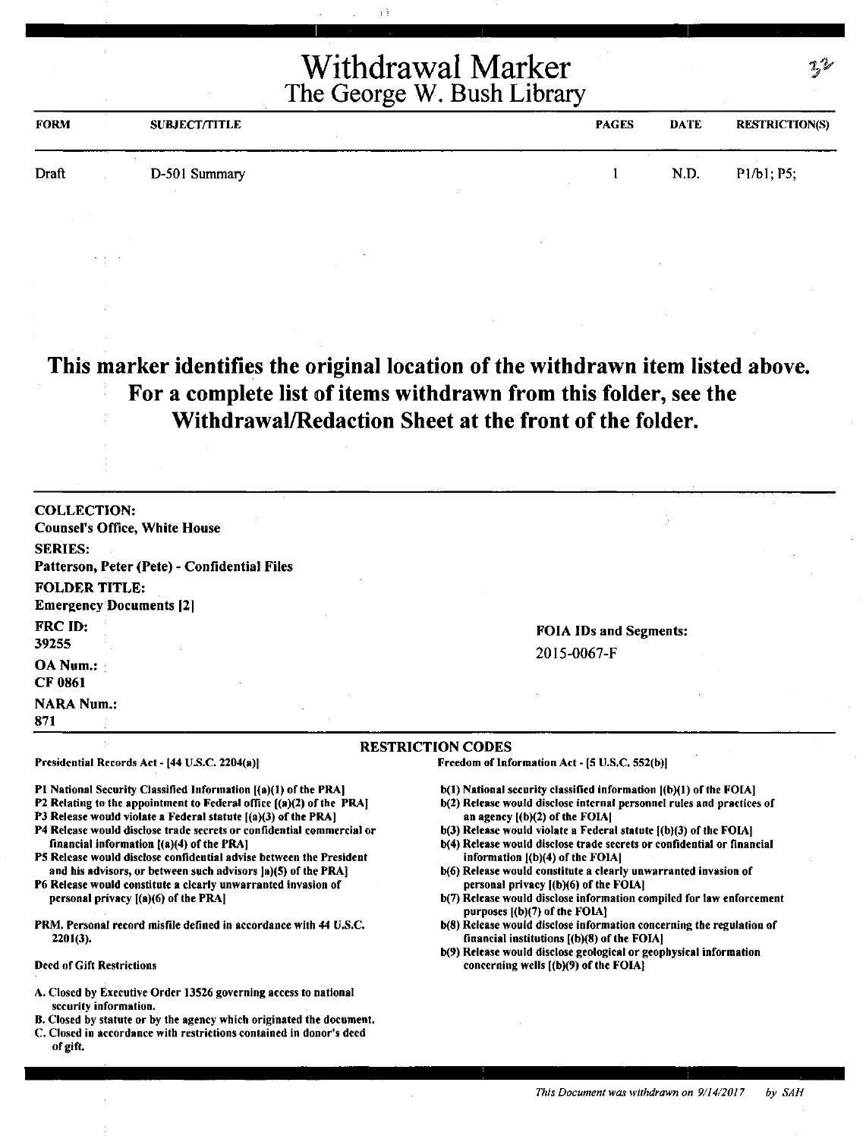| <b>FORM</b> | <b>SUBJECT/TITLE</b> | <b>PAGES</b> | <b>DATE</b> | <b>RESTRICTION(S)</b> |
|-------------|----------------------|--------------|-------------|-----------------------|
| Draft       | D-501 Summary        |              | N.D.        | P1/b1; P5;            |

#### **This marker identifies the original location of the withdrawn item listed above. For a complete list of items withdrawn from this folder, see the Withdrawal/Redaction Sheet at the front of the folder.**

| <b>Counsel's Office, White House</b><br><b>SERIES:</b><br>Patterson, Peter (Pete) - Confidential Files<br><b>FOLDER TITLE:</b><br><b>Emergency Documents [2]</b><br>FRC ID:<br>39255<br><b>OA Num.:</b><br><b>CF 0861</b><br><b>NARA Num.:</b><br>871 |                    | RESTRICTION CODES |                         |
|-------------------------------------------------------------------------------------------------------------------------------------------------------------------------------------------------------------------------------------------------------|--------------------|-------------------|-------------------------|
|                                                                                                                                                                                                                                                       |                    |                   |                         |
|                                                                                                                                                                                                                                                       |                    |                   |                         |
|                                                                                                                                                                                                                                                       |                    |                   | <b>FOIA</b><br>$2015 -$ |
|                                                                                                                                                                                                                                                       |                    |                   |                         |
|                                                                                                                                                                                                                                                       |                    |                   |                         |
|                                                                                                                                                                                                                                                       | <b>COLLECTION:</b> |                   |                         |

Presidential Records Act - [44 U.S.C. 2204(a))

Pl National Security Classified Information [(a)(l) of the PRA]

- P2 Relating to the appointment to Federal office  $[(a)(2)$  of the PRAJ
- P3 Release would violate a Federal statute  $[(a)(3)$  of the PRA]
- P4 Release would disclose trade secrets or confidential commercial or financial information ((a)(4) of the PRAJ
- PS Release would disclose confidential advise between the President and his advisors, or between such advisors Ja)(S) of the PRA]
- P6 Release would constitute a clearly unwarranted invasion of personal privacy l(a)(6) of the PRAI
- PRM. Personal record misfile defined in accordance with 44 U.S.C. 2201(3).

#### Deed of Gift Restrictions

- A. Closed by Executive Order 13S26 governing access to national security information.
- B. Closed by statute or by the agency which originated the document.
- C. Closed in accordance with restrictions contained in donor's deed of gift.

IDs and Segments: 0067-F

#### RESTRICTION CODES

Freedom of Information Act - [S U.S.C. 552(b))

- b(l) National security classified information ((b)(l) of the FOIA]
- b(2) Release would disclose internal personnel rules and practices of an agency [(b)(2) of the FOIAI
- b(3) Release would violate a Federal statute  $[(b)(3)$  of the FOIA]
- b(4) Release would disclose trade secrets or confidential or financial information  $[(b)(4)$  of the FOIA]
- b(6) Release would constitute a clearly unwarranted invasion of personal privacy ((b)(6) of the FOIAJ
- b(7) Release would disclose information compiled for law enforcement purposes [(b)(7) of the FOIA)
- b(8) Release would disclose information concerning the regulation of financial institutions [(b)(8) of the FOIA)
- b(9) Release would disclose geological or geophysical information concerning wells [(b)(9) of the FOIA)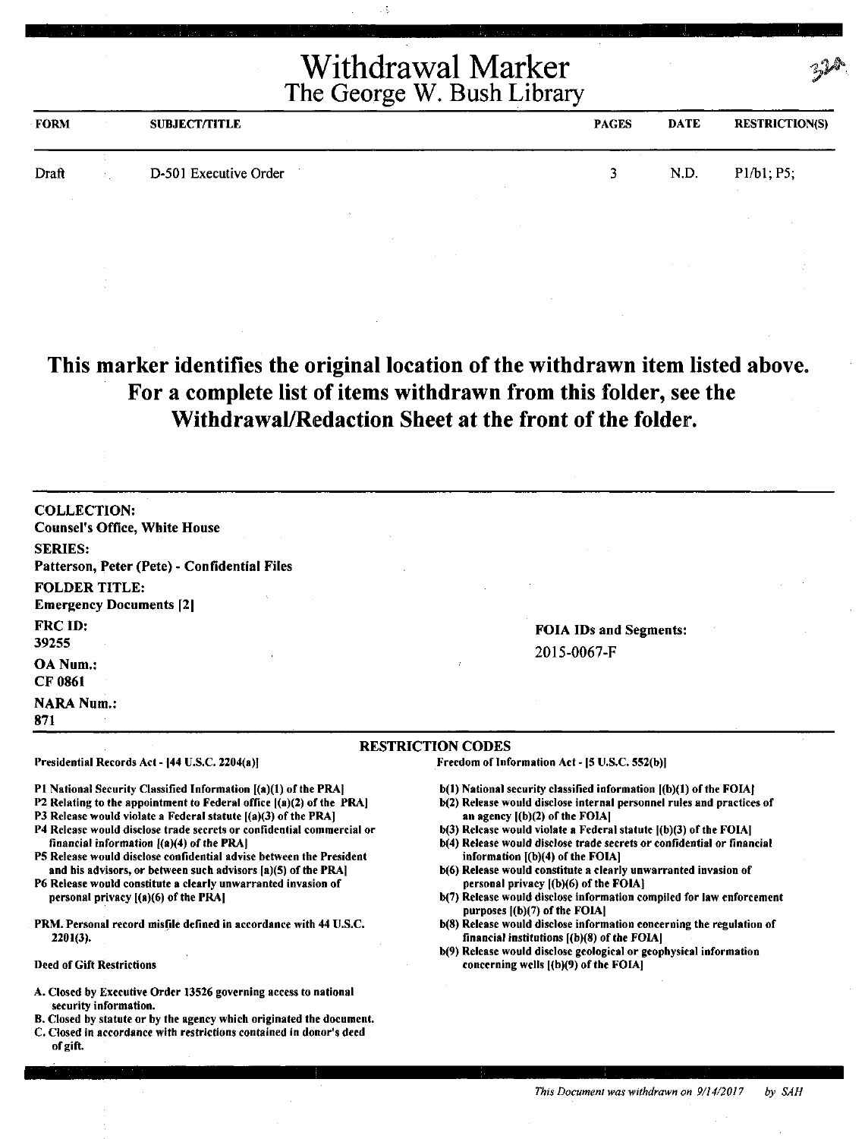| <b>FORM</b> | <b>SUBJECT/TITLE</b>  | <b>PAGES</b> | <b>DATE</b> | <b>RESTRICTION(S)</b> |
|-------------|-----------------------|--------------|-------------|-----------------------|
| Draft       | D-501 Executive Order |              | N.D.        | P1/b1, P5;            |
|             |                       |              |             |                       |

**This marker identifies the original location of the withdrawn item listed above. For a complete list of items withdrawn from this folder, see the Withdrawal/Redaction Sheet at the front of the folder.** 

COLLECTION: Counsel's Office, White House SERIES: Patterson, Peter (Pete) - Confidential Files FOLDER TITLE: Emergency Documents [2] FRCID: 39255 OA Num.: CF 0861 **NARA Num.:** 871 FOIA IDs and Segments: 2015-0067-F RESTRICTION CODES Presidential Records Act - [44 U.S.C. 2204(a)] Freedom of Information Act- (5 U.S.C. 5S2(b)]

Pl National Security Classified Information [(a)(1) of the PRA]

- P2 Relating to the appointment to Federal office ((a)(2) of the PRA)
- P3 Release would violate a Federal statute [(a)(3) of the PRA]
- P4 Release would disclose trade secrets or confidential commercial or financial information  $[(a)(4)$  of the PRA]
- PS Release would disclose confidential advise between the President and his advisors, or between such advisors [a)(S) of the PRA)
- P6 Release would constitute a clearly unwarranted invasion of personal privacy **((a)(6)** of the **PRA(**
- PRM. Personal record misfile defined in accordance with 44 U.S.C. 2201(3).
- Deed of Gift Restrictions
- A. Closed by Executive Order 13526 governing access to national security information.
- B. Closed by statute or by the agency which originated the document.
- C. Closed in accordance with restrictions contained in donor's deed of gift.
- b(l) National security classified information ((b)(l) of the FOIAJ
- b(2) Release would disclose internal personnel rules and practices of an agency  $[(b)(2)$  of the FOIA $]$
- b(3) Release would violate a Federal statute ((b)(3) of the FOIA)
- b(4) Release would disclose trade secrets or confidential or financial information ((b)(4) of the FOIA]
- b(6) Release would constitute a clearly unwarranted invasion of personal privacy [(b)(6) of the FOIA]
- b(7) Release would disclose information compiled for law enforcement purposes  $[(b)(7)$  of the FOIA $]$
- b(8) Release would disclose information concerning the regulation of financial institutions  $[(b)(8)$  of the FOIA]
- b(9) Release would disclose geological or geophysical information concerning wells ((b)(9) of the FOIA)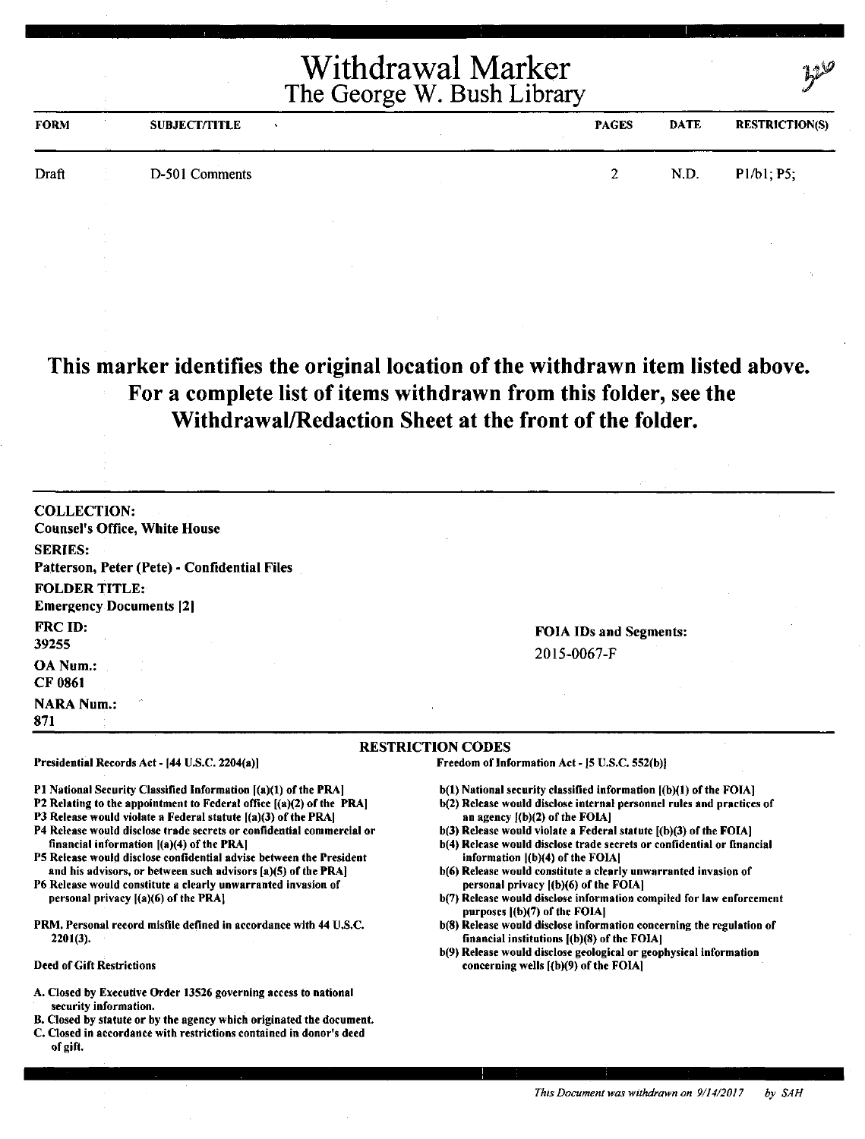| <b>FORM</b> | <b>SUBJECT/TITLE</b> | <b>PAGES</b> | <b>DATE</b> | <b>RESTRICTION(S)</b> |
|-------------|----------------------|--------------|-------------|-----------------------|
| Draft       | D-501 Comments       | 2.           | N.D.        | P1/b1; P5;            |
|             |                      |              |             |                       |

### **This marker identifies the original location of the withdrawn item listed above. For a complete list of items withdrawn from this folder, see the Withdrawal/Redaction Sheet at the front of the folder.**

| <b>COLLECTION:</b>                               |                               |
|--------------------------------------------------|-------------------------------|
| <b>Counsel's Office, White House</b>             |                               |
| <b>SERIES:</b>                                   |                               |
| Patterson, Peter (Pete) - Confidential Files     |                               |
| <b>FOLDER TITLE:</b>                             |                               |
| <b>Emergency Documents [2]</b>                   |                               |
| <b>FRC ID:</b>                                   | <b>FOIA IDs and Segments:</b> |
| 39255                                            | 2015-0067-F                   |
| OA Num.:                                         |                               |
| <b>CF 0861</b>                                   |                               |
| $\mathcal{S}^{\mathcal{N}}$<br><b>NARA Num.:</b> |                               |
| 871                                              |                               |

Presidential Records Act- (44 U.S.C. 2204(a)]

P1 National Security Classified Information [(a)(1) of the PRA]

- P2 Relating to the appointment to Federal office [(a)(2) of the PRA)
- P3 Release would violate a Federal statute ((a)(3) of the PRAJ
- P4 Release would disclose trade secrets or confidential commercial or financial information ((a)(4) of the PRA)
- PS Release would disclose confidential advise between the President and his advisors, or between such advisors [a)(S) of the PRA)
- P6 Release would constitute a clearly unwarranted invasion of personal privacy ((a)(6) of the PRA}
- PRM. Personal record misfile defined in accordance with 44 U.S.C. 2201(3).

#### Deed of Gift Restrictions

- A. Closed by Executive Order 13526 governing access to national security information.
- B. Closed by statute or by the agency which originated the document.
- C. Closed in accordance with restrictions contained in donor's deed of gift.

RESTRICTION CODES

Freedom of Information Act - (5 U.S.C. 552(b))

- b(l) National security classified information [(b)(l) of the FOIA}
- b(2) Release would disclose internal personnel rules and practices of an agency l(b)(2) of the FOIAJ
- $b(3)$  Release would violate a Federal statute  $[(b)(3)$  of the FOIA]
- b(4) Release would disclose trade secrets or confidential or financial information ((b)(4) of the FOIAJ
- b(6) Release would constitute a dearly unwarranted invasion of personal privacy  $[(b)(6)$  of the FOIA $]$
- b(7) Release would disclose information compiled for law enforcement purposes  $[(b)(7)$  of the FOIA]
- b(8) Release would disclose information concerning the regulation of financial institutions ((b)(8) of the FOIAJ
- b(9) Release would disclose geological or geophysical information concerning wells ((b)(9) of the FOIA)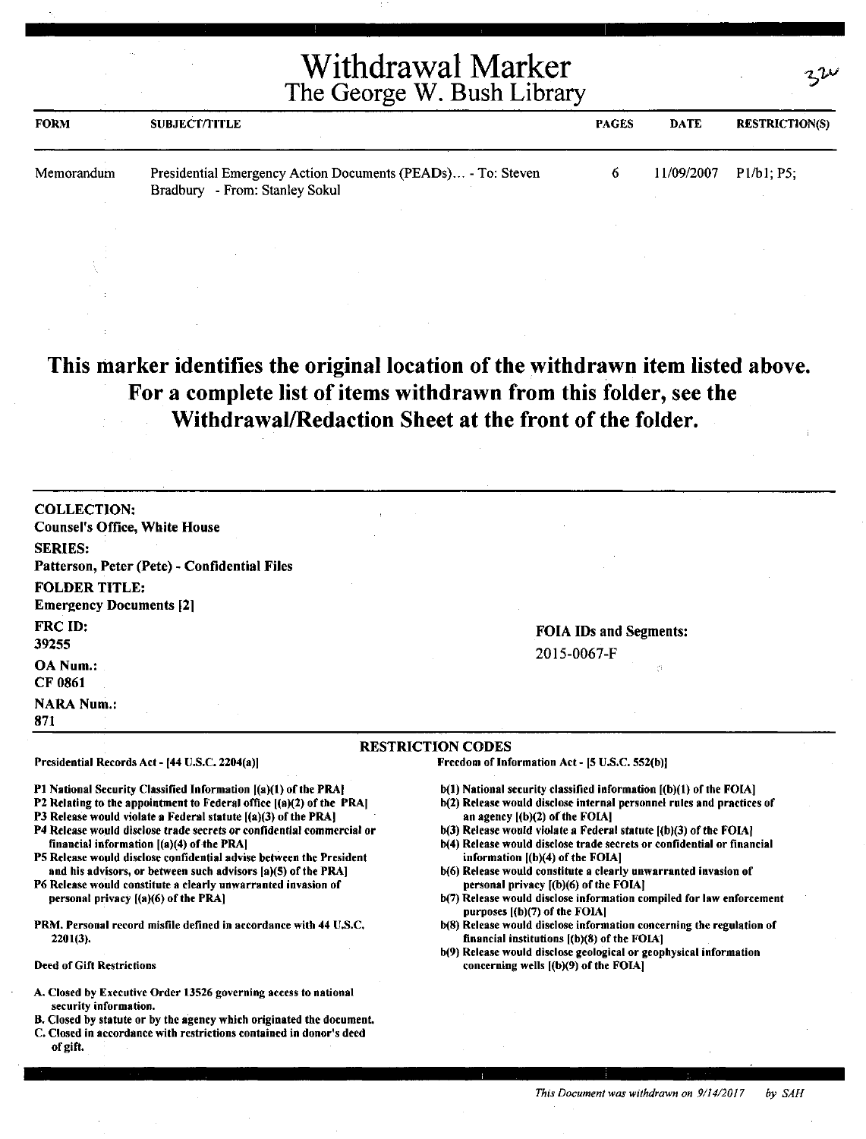| <b>FORM</b> | <b>SUBJECT/TITLE</b>                                                                           | <b>PAGES</b> | DATE       | <b>RESTRICTION(S)</b> |
|-------------|------------------------------------------------------------------------------------------------|--------------|------------|-----------------------|
| Memorandum  | Presidential Emergency Action Documents (PEADs) - To: Steven<br>Bradbury - From: Stanley Sokul |              | 11/09/2007 | P1/b1: P5:            |

### **This marker identifies the original location of the withdrawn item listed above. For a complete list of items withdrawn from this folder, see the Withdrawal/Redaction Sheet at the front of the folder.**

COLLECTION: Counsel's Office, White House SERIES: Patterson, Peter (Pete) - Confidential Files FOLDER TITLE: Emergency Documents [2] FRC ID: 39255 OA Num.: CF 0861 **NARA Num.:** 

# 20 I 5-0067-F

**FOIA IDs and Segments:** 

#### **RESTRICTION CODES**

Presidential Records Act - (44 U.S.C. 2204(a))

Pl National Security Classified Information ((a)(l) of the PRAJ

- P2 Relating to the appointment to Federal office  $[(a)(2)$  of the PRAJ
- P3 Release would violate a Federal statute  $[(a)(3)$  of the PRA]
- P4 Release would disclose trade secrets or confidential commercial or financial information ((a)(4) of-the PRA)
- PS Release would disclose confidential advise between the President and his advisors, or between such advisors (a)(S) of the PRA]
- P6 Release would constitute a clearly unwarranted invasion of personal privacy ((a)(6) of the PRA]
- PRM. Personal record misfile defined in accordance with 44 U,S.C. 2201(3).

#### Deed of Gift Restrictions

871

- A. Closed by Executive Order 13526 governing access to national security information.
- B. Closed by statute or by the agency which originated the document.
- C. Closed in accordance with restrictions contained in donor's deed of gift.

Freedom of Information Act - (S U.S.C. 552(b)J

- b(l) National security classified information ((b)(l) of the FOIA)
- b(2) Release would disclose internal personnel rules and practices of an agency l(b)(2) of the FOIAl
- $b(3)$  Release would violate a Federal statute  $[(b)(3)$  of the FOIA]
- b(4) Release would disclose trade secrets or confidential or financial information  $[(b)(4)$  of the FOIA]
- b(6) Release would constitute a clearly unwarranted invasion of personal privacy [(b)(6) of the FOIA]
- b(7) Release would disclose information compiled for law enforcement purposes [(b)(7) of the FOIA]
- b(8) Release would disclose information concerning the regulation of financial institutions ((b)(8) of the FOIA]
- b(9) Release would disclose geological or geophysical information concerning wells ((b)(9) of the FOIA)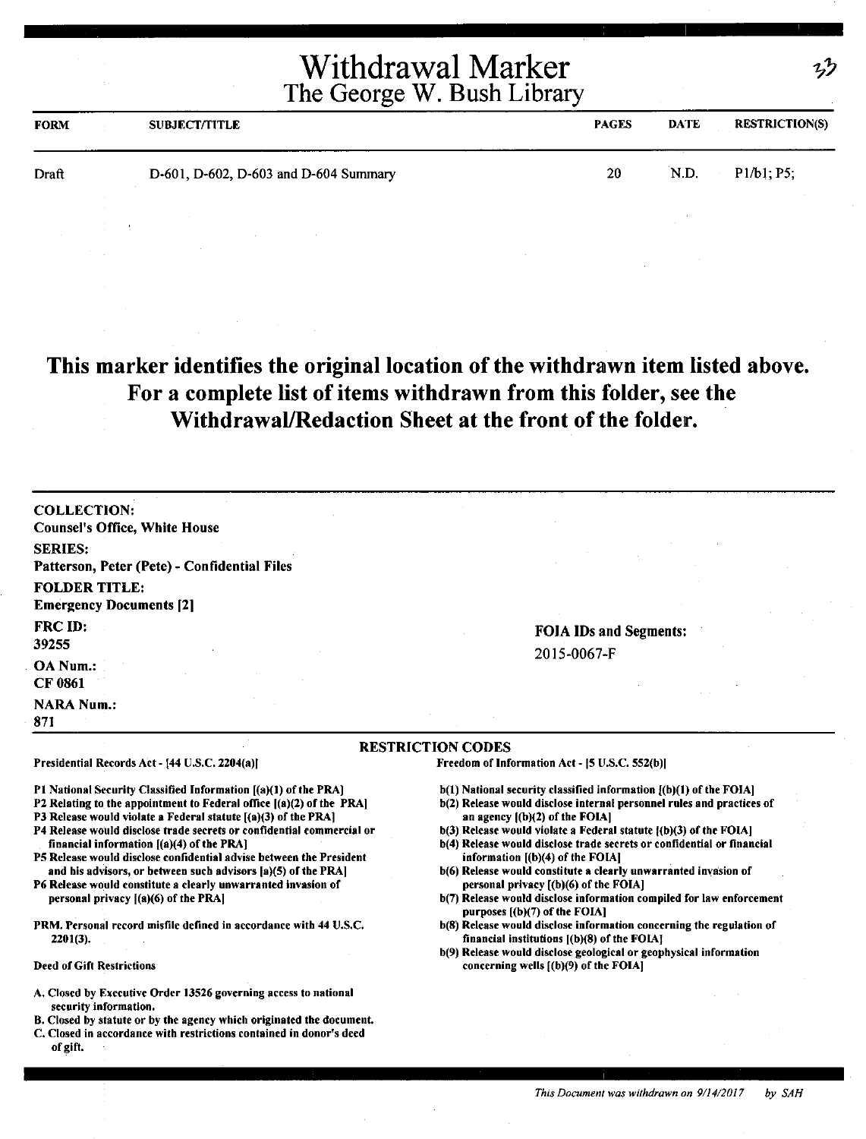|             | <b>Withdrawal Marker</b><br>2.80<br>The George W. Bush Library |                                       |              |             | $\frac{1}{2}$         |  |
|-------------|----------------------------------------------------------------|---------------------------------------|--------------|-------------|-----------------------|--|
| <b>FORM</b> |                                                                | <b>SUBJECT/TITLE</b>                  | <b>PAGES</b> | <b>DATE</b> | <b>RESTRICTION(S)</b> |  |
| Draft       |                                                                | D-601, D-602, D-603 and D-604 Summary | 20           | N.D.        | P1/b1; P5;            |  |
|             |                                                                |                                       |              |             |                       |  |

### **This marker identifies the original location of the withdrawn item listed above. For a complete list of items withdrawn from this folder, see the Withdrawal/Redaction Sheet at the front of the folder.**

COLLECTION: Counsel's Office, White House SERIES: Patterson, Peter (Pete) - Confidential Files FOLDER TITLE: Emergency Documents [2] FRC ID: 39255 OANum.: CF 0861 **NARA Num.:** 871

Presidential Records Act - [44 U.S.C. 2204(a)]

financial information [(a)(4) of the PRA]

personal privacy  $[(a)(6)$  of the PRA]

2201(3).

Deed of Gift Restrictions

FOIA IDs and Segments: 2015-0067-F

#### RESTRICTION CODES

Freedom of Information Act - (5 U.S.C. 552(b))

- $b(1)$  National security classified information  $[(b)(1)$  of the FOIA]
- b(2) Release would disclose internal personnel rules and practices of an agency ((b)(2) of the FOIAI
- b(3) Release would violate a Federal statute ((b)(3) of the FOIAJ b(4) Release would disclose trade secrets or confidential or financial
- information ((b)(4) of the FOIAI
- b(6) Release would constitute a clearly unwarranted invasion of personal privacy ((b)(6) of the FOIA]
- b(7) Release would disclose information compiled for law enforcement purposes ((b)(7) of the FOIA]
- b(8) Release would disclose information concerning the regulation of financial institutions ((b)(8) of the FOIAJ
- b(9) Release would disclose geological or geophysical information concerning wells ((b)(9) of the FOIAJ
- A. Closed by Executive Order 13526 governing access to national security information.

Pl National Security Classified Information [(a)(l) of the PRA] P2 Relating to the appointment to Federal office  $[(a)(2)$  of the PRA] P3 Release would violate a Federal statute [(a)(3) of the PRA] P4 Release would disclose trade secrets or confidential commercial or

PS Release would disclose confidential advise between the President and his advisors, or between such advisors (a)(S) of the PRAJ P6 Release would constitute a clearly unwarranted invasion of

PRM. Personal record misfile defined in accordance with 44 U.S.C.

- B. Closed by statute or by the agency which originated the document.
- C. Closed in accordance with restrictions contained in donor's deed of gift,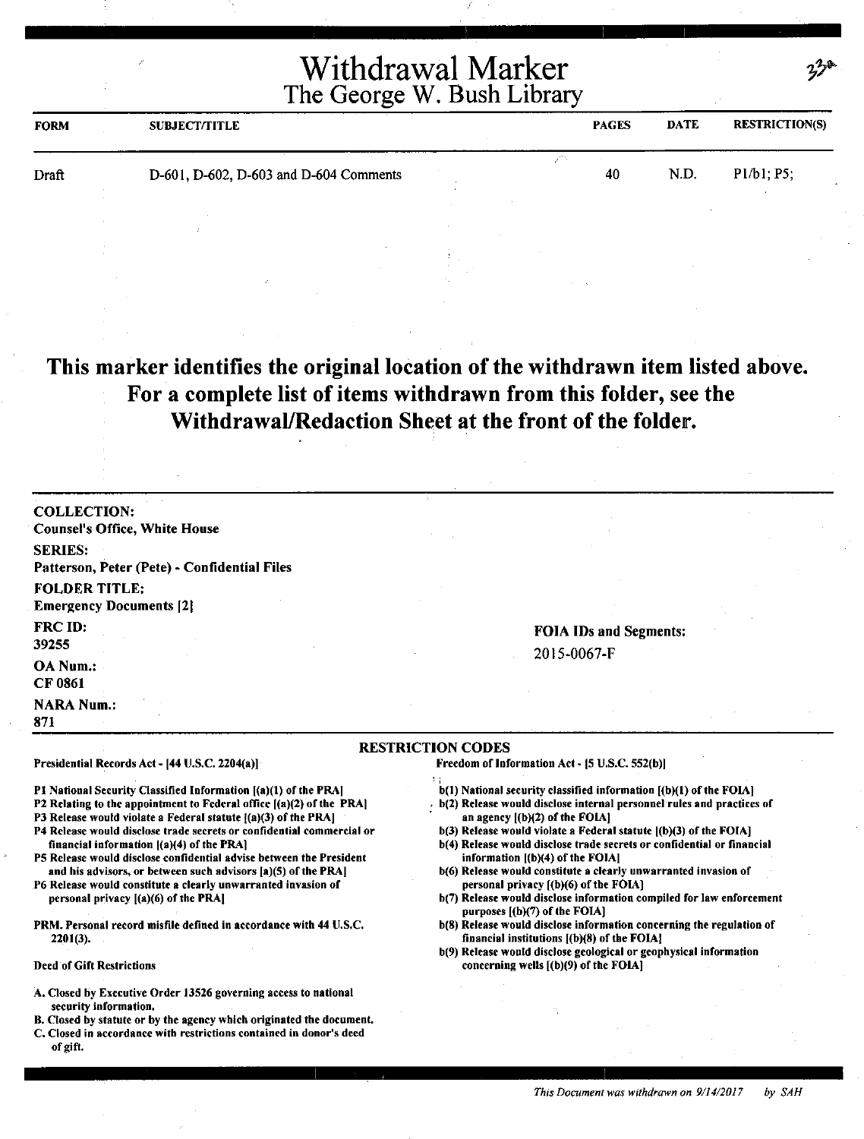| <b>FORM</b> | <b>SUBJECT/TITLE</b>                   |  | <b>PAGES</b> | <b>DATE</b> | <b>RESTRICTION(S)</b> |
|-------------|----------------------------------------|--|--------------|-------------|-----------------------|
| Draft       | D-601, D-602, D-603 and D-604 Comments |  | 40           | N.D.        | P1/b1; P5;            |
|             |                                        |  |              |             |                       |

### **This marker identifies the original location of the withdrawn item listed above. For a complete list of items withdrawn from this folder, see the Withdrawal/Redaction Sheet at the front of the folder.**

| <b>COLLECTION:</b>                           |                          |                               |  |
|----------------------------------------------|--------------------------|-------------------------------|--|
| <b>Counsel's Office, White House</b>         |                          |                               |  |
| <b>SERIES:</b>                               |                          |                               |  |
| Patterson, Peter (Pete) - Confidential Files |                          |                               |  |
| <b>FOLDER TITLE:</b>                         |                          |                               |  |
| <b>Emergency Documents [2]</b>               |                          |                               |  |
| <b>FRC ID:</b>                               |                          | <b>FOIA IDs and Segments:</b> |  |
| 39255                                        |                          | 2015-0067-F                   |  |
| OA Num.:                                     |                          |                               |  |
| <b>CF 0861</b>                               |                          |                               |  |
| <b>NARA Num.:</b>                            |                          |                               |  |
| 871                                          |                          |                               |  |
|                                              | <b>RESTRICTION CODES</b> |                               |  |

Presidential Records Act - (44 U.S.C. 2204(a)]

P1 National Security Classified Information [(a)(1) of the PRA]

- P2 Relating to the appointment to Federal office  $[(a)(2)$  of the PRA
- P3 Release would violate a Federal statute  ${(a)(3)}$  of the PRA]
- P4 Release would disclose trade secrets or confidential commercial or financial information ((a)(4) of the PRA]
- PS Release would disclose confidential advise between the President and his advisors, or between such advisors [a)(S) of the PRA)
- P6 Release would constitute a clearly unwarranted invasion of personal privacy ((a)(6) of the PRAI
- PRM. Personal record misfile defined in accordance with 44 U.S.C. 2201(3).

#### Deed of Gift Restrictions

- A. Closed by Executive Order 13526 governing access to national security information.
- B. Closed by statute or by the agency which originated the document.
- C. Closed in accordance with restrictions contained in donor's deed of gift.

Freedom of Information Act - (5 U.S.C. 552(b))

- ; b(l) National security classified information [(b)(l) of the FOIA]
- $\cdot$  b(2) Release would disclose internal personnel rules and practices of an agency ((b)(2) of the FOIA]
- b(3) Release would violate a Federal statute ((b)(3) of the FOIA)
- b(4) Release would disclose trade secrets or confidential or financial information  $[(b)(4)$  of the FOIA]
- b(6) Release would constitute a clearly unwarranted invasion of personal privacy ((b)(6) of the FOIAJ
- b(7) Release would disclose information compiled for law enforcement purposes ((b)(7) of the FOIAJ
- b(8) Release would disclose information concerning the regulation of financial institutions [(b)(8) of the FOIA)
- b(9) Release would disclose geological or geophysical information concerning wells [(b)(9) of the FOIA]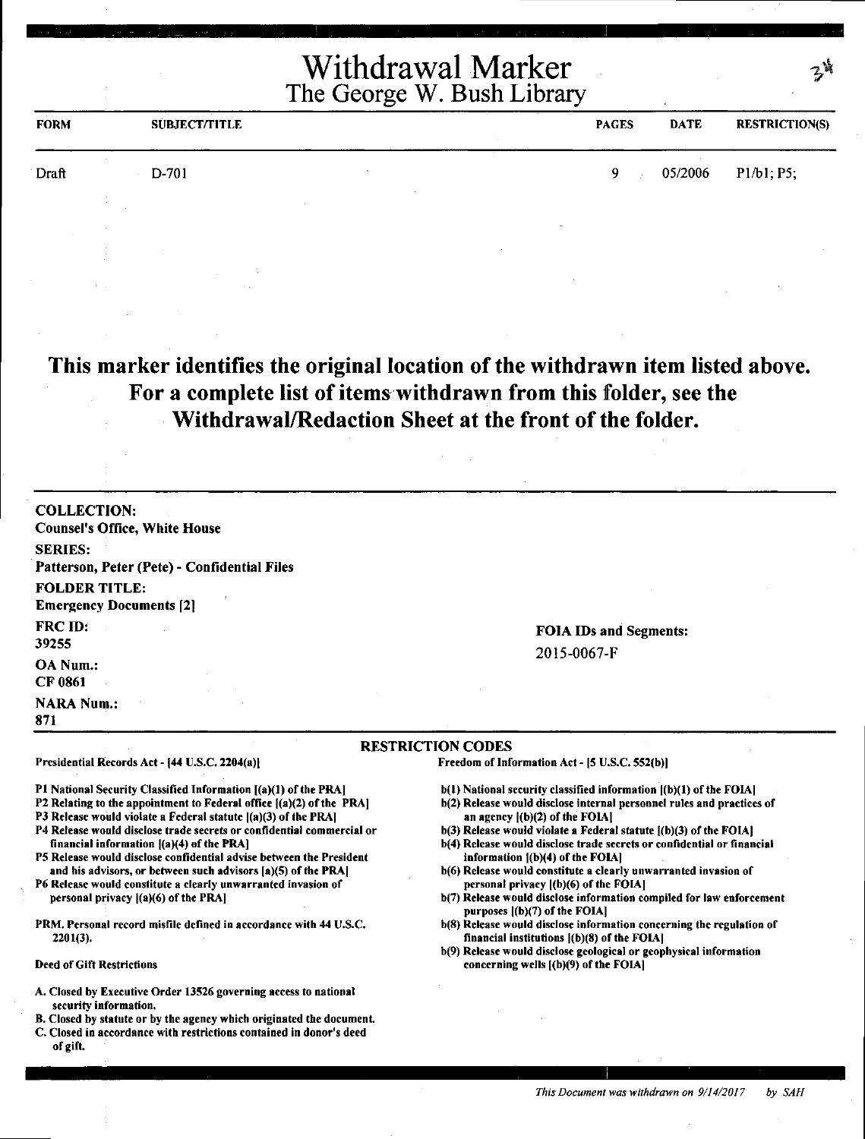| <b>FORM</b> | <b>SUBJECT/TITLE</b> | <b>PAGES</b> | <b>DATE</b> | <b>RESTRICTION(S)</b> |
|-------------|----------------------|--------------|-------------|-----------------------|
| Draft       | D-701                | 9            | 05/2006     | P1/b1; P5;            |
|             |                      |              |             |                       |

**This marker identifies the original location of the withdrawn item listed above.**  For a complete list of items withdrawn from this folder, see the **Withdrawal/Redaction Sheet at the front of the folder.** 

| <b>COLLECTION:</b>                           |
|----------------------------------------------|
| <b>Counsel's Office, White House</b>         |
| <b>SERIES:</b>                               |
| Patterson, Peter (Pete) - Confidential Files |
| <b>FOLDER TITLE:</b>                         |
| <b>Emergency Documents [2]</b>               |
| FRC ID:                                      |
| 39255                                        |
| OA Num.:                                     |
| CF 0861<br>provided and                      |
| <b>NARA Num.:</b>                            |
| 871                                          |

FOIA IDs and Segments: 2015-0067-F

#### **RESTRICTION** CODES

Presidential Records Act - (44 U.S.C. 2204(a)I

Pl National Security Classified Information [(a)(l) of the PRA]

P2 Relating to the appointment to Federal office ((a)(2) of the PRA)

P3 Release would violate a Federal statute  $[(a)(3)$  of the PRA]

- P4 Release would disclose trade secrets or confidential commercial or financial information  $(a)(4)$  of the PRA]
- PS Release would disclose confidential advise between the President and his advisors, or between such advisors (a)(S) of the PRAJ
- P6 Release would constitute a clearly unwarranted invasion of personal privacy ((a)(6) of the PRA)
- PRM. Personal record misfile defined in accordance with 44 U.S.C. 2201(3).

#### Deed of Gift Restrictions

- A. Closed by Executive Order 13526 governing access to national security information.
- B. Closed by statute or by the agency which originated the document.
- C. Closed in accordance with restrictions contained in donor's deed of gift.

Freedom of Information Act- (S U.S.C. SS2(b))

- b(l) National security classified information ((b)(l) of the FOIA)
- b(2) Release would disclose internal personnel rules and practices of an agency ((b)(2) of the FOIAl
- b(3) Release would violate a Federal statute ((b)(3) of the FOIA)
- b(4) Release would disclose trade secrets or confidential or financial information  $[(b)(4)$  of the FOIA]
- b(6) Release would constitute a clearly unwarranted invasion of personal privacy ((b)(6) of the FOIAJ
- b(7) Release would disclose information compiled for law enforcement purposes  $[(b)(7)$  of the FOIA $]$
- b(8) Release would disclose information concerning the regulation of financial institutions  $($ b $)(8)$  of the FOIA $]$ .
- b(9) Release would disclose geological or geophysical information concerning wells ((b)(9) of the FOIA)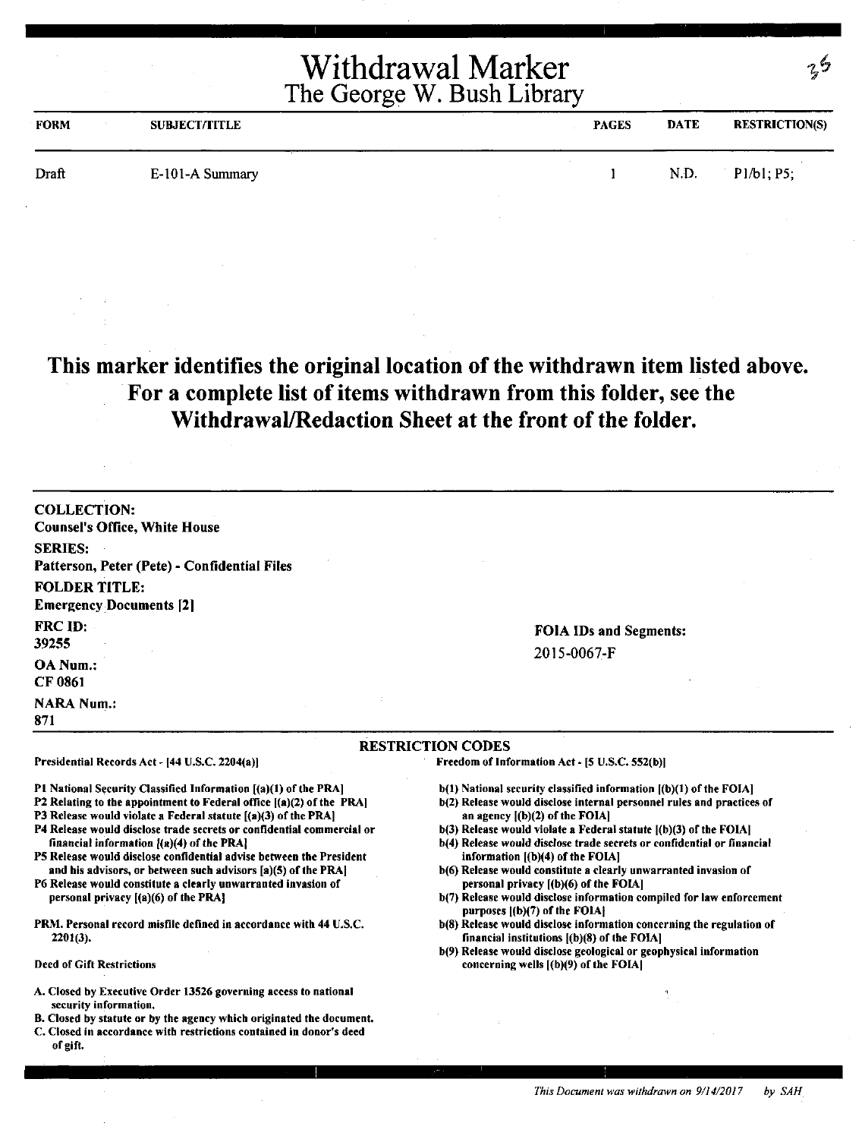| <b>FORM</b> | <b>SUBJECT/TITLE</b> | <b>PAGES</b> | <b>DATE</b> | <b>RESTRICTION(S)</b> |
|-------------|----------------------|--------------|-------------|-----------------------|
| Draft       | E-101-A Summary      |              | N.D.        | P1/b1; P5;            |

### **This marker identifies the original location of the withdrawn item listed above. For a complete list of items withdrawn from this folder, see the Withdrawal/Redaction Sheet at the front of the folder.**

| <b>COLLECTION:</b>                                                                                                                          |                                                                                                              |
|---------------------------------------------------------------------------------------------------------------------------------------------|--------------------------------------------------------------------------------------------------------------|
| <b>Counsel's Office, White House</b>                                                                                                        |                                                                                                              |
| <b>SERIES:</b>                                                                                                                              |                                                                                                              |
| Patterson, Peter (Pete) - Confidential Files                                                                                                |                                                                                                              |
| <b>FOLDER TITLE:</b>                                                                                                                        |                                                                                                              |
| <b>Emergency Documents [2]</b>                                                                                                              |                                                                                                              |
| FRC ID:                                                                                                                                     |                                                                                                              |
| 39255                                                                                                                                       | <b>FOIA IDs and Segments:</b>                                                                                |
|                                                                                                                                             | 2015-0067-F                                                                                                  |
| OA Num.:                                                                                                                                    |                                                                                                              |
| CF 0861                                                                                                                                     |                                                                                                              |
| <b>NARA Num.:</b>                                                                                                                           |                                                                                                              |
| 871                                                                                                                                         |                                                                                                              |
|                                                                                                                                             | <b>RESTRICTION CODES</b>                                                                                     |
| Presidential Records Act - [44 U.S.C. 2204(a)]                                                                                              | Freedom of Information Act - [5 U.S.C. 552(b)]                                                               |
| P1 National Security Classified Information [(a)(1) of the PRA]                                                                             | b(1) National security classified information [(b)(1) of the FOIA]                                           |
| P2 Relating to the appointment to Federal office $[(a)(2)$ of the PRA]                                                                      | b(2) Release would disclose internal personnel rules and practices of                                        |
| P3 Release would violate a Federal statute [(a)(3) of the PRA]                                                                              | an agency $[(b)(2)$ of the FOIA]                                                                             |
| P4 Release would disclose trade secrets or confidential commercial or                                                                       | b(3) Release would violate a Federal statute [(b)(3) of the FOIA]                                            |
| financial information $[(a)(4)$ of the PRA]<br>P5 Release would disclose confidential advise between the President                          | b(4) Release would disclose trade secrets or confidential or financial<br>information $[(b)(4)$ of the FOIA] |
| and his advisors, or between such advisors [a)(5) of the PRA]                                                                               | b(6) Release would constitute a clearly unwarranted invasion of                                              |
| P6 Release would constitute a clearly unwarranted invasion of                                                                               | personal privacy [(b)(6) of the FOIA]                                                                        |
| personal privacy $[(a)(6)$ of the PRA}                                                                                                      | b(7) Release would disclose information compiled for law enforcement<br>purposes [(b)(7) of the FOIA]        |
| PRM. Personal record misfile defined in accordance with 44 U.S.C.                                                                           | b(8) Release would disclose information concerning the regulation of                                         |
| $2201(3)$ .                                                                                                                                 | financial institutions $[(b)(8)$ of the FOIA]                                                                |
|                                                                                                                                             | b(9) Release would disclose geological or geophysical information                                            |
| <b>Deed of Gift Restrictions</b>                                                                                                            | concerning wells $(a)(9)$ of the FOIA                                                                        |
| A. Closed by Executive Order 13526 governing access to national                                                                             |                                                                                                              |
| security information.                                                                                                                       |                                                                                                              |
| B. Closed by statute or by the agency which originated the document.<br>C. Closed in accordance with restrictions contained in donor's deed |                                                                                                              |
|                                                                                                                                             |                                                                                                              |

of gift.

29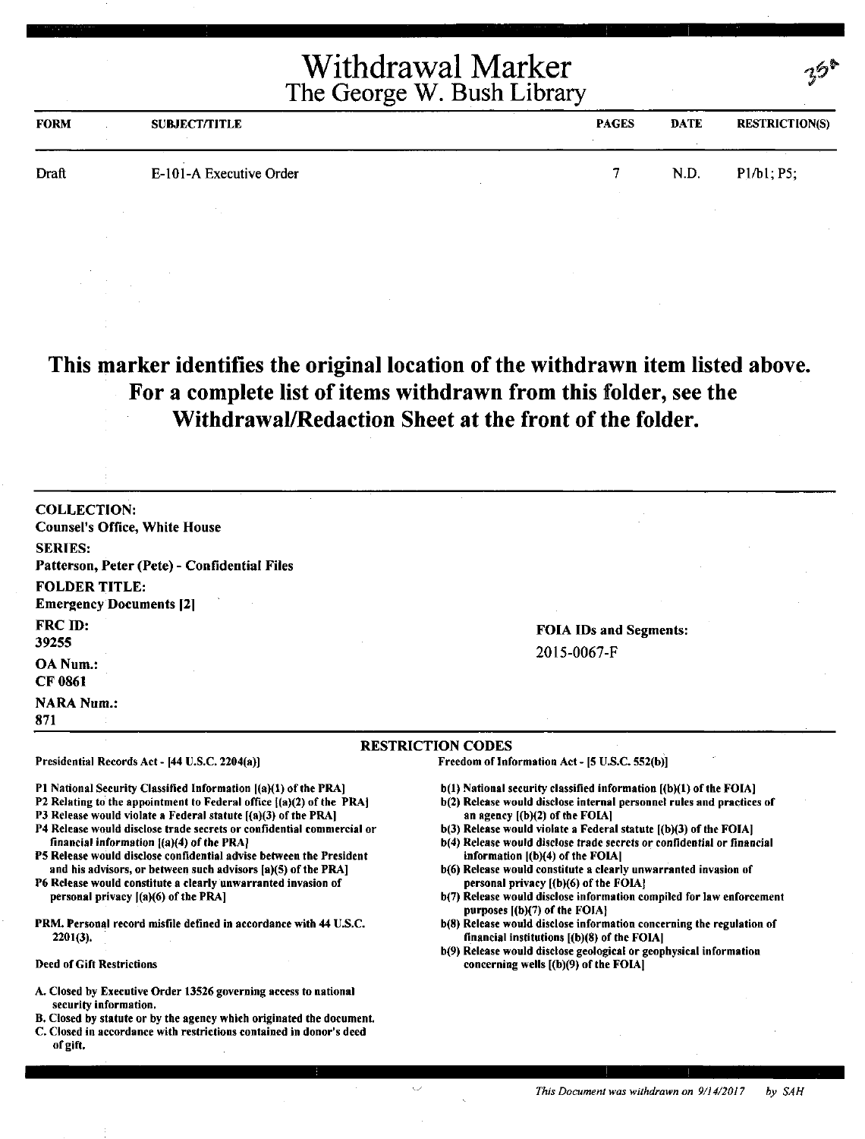| <b>FORM</b> | <b>SUBJECT/TITLE</b>    | <b>PAGES</b> | <b>DATE</b> | <b>RESTRICTION(S)</b> |
|-------------|-------------------------|--------------|-------------|-----------------------|
| Draft       | E-101-A Executive Order |              | N.D.        | P1/b1, P5;            |
|             |                         |              |             |                       |

### **This marker identifies the original location of the withdrawn item listed above. For a complete list of items withdrawn from this folder, see the Withdrawal/Redaction Sheet at the front of the folder.**

| <b>COLLECTION:</b>                                                                                                 |                                                                                                                                                 |
|--------------------------------------------------------------------------------------------------------------------|-------------------------------------------------------------------------------------------------------------------------------------------------|
| <b>Counsel's Office, White House</b>                                                                               |                                                                                                                                                 |
| <b>SERIES:</b>                                                                                                     |                                                                                                                                                 |
| Patterson, Peter (Pete) - Confidential Files                                                                       |                                                                                                                                                 |
| <b>FOLDER TITLE:</b>                                                                                               |                                                                                                                                                 |
| <b>Emergency Documents [2]</b>                                                                                     |                                                                                                                                                 |
| FRC ID:                                                                                                            | <b>FOIA IDs and Segments:</b>                                                                                                                   |
| 39255                                                                                                              | 2015-0067-F                                                                                                                                     |
| <b>OA Num.:</b>                                                                                                    |                                                                                                                                                 |
| <b>CF 0861</b>                                                                                                     |                                                                                                                                                 |
| <b>NARA Num.:</b>                                                                                                  |                                                                                                                                                 |
| 871                                                                                                                |                                                                                                                                                 |
|                                                                                                                    | <b>RESTRICTION CODES</b>                                                                                                                        |
| Presidential Records Act - [44 U.S.C. 2204(a)]                                                                     | Freedom of Information Act - [5 U.S.C. 552(b)]                                                                                                  |
| P1 National Security Classified Information [(a)(1) of the PRA]                                                    | b(1) National security classified information [(b)(1) of the FOIA]                                                                              |
| P2 Relating to the appointment to Federal office ((a)(2) of the PRA)                                               | b(2) Release would disclose internal personnel rules and practices of                                                                           |
| P3 Release would violate a Federal statute [(a)(3) of the PRA]                                                     | an agency $[(b)(2)$ of the FOIA]                                                                                                                |
| P4 Release would disclose trade secrets or confidential commercial or<br>financial information [(a)(4) of the PRA] | $b(3)$ Release would violate a Federal statute $[(b)(3)$ of the FOIA]<br>b(4) Release would disclose trade secrets or confidential or financial |
| P5 Release would disclose confidential advise between the President                                                | information $[(b)(4)$ of the FOIA]                                                                                                              |
| and his advisors, or between such advisors [a](5) of the PRA]                                                      | b(6) Release would constitute a clearly unwarranted invasion of                                                                                 |
| P6 Release would constitute a clearly unwarranted invasion of<br>personal privacy $[(a)(6)$ of the PRA]            | personal privacy [(b)(6) of the FOIA]                                                                                                           |
|                                                                                                                    | b(7) Release would disclose information compiled for law enforcement<br>purposes [(b)(7) of the FOIA}                                           |
| PRM. Personal record misfile defined in accordance with 44 U.S.C.                                                  | b(8) Release would disclose information concerning the regulation of                                                                            |
| $2201(3)$ .                                                                                                        | financial institutions $[(b)(8)$ of the FOIA]                                                                                                   |
| <b>Deed of Gift Restrictions</b>                                                                                   | b(9) Release would disclose geological or geophysical information<br>concerning wells [(b)(9) of the FOIA]                                      |
|                                                                                                                    |                                                                                                                                                 |
| A. Closed by Executive Order 13526 governing access to national<br>security information.                           |                                                                                                                                                 |
| B. Closed by statute or by the agency which originated the document.                                               |                                                                                                                                                 |
| C. Closed in accordance with restrictions contained in donor's deed                                                |                                                                                                                                                 |

of gift.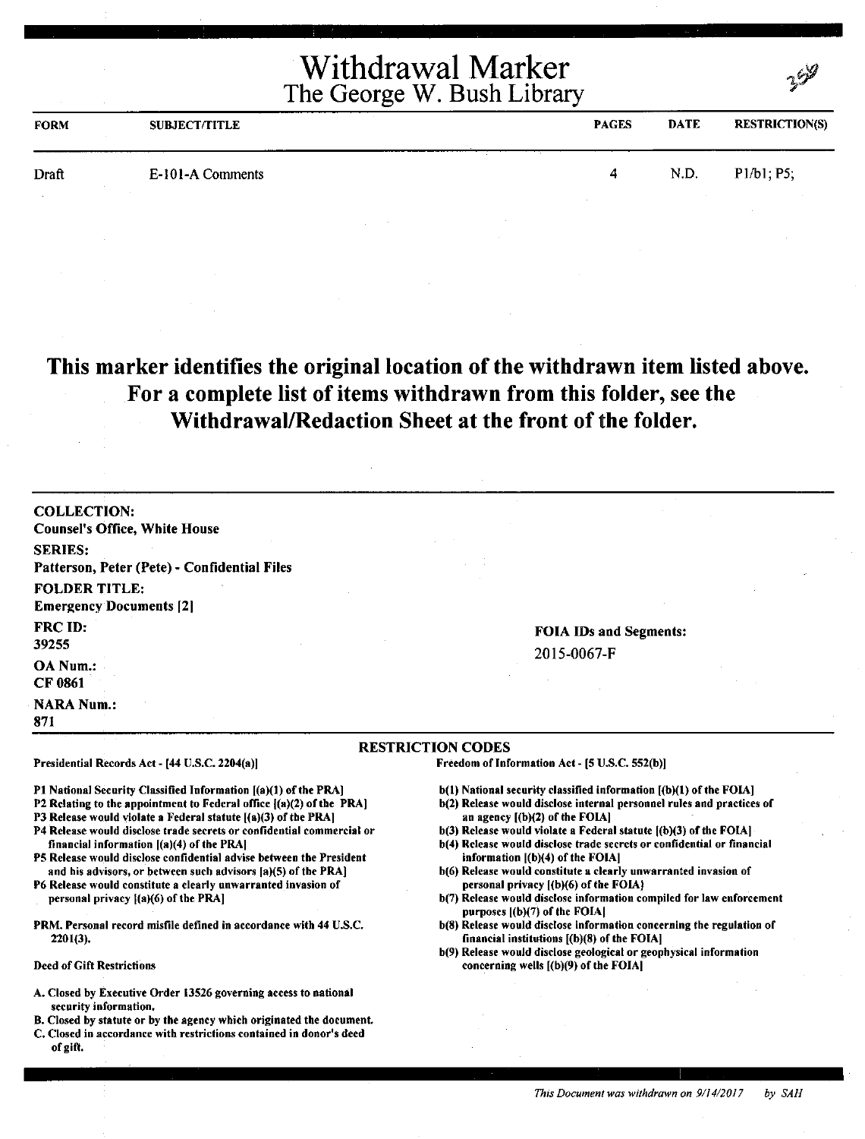|             |                      | Withdrawal Marker<br>The George W. Bush Library |             |                       |
|-------------|----------------------|-------------------------------------------------|-------------|-----------------------|
| <b>FORM</b> | <b>SUBJECT/TITLE</b> | <b>PAGES</b>                                    | <b>DATE</b> | <b>RESTRICTION(S)</b> |
| Draft       | E-101-A Comments     | 4                                               | N.D.        | P1/b1; P5;            |

#### **This marker identifies the original location of the withdrawn item listed above. For a complete list of items withdrawn from this folder, see the Withdrawal/Redaction Sheet at the front of** the **folder.**

| <b>RESTRICTION CODES</b>                                       |                                              |  |  |
|----------------------------------------------------------------|----------------------------------------------|--|--|
| <b>NARA Num.:</b><br>871                                       |                                              |  |  |
| OA Num.:<br>CF 0861                                            |                                              |  |  |
| <b>FRC ID:</b><br>39255                                        | <b>FOIA IDs and Segments:</b><br>2015-0067-F |  |  |
| <b>FOLDER TITLE:</b><br><b>Emergency Documents [2]</b>         |                                              |  |  |
| <b>SERIES:</b><br>Patterson, Peter (Pete) - Confidential Files |                                              |  |  |
| <b>COLLECTION:</b><br><b>Counsel's Office, White House</b>     |                                              |  |  |

Presidential Records Act - (44 U.S.C. 2204(a))

Pl National Security Classified Information [(a)(l) of the PRA]

- P2 Relating to the appointment to Federal office ((a)(2) of the PRA]
- P3 Release would violate a Federal statute [(a)(3) of the PRA]
- P4 Release would disclose trade secrets or confidential commercial or financial information ((a)(4) of the PRA)
- PS Release would disclose confidential advise between the President and his advisors, or between such advisors fa)(S) of the PRAJ
- P6 Release would constitute a clearly unwarranted invasion of personal privacy  $[(a)(6)$  of the PRA]
- PRM. Personal record misfile defined in accordance with 44 U.S.C. 2201(3).

Deed of Gift Restrictions

- A. Closed by Executive Order 13526 governing access to national security information.
- 8. Closed by statute or by the agency which originated the document.
- C. Closed in accordance with restrictions contained in donor's deed of gift.

Freedom of Information Act - (5 U.S.C. 552(b))

- b(l) National security classified information [(b)(l) of the FOIA]
- b(2) Release would disclose internal personnel rules and practices of an agency [(b)(2) of the FOIA)
- b(3) Release would violate a Federal statute ((b)(3) of the FOIA) b(4) Release would disclose trade secrets or confidential or financial
- information [(b)(4) of the FOIA) b(6) Release would constitute a clearly unwarranted invasion of
- personal privacy ((b)(6) of the FOIAJ
- b(7) Release would disclose information compiled for law enforcement purposes [(b)(7) of the FOIAI
- b(8) Release would disclose information concerning the regulation of financial institutions [(b)(8) of the FOIAJ
- b(9) Release would disclose geological or geophysical information concerning wells [(b)(9) of the FOIA)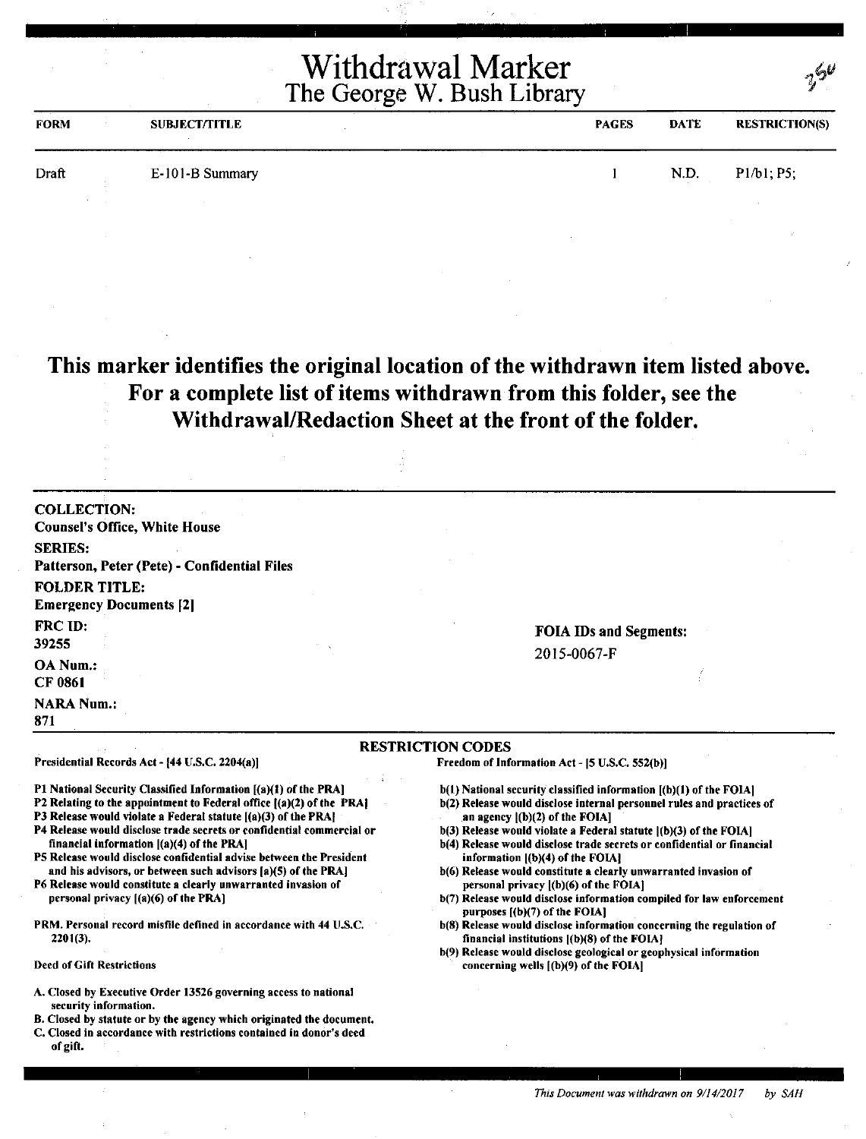| <b>FORM</b> | <b>SUBJECT/TITLE</b> | <b>PAGES</b> | <b>DATE</b> | <b>RESTRICTION(S)</b> |
|-------------|----------------------|--------------|-------------|-----------------------|
| Draft       | E-101-B Summary      |              | N.D.        | P1/b1; P5;            |
|             |                      |              |             |                       |

**This marker identifies the original location of the withdrawn item listed above. For a complete list of items withdrawn from this folder, see the Withdrawal/Redaction Sheet at the front of the folder.** 

| <b>COLLECTION:</b>                                                                               |                               |  |  |
|--------------------------------------------------------------------------------------------------|-------------------------------|--|--|
| <b>Counsel's Office, White House</b>                                                             |                               |  |  |
| <b>SERIES:</b>                                                                                   |                               |  |  |
| Patterson, Peter (Pete) - Confidential Files                                                     |                               |  |  |
| <b>FOLDER TITLE:</b>                                                                             |                               |  |  |
| <b>Emergency Documents [2]</b>                                                                   |                               |  |  |
| FRC ID:                                                                                          | <b>FOIA IDs and Segments:</b> |  |  |
| 39255                                                                                            | 2015-0067-F                   |  |  |
| OA Num.:                                                                                         |                               |  |  |
| CF 0861                                                                                          |                               |  |  |
| <b>NARA Num.:</b>                                                                                |                               |  |  |
| 871                                                                                              |                               |  |  |
|                                                                                                  | <b>RESTRICTION CODES</b>      |  |  |
| Presidential Records Act - [44 U.S.C. 2204(a)]<br>Freedom of Information Act - [5 U.S.C. 552(b)] |                               |  |  |

Pl National Security Classified Information [(a)(l) or the PRA]

- P2 Relating to the appointment to Federal office  $[(a)(2)$  of the PRA]
- P3 Release would violate a Federal statute [(a)(3) of the PRA]
- P4 Release would disclose trade secrets or confidential commercial or financial information ((a)(4) of the PRA)
- PS Release would disclose confidential advise between the President and his advisors, or between such advisors  $[a](5)$  of the PRA] P6 Release would constitute a clearly unwarranted invasion of
- personal privacy ((a)(6) of the PRA]
- PRM. Personal record misfile defined in accordance with 44 U.S.C. 2201(3).

#### Deed of Gift Restrictions

- A. Closed by Executive Order 13526 governing access to national security information.
- 8. Closed by statute or by the agency which originated the document.
- C. Closed in accordance with restrictions contained in donor's deed of gift.

- b(l) National security classified information ((b)(l) of the FOIA)
- b(2) Release would disclose internal personnel rules and practices of an agency ((b)(2) of the FOIA]
- b(3) Release would violate a Federal statute l(b)(3) of the FOIA)
- b(4) Release would disclose trade secrets or confidential or financial information ((b)(4) of the FOIA]
- b(6) Release would constitute a clearly unwarranted invasion of personal privacy ((b)(6) of the FOIA)
- b(7) Release would disclose information compiled for law enforcement purposes [(b)(7) of the FOIA]
- b(8) Release would disclose information concerning the regulation of financial institutions  $[(b)(8)$  of the FOIA}
- b(9) Release would disclose geological or geophysical information concerning wells ((b)(9) of the FOIA)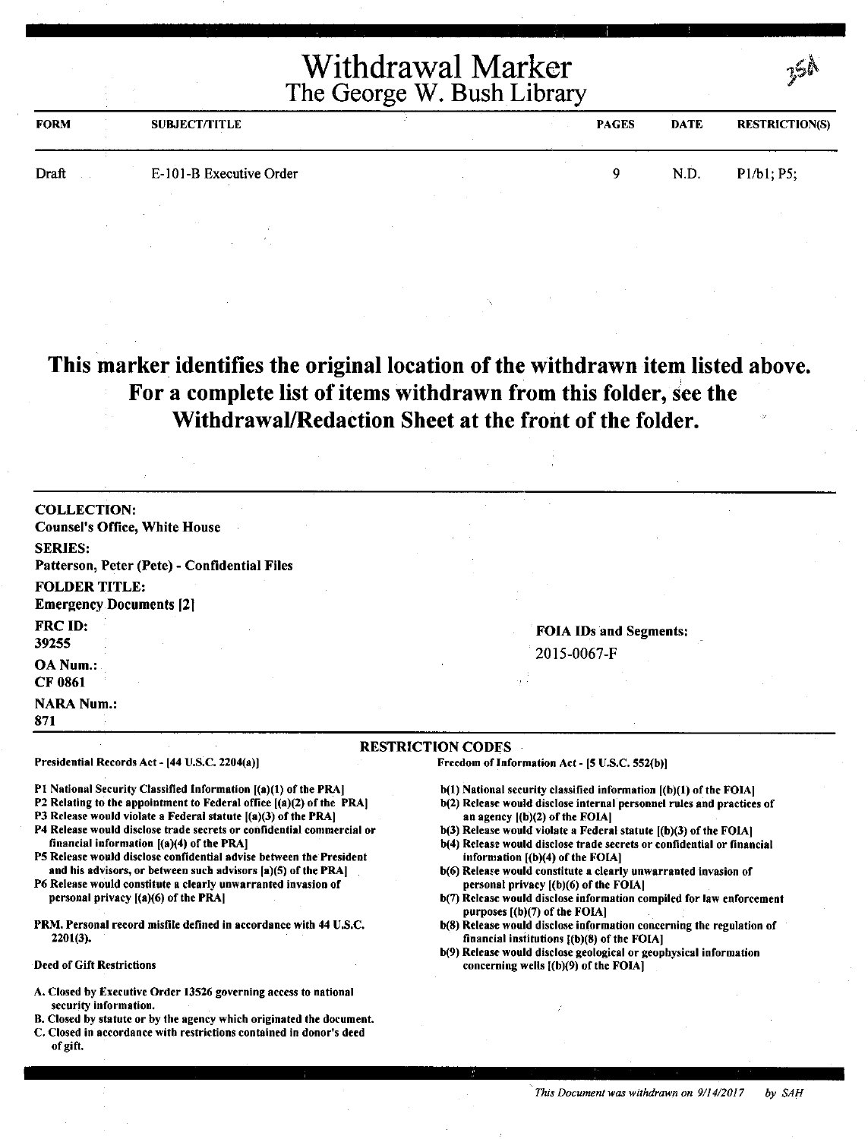|             | Withdrawal Marker<br>The George W. Bush Library |  |              |             | าษะ                   |  |
|-------------|-------------------------------------------------|--|--------------|-------------|-----------------------|--|
| <b>FORM</b> | <b>SUBJECT/TITLE</b>                            |  | <b>PAGES</b> | <b>DATE</b> | <b>RESTRICTION(S)</b> |  |
| Draft       | E-101-B Executive Order                         |  |              | N.D.        | P1/b1; P5;            |  |

### **This marker identifies the original location of the withdrawn item listed above. For a complete list of items withdrawn from this folder, see the WithdrawaVRedaction Sheet at the front of the folder.**

| <b>COLLECTION:</b>                                     |                                                                            |
|--------------------------------------------------------|----------------------------------------------------------------------------|
| <b>Counsel's Office, White House</b>                   |                                                                            |
| <b>SERIES:</b>                                         |                                                                            |
| Patterson, Peter (Pete) - Confidential Files           |                                                                            |
| <b>FOLDER TITLE:</b><br><b>Emergency Documents [2]</b> |                                                                            |
| FRC ID:<br>39255                                       | <b>FOIA IDs and Segments:</b><br>2015-0067-F                               |
| OA Num.:<br><b>CF 0861</b>                             | 73                                                                         |
| <b>NARA Num.:</b><br>871                               |                                                                            |
| Presidential Records Act - [44 U.S.C. 2204(a)]         | <b>RESTRICTION CODES</b><br>Freedom of Information Act - [5 U.S.C. 552(b)] |

Pl National Security Classified Information ((a)(l) of the PRA]

- P2 Relating to the appointment to Federal office  $[(a)(2)$  of the PRA]
- P3 Release would violate a Federal statute [(a)(3) of the PRA]
- P4 Release would disclose trade secrets or confidential commercial or financial information ((a)(4) of the PRA]
- PS Release would disclose confidential advise between the President and his advisors, or between such advisors (a)(S) of the PRAJ
- P6 Release would constitute a clearly unwarranted invasion of personal privacy ((a)(6) of the **PRA(**
- PRM. Personal record misfile defined in accordance with 44 U.S.C. 2201(3).
- Deed of Gift Restrictions
- A. Closed by Executive Order 13526 governing access to national security information.
- B. Closed by statute or by the agency which originated the document.
- C. Closed in accordance with restrictions contained in donor's deed of gift.
- b(l) National security classified information ((b)(l) of the FOIAJ
- b(2) Release would disclose internal personnel rules and practices of an agency  $[(b)(2)$  of the FOIA $]$
- b(3) Release would violate a Federal statute ((b)(3) of the FOIA) b(4) Release would disclose trade secrets or confidential or financial
- information ((b)(4) of the FOIA]
- b(6) Release would constitute a clearly unwarranted invasion of personal privacy ((b)(6) of the FOIA]
- b(7) Release would disclose information compiled for law enforcement purposes ((b)(7) of the **FOIA]**
- b(8) Release would disclose information concerning the regulation of financial institutions {(b)(8) of the FOIA)
- b(9) Release would disclose geological or geophysical information concerning wells [(b)(9) of the FOIA]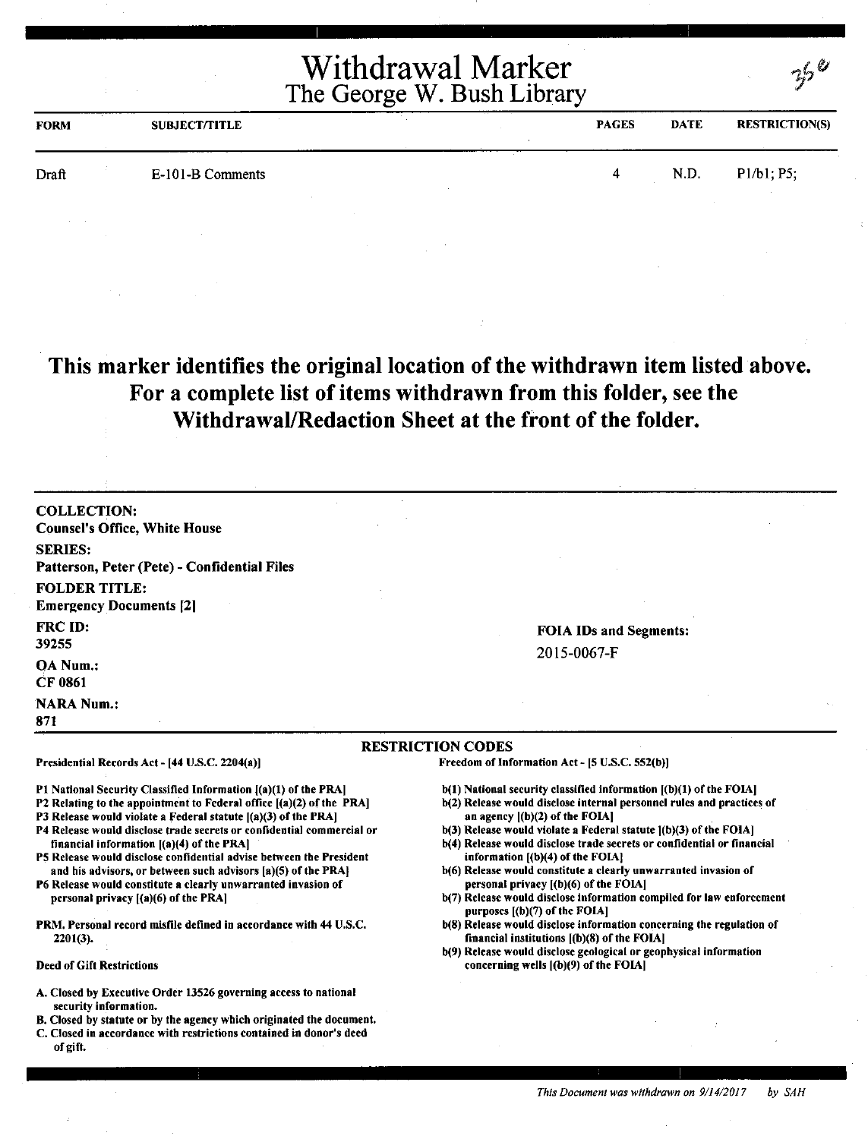| <b>FORM</b> | <b>SUBJECT/TITLE</b> | <b>PAGES</b> | <b>DATE</b> | <b>RESTRICTION(S)</b> |
|-------------|----------------------|--------------|-------------|-----------------------|
| Draft       | E-101-B Comments     |              | N.D.        | P1/b1; P5;            |

### **This marker identifies the original location of the withdrawn item listed above. For a complete list of items withdrawn from this folder, see the Withdrawal/Redaction Sheet at the front of the folder.**

COLLECTION: Counsel's Office, White House SERIES: Patterson, Peter (Pete) - Confidential Files FOLDER TITLE: Emergency Documents [21 FRC ID: 39255 OA Num.: CF 0861 **NARA Num.:** 871 RESTRICTION CODES Presidential Records Act - (44 U.S.C. 2204(a)]

P1 National Security Classified Information [(a)(1) of the PRA]

- P2 Relating to the appointment to Federal office ((a)(2) of the PRA]
- P3 Release would violate a Federal statute  $[(a)(3)$  of the PRA]
- P4 Release would disclose trade secrets or confidential commercial or financial information ((a)(4) of the PRA)
- PS Release would disclose confidential advise between the President and his advisors, or between such advisors [a)(S) of the PRA)
- P6 Release would constitute a clearly unwarranted invasion of personal privacy [(a)(6) of the PRA)
- PRM. Personal record misfile defined in accordance with 44 U.S.C. 2201(3).

#### Deed of Gift Restrictions

- A. Closed by Executive Order 13526 governing access to national security information.
- B. Closed by statute or by the agency which originated the document.
- C. Closed in accordance with restrictions contained in donor's deed of gift.

FOIA IDs and Segments: 2015-0067-F

 $2^6$ 

Freedom of Information Act - (5 U.S.C. 552(b)J

- $b(1)$  National security classified information  $[(b)(1)$  of the FOIA]
- b(2) Release would disclose internal personnel rules and practices of an agency  $|(b)(2)$  of the FOIA $|$
- b(3) Release would violate a Federal statute  $($ b $)(3)$  of the FOIA]
- b(4) Release would disclose trade secrets or confidential or financial information [(b)(4) of the FOIAJ
- b(6) Release would constitute a clearly unwarranted invasion of personal privacy ((b)(6) of the FOIA)
- b(7) Release would disclose information compiled for law enforcement purposes ((b)(7) of the FOIAJ
- b(8) Release would disclose information concerning the regulation of financial institutions ((b)(8) of the FOIA)
- b(9) Release would disclose geological or geophysical information concerning wells  $[(b)(9)$  of the FOIA]